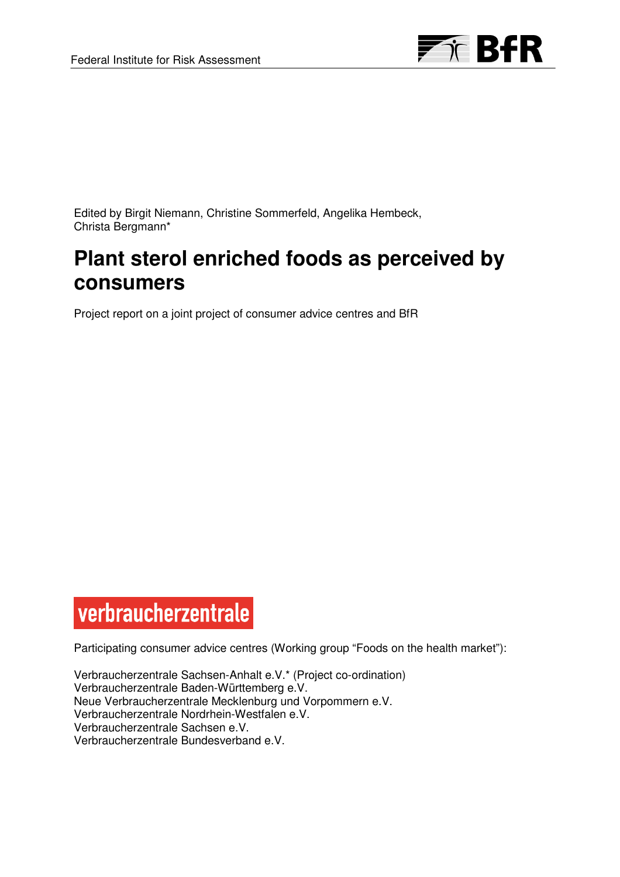

Edited by Birgit Niemann, Christine Sommerfeld, Angelika Hembeck, Christa Bergmann\*

# **Plant sterol enriched foods as perceived by consumers**

Project report on a joint project of consumer advice centres and BfR

# verbraucherzentrale

Participating consumer advice centres (Working group "Foods on the health market"):

Verbraucherzentrale Sachsen-Anhalt e.V.\* (Project co-ordination) Verbraucherzentrale Baden-Württemberg e.V. Neue Verbraucherzentrale Mecklenburg und Vorpommern e.V. Verbraucherzentrale Nordrhein-Westfalen e.V. Verbraucherzentrale Sachsen e.V. Verbraucherzentrale Bundesverband e.V.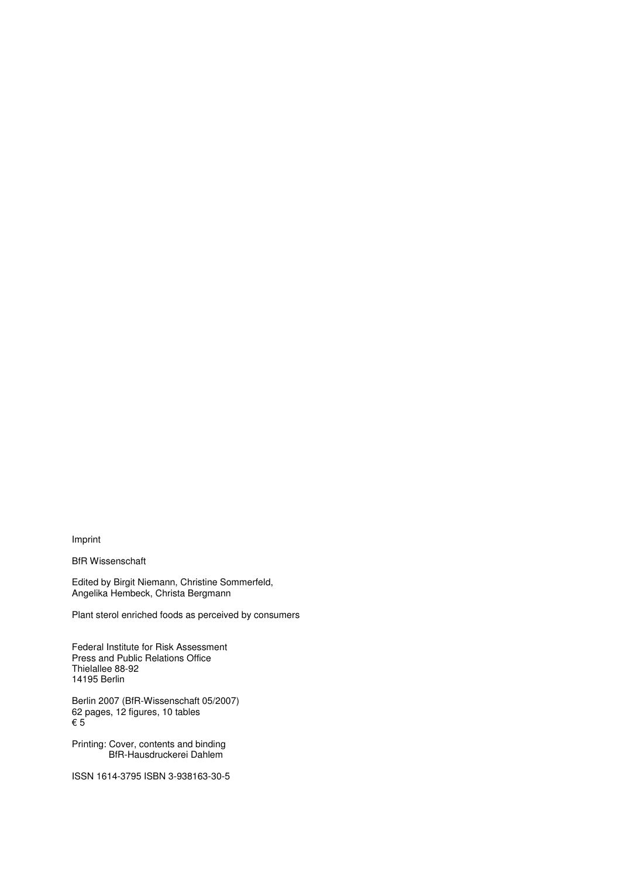Imprint

BfR Wissenschaft

Edited by Birgit Niemann, Christine Sommerfeld, Angelika Hembeck, Christa Bergmann

Plant sterol enriched foods as perceived by consumers

Federal Institute for Risk Assessment Press and Public Relations Office Thielallee 88-92 14195 Berlin

Berlin 2007 (BfR-Wissenschaft 05/2007) 62 pages, 12 figures, 10 tables € 5

Printing: Cover, contents and binding BfR-Hausdruckerei Dahlem

ISSN 1614-3795 ISBN 3-938163-30-5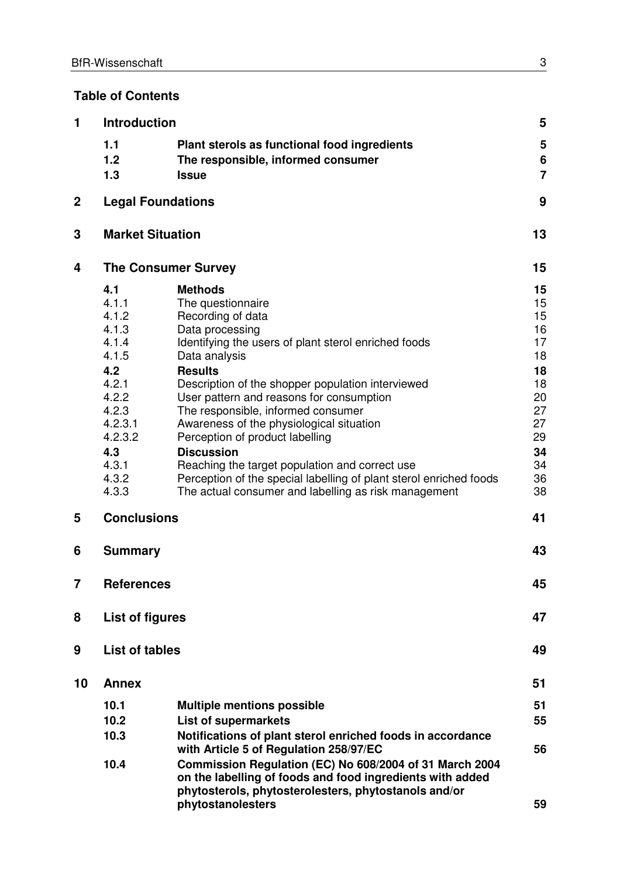# **Table of Contents**

| 1           | <b>Introduction</b>                                                                                                                        |                                                                                                                                                                                                                                                                                                                                                                                                                                                                                                                                                                                                   | 5                                                                                            |
|-------------|--------------------------------------------------------------------------------------------------------------------------------------------|---------------------------------------------------------------------------------------------------------------------------------------------------------------------------------------------------------------------------------------------------------------------------------------------------------------------------------------------------------------------------------------------------------------------------------------------------------------------------------------------------------------------------------------------------------------------------------------------------|----------------------------------------------------------------------------------------------|
|             | 1.1<br>1.2<br>1.3                                                                                                                          | Plant sterols as functional food ingredients<br>The responsible, informed consumer<br><b>Issue</b>                                                                                                                                                                                                                                                                                                                                                                                                                                                                                                | 5<br>6<br>$\overline{7}$                                                                     |
| $\mathbf 2$ | <b>Legal Foundations</b>                                                                                                                   |                                                                                                                                                                                                                                                                                                                                                                                                                                                                                                                                                                                                   | 9                                                                                            |
| 3           | <b>Market Situation</b>                                                                                                                    |                                                                                                                                                                                                                                                                                                                                                                                                                                                                                                                                                                                                   | 13                                                                                           |
| 4           |                                                                                                                                            | <b>The Consumer Survey</b>                                                                                                                                                                                                                                                                                                                                                                                                                                                                                                                                                                        | 15                                                                                           |
|             | 4.1<br>4.1.1<br>4.1.2<br>4.1.3<br>4.1.4<br>4.1.5<br>4.2<br>4.2.1<br>4.2.2<br>4.2.3<br>4.2.3.1<br>4.2.3.2<br>4.3<br>4.3.1<br>4.3.2<br>4.3.3 | <b>Methods</b><br>The questionnaire<br>Recording of data<br>Data processing<br>Identifying the users of plant sterol enriched foods<br>Data analysis<br><b>Results</b><br>Description of the shopper population interviewed<br>User pattern and reasons for consumption<br>The responsible, informed consumer<br>Awareness of the physiological situation<br>Perception of product labelling<br><b>Discussion</b><br>Reaching the target population and correct use<br>Perception of the special labelling of plant sterol enriched foods<br>The actual consumer and labelling as risk management | 15<br>15<br>15<br>16<br>17<br>18<br>18<br>18<br>20<br>27<br>27<br>29<br>34<br>34<br>36<br>38 |
| 5           | <b>Conclusions</b>                                                                                                                         |                                                                                                                                                                                                                                                                                                                                                                                                                                                                                                                                                                                                   | 41                                                                                           |
| 6           | <b>Summary</b>                                                                                                                             |                                                                                                                                                                                                                                                                                                                                                                                                                                                                                                                                                                                                   | 43                                                                                           |
| 7           | <b>References</b>                                                                                                                          |                                                                                                                                                                                                                                                                                                                                                                                                                                                                                                                                                                                                   | 45                                                                                           |
| 8           | <b>List of figures</b>                                                                                                                     |                                                                                                                                                                                                                                                                                                                                                                                                                                                                                                                                                                                                   | 47                                                                                           |
| 9           | <b>List of tables</b>                                                                                                                      |                                                                                                                                                                                                                                                                                                                                                                                                                                                                                                                                                                                                   | 49                                                                                           |
| 10          | <b>Annex</b>                                                                                                                               |                                                                                                                                                                                                                                                                                                                                                                                                                                                                                                                                                                                                   | 51                                                                                           |
|             | 10.1<br>10.2<br>10.3                                                                                                                       | <b>Multiple mentions possible</b><br><b>List of supermarkets</b><br>Notifications of plant sterol enriched foods in accordance<br>with Article 5 of Regulation 258/97/EC                                                                                                                                                                                                                                                                                                                                                                                                                          | 51<br>55<br>56                                                                               |
|             | 10.4                                                                                                                                       | Commission Regulation (EC) No 608/2004 of 31 March 2004<br>on the labelling of foods and food ingredients with added<br>phytosterols, phytosterolesters, phytostanols and/or<br>phytostanolesters                                                                                                                                                                                                                                                                                                                                                                                                 | 59                                                                                           |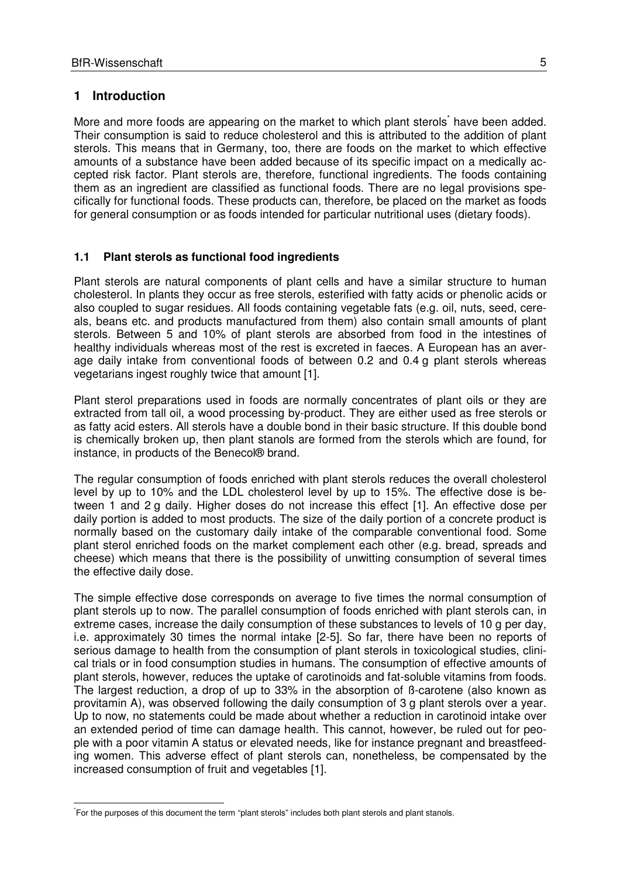#### **1 Introduction**

 $\overline{a}$ 

More and more foods are appearing on the market to which plant sterols<sup>\*</sup> have been added. Their consumption is said to reduce cholesterol and this is attributed to the addition of plant sterols. This means that in Germany, too, there are foods on the market to which effective amounts of a substance have been added because of its specific impact on a medically accepted risk factor. Plant sterols are, therefore, functional ingredients. The foods containing them as an ingredient are classified as functional foods. There are no legal provisions specifically for functional foods. These products can, therefore, be placed on the market as foods for general consumption or as foods intended for particular nutritional uses (dietary foods).

#### **1.1 Plant sterols as functional food ingredients**

Plant sterols are natural components of plant cells and have a similar structure to human cholesterol. In plants they occur as free sterols, esterified with fatty acids or phenolic acids or also coupled to sugar residues. All foods containing vegetable fats (e.g. oil, nuts, seed, cereals, beans etc. and products manufactured from them) also contain small amounts of plant sterols. Between 5 and 10% of plant sterols are absorbed from food in the intestines of healthy individuals whereas most of the rest is excreted in faeces. A European has an average daily intake from conventional foods of between 0.2 and 0.4 g plant sterols whereas vegetarians ingest roughly twice that amount [1].

Plant sterol preparations used in foods are normally concentrates of plant oils or they are extracted from tall oil, a wood processing by-product. They are either used as free sterols or as fatty acid esters. All sterols have a double bond in their basic structure. If this double bond is chemically broken up, then plant stanols are formed from the sterols which are found, for instance, in products of the Benecol® brand.

The regular consumption of foods enriched with plant sterols reduces the overall cholesterol level by up to 10% and the LDL cholesterol level by up to 15%. The effective dose is between 1 and 2 g daily. Higher doses do not increase this effect [1]. An effective dose per daily portion is added to most products. The size of the daily portion of a concrete product is normally based on the customary daily intake of the comparable conventional food. Some plant sterol enriched foods on the market complement each other (e.g. bread, spreads and cheese) which means that there is the possibility of unwitting consumption of several times the effective daily dose.

The simple effective dose corresponds on average to five times the normal consumption of plant sterols up to now. The parallel consumption of foods enriched with plant sterols can, in extreme cases, increase the daily consumption of these substances to levels of 10 g per day, i.e. approximately 30 times the normal intake [2-5]. So far, there have been no reports of serious damage to health from the consumption of plant sterols in toxicological studies, clinical trials or in food consumption studies in humans. The consumption of effective amounts of plant sterols, however, reduces the uptake of carotinoids and fat-soluble vitamins from foods. The largest reduction, a drop of up to 33% in the absorption of ß-carotene (also known as provitamin A), was observed following the daily consumption of 3 g plant sterols over a year. Up to now, no statements could be made about whether a reduction in carotinoid intake over an extended period of time can damage health. This cannot, however, be ruled out for people with a poor vitamin A status or elevated needs, like for instance pregnant and breastfeeding women. This adverse effect of plant sterols can, nonetheless, be compensated by the increased consumption of fruit and vegetables [1].

<sup>\*</sup> For the purposes of this document the term "plant sterols" includes both plant sterols and plant stanols.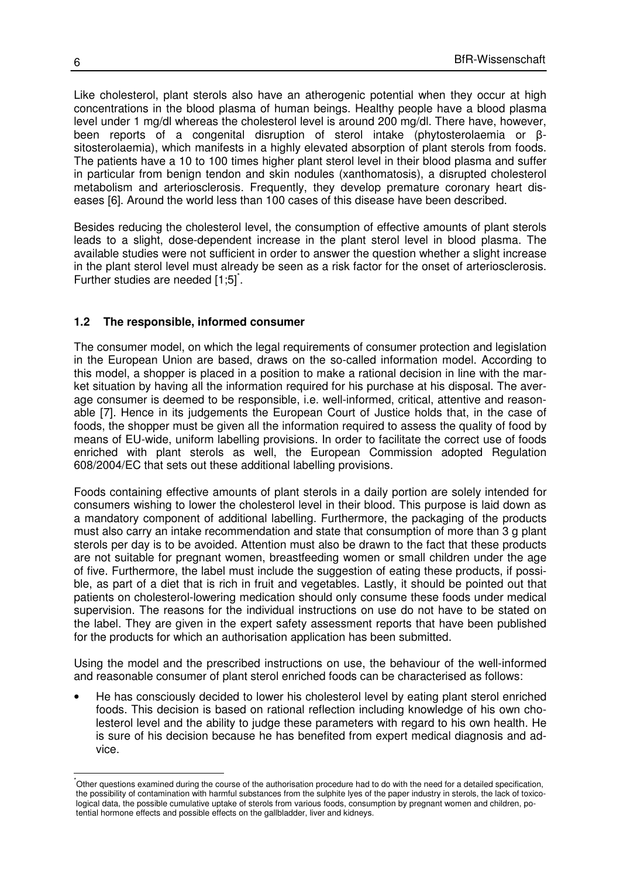Like cholesterol, plant sterols also have an atherogenic potential when they occur at high concentrations in the blood plasma of human beings. Healthy people have a blood plasma level under 1 mg/dl whereas the cholesterol level is around 200 mg/dl. There have, however, been reports of a congenital disruption of sterol intake (phytosterolaemia or βsitosterolaemia), which manifests in a highly elevated absorption of plant sterols from foods. The patients have a 10 to 100 times higher plant sterol level in their blood plasma and suffer in particular from benign tendon and skin nodules (xanthomatosis), a disrupted cholesterol metabolism and arteriosclerosis. Frequently, they develop premature coronary heart diseases [6]. Around the world less than 100 cases of this disease have been described.

Besides reducing the cholesterol level, the consumption of effective amounts of plant sterols leads to a slight, dose-dependent increase in the plant sterol level in blood plasma. The available studies were not sufficient in order to answer the question whether a slight increase in the plant sterol level must already be seen as a risk factor for the onset of arteriosclerosis. Further studies are needed [1;5]<sup>\*</sup>.

#### **1.2 The responsible, informed consumer**

The consumer model, on which the legal requirements of consumer protection and legislation in the European Union are based, draws on the so-called information model. According to this model, a shopper is placed in a position to make a rational decision in line with the market situation by having all the information required for his purchase at his disposal. The average consumer is deemed to be responsible, i.e. well-informed, critical, attentive and reasonable [7]. Hence in its judgements the European Court of Justice holds that, in the case of foods, the shopper must be given all the information required to assess the quality of food by means of EU-wide, uniform labelling provisions. In order to facilitate the correct use of foods enriched with plant sterols as well, the European Commission adopted Regulation 608/2004/EC that sets out these additional labelling provisions.

Foods containing effective amounts of plant sterols in a daily portion are solely intended for consumers wishing to lower the cholesterol level in their blood. This purpose is laid down as a mandatory component of additional labelling. Furthermore, the packaging of the products must also carry an intake recommendation and state that consumption of more than 3 g plant sterols per day is to be avoided. Attention must also be drawn to the fact that these products are not suitable for pregnant women, breastfeeding women or small children under the age of five. Furthermore, the label must include the suggestion of eating these products, if possible, as part of a diet that is rich in fruit and vegetables. Lastly, it should be pointed out that patients on cholesterol-lowering medication should only consume these foods under medical supervision. The reasons for the individual instructions on use do not have to be stated on the label. They are given in the expert safety assessment reports that have been published for the products for which an authorisation application has been submitted.

Using the model and the prescribed instructions on use, the behaviour of the well-informed and reasonable consumer of plant sterol enriched foods can be characterised as follows:

• He has consciously decided to lower his cholesterol level by eating plant sterol enriched foods. This decision is based on rational reflection including knowledge of his own cholesterol level and the ability to judge these parameters with regard to his own health. He is sure of his decision because he has benefited from expert medical diagnosis and advice.

j

<sup>\*</sup>Other questions examined during the course of the authorisation procedure had to do with the need for a detailed specification, the possibility of contamination with harmful substances from the sulphite lyes of the paper industry in sterols, the lack of toxicological data, the possible cumulative uptake of sterols from various foods, consumption by pregnant women and children, potential hormone effects and possible effects on the gallbladder, liver and kidneys.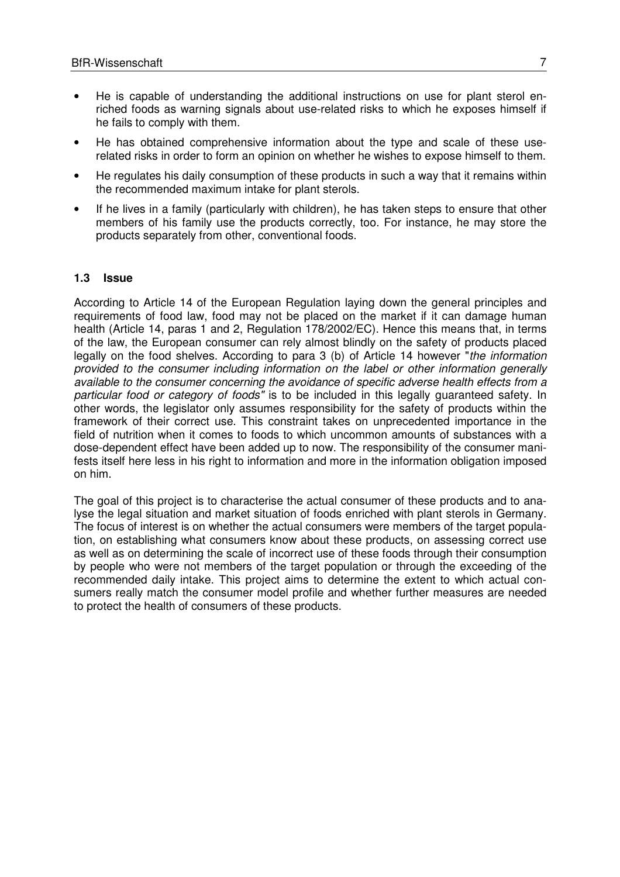- He is capable of understanding the additional instructions on use for plant sterol enriched foods as warning signals about use-related risks to which he exposes himself if he fails to comply with them.
- He has obtained comprehensive information about the type and scale of these userelated risks in order to form an opinion on whether he wishes to expose himself to them.
- He regulates his daily consumption of these products in such a way that it remains within the recommended maximum intake for plant sterols.
- If he lives in a family (particularly with children), he has taken steps to ensure that other members of his family use the products correctly, too. For instance, he may store the products separately from other, conventional foods.

#### **1.3 Issue**

According to Article 14 of the European Regulation laying down the general principles and requirements of food law, food may not be placed on the market if it can damage human health (Article 14, paras 1 and 2, Regulation 178/2002/EC). Hence this means that, in terms of the law, the European consumer can rely almost blindly on the safety of products placed legally on the food shelves. According to para 3 (b) of Article 14 however "the information provided to the consumer including information on the label or other information generally available to the consumer concerning the avoidance of specific adverse health effects from a particular food or category of foods" is to be included in this legally guaranteed safety. In other words, the legislator only assumes responsibility for the safety of products within the framework of their correct use. This constraint takes on unprecedented importance in the field of nutrition when it comes to foods to which uncommon amounts of substances with a dose-dependent effect have been added up to now. The responsibility of the consumer manifests itself here less in his right to information and more in the information obligation imposed on him.

The goal of this project is to characterise the actual consumer of these products and to analyse the legal situation and market situation of foods enriched with plant sterols in Germany. The focus of interest is on whether the actual consumers were members of the target population, on establishing what consumers know about these products, on assessing correct use as well as on determining the scale of incorrect use of these foods through their consumption by people who were not members of the target population or through the exceeding of the recommended daily intake. This project aims to determine the extent to which actual consumers really match the consumer model profile and whether further measures are needed to protect the health of consumers of these products.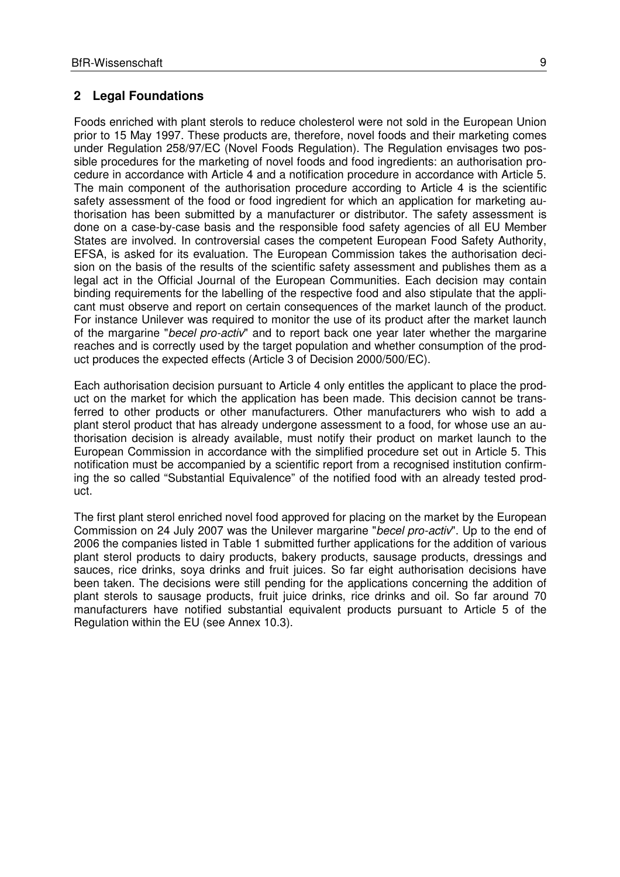### **2 Legal Foundations**

Foods enriched with plant sterols to reduce cholesterol were not sold in the European Union prior to 15 May 1997. These products are, therefore, novel foods and their marketing comes under Regulation 258/97/EC (Novel Foods Regulation). The Regulation envisages two possible procedures for the marketing of novel foods and food ingredients: an authorisation procedure in accordance with Article 4 and a notification procedure in accordance with Article 5. The main component of the authorisation procedure according to Article 4 is the scientific safety assessment of the food or food ingredient for which an application for marketing authorisation has been submitted by a manufacturer or distributor. The safety assessment is done on a case-by-case basis and the responsible food safety agencies of all EU Member States are involved. In controversial cases the competent European Food Safety Authority, EFSA, is asked for its evaluation. The European Commission takes the authorisation decision on the basis of the results of the scientific safety assessment and publishes them as a legal act in the Official Journal of the European Communities. Each decision may contain binding requirements for the labelling of the respective food and also stipulate that the applicant must observe and report on certain consequences of the market launch of the product. For instance Unilever was required to monitor the use of its product after the market launch of the margarine "becel pro-activ" and to report back one year later whether the margarine reaches and is correctly used by the target population and whether consumption of the product produces the expected effects (Article 3 of Decision 2000/500/EC).

Each authorisation decision pursuant to Article 4 only entitles the applicant to place the product on the market for which the application has been made. This decision cannot be transferred to other products or other manufacturers. Other manufacturers who wish to add a plant sterol product that has already undergone assessment to a food, for whose use an authorisation decision is already available, must notify their product on market launch to the European Commission in accordance with the simplified procedure set out in Article 5. This notification must be accompanied by a scientific report from a recognised institution confirming the so called "Substantial Equivalence" of the notified food with an already tested product.

The first plant sterol enriched novel food approved for placing on the market by the European Commission on 24 July 2007 was the Unilever margarine "becel pro-activ". Up to the end of 2006 the companies listed in Table 1 submitted further applications for the addition of various plant sterol products to dairy products, bakery products, sausage products, dressings and sauces, rice drinks, soya drinks and fruit juices. So far eight authorisation decisions have been taken. The decisions were still pending for the applications concerning the addition of plant sterols to sausage products, fruit juice drinks, rice drinks and oil. So far around 70 manufacturers have notified substantial equivalent products pursuant to Article 5 of the Regulation within the EU (see Annex 10.3).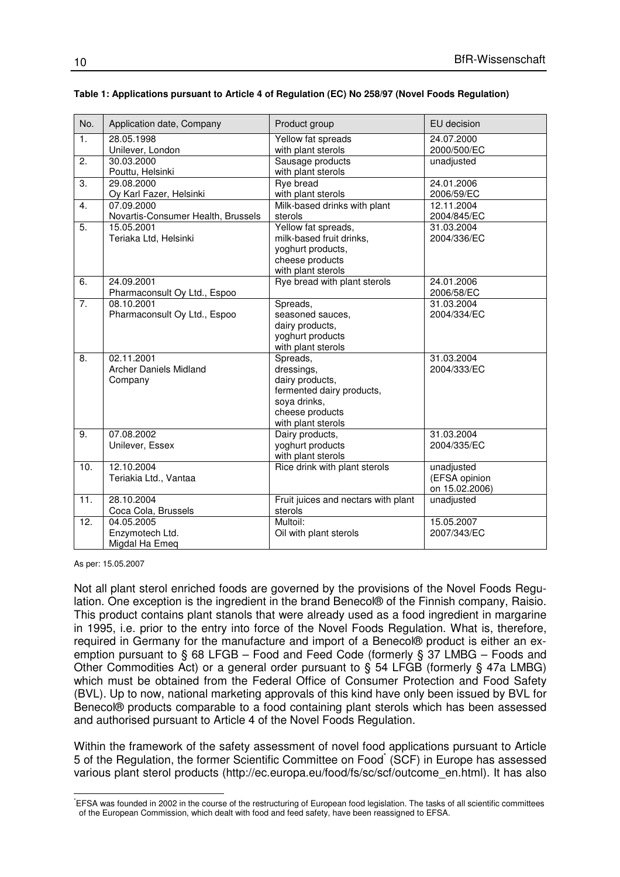| No.               | Application date, Company          | Product group                       | EU decision    |
|-------------------|------------------------------------|-------------------------------------|----------------|
| 1.                | 28.05.1998                         | Yellow fat spreads                  | 24.07.2000     |
|                   | Unilever, London                   | with plant sterols                  | 2000/500/EC    |
| 2.                | 30.03.2000                         | Sausage products                    | unadjusted     |
|                   | Pouttu, Helsinki                   | with plant sterols                  |                |
| 3.                | 29.08.2000                         | <b>Rye bread</b>                    | 24.01.2006     |
|                   | Oy Karl Fazer, Helsinki            | with plant sterols                  | 2006/59/EC     |
| $\overline{4}$ .  | 07.09.2000                         | Milk-based drinks with plant        | 12.11.2004     |
|                   | Novartis-Consumer Health, Brussels | sterols                             | 2004/845/EC    |
| 5.                | 15.05.2001                         | Yellow fat spreads,                 | 31.03.2004     |
|                   | Teriaka Ltd, Helsinki              | milk-based fruit drinks,            | 2004/336/EC    |
|                   |                                    | yoghurt products,                   |                |
|                   |                                    | cheese products                     |                |
|                   |                                    | with plant sterols                  |                |
| 6.                | 24.09.2001                         | Rye bread with plant sterols        | 24.01.2006     |
|                   | Pharmaconsult Oy Ltd., Espoo       |                                     | 2006/58/EC     |
| 7.                | 08.10.2001                         | Spreads,                            | 31.03.2004     |
|                   | Pharmaconsult Oy Ltd., Espoo       | seasoned sauces,                    | 2004/334/EC    |
|                   |                                    | dairy products,                     |                |
|                   |                                    | yoghurt products                    |                |
|                   |                                    | with plant sterols                  |                |
| $\overline{8}$ .  | 02.11.2001                         | Spreads,                            | 31.03.2004     |
|                   | <b>Archer Daniels Midland</b>      | dressings,                          | 2004/333/EC    |
|                   | Company                            | dairy products,                     |                |
|                   |                                    | fermented dairy products,           |                |
|                   |                                    | soya drinks,                        |                |
|                   |                                    | cheese products                     |                |
|                   |                                    | with plant sterols                  |                |
| $\overline{9}$ .  | 07.08.2002                         | Dairy products,                     | 31.03.2004     |
|                   | Unilever, Essex                    | yoghurt products                    | 2004/335/EC    |
|                   | 12.10.2004                         | with plant sterols                  |                |
| 10.               |                                    | Rice drink with plant sterols       | unadjusted     |
|                   | Teriakia Ltd., Vantaa              |                                     | (EFSA opinion  |
| 11.               | 28.10.2004                         |                                     | on 15.02.2006) |
|                   |                                    | Fruit juices and nectars with plant | unadjusted     |
|                   | Coca Cola, Brussels                | sterols<br>Multoil:                 |                |
| $\overline{12}$ . | 04.05.2005                         |                                     | 15.05.2007     |
|                   | Enzymotech Ltd.                    | Oil with plant sterols              | 2007/343/EC    |
|                   | Migdal Ha Emeq                     |                                     |                |

#### **Table 1: Applications pursuant to Article 4 of Regulation (EC) No 258/97 (Novel Foods Regulation)**

As per: 15.05.2007

Not all plant sterol enriched foods are governed by the provisions of the Novel Foods Regulation. One exception is the ingredient in the brand Benecol® of the Finnish company, Raisio. This product contains plant stanols that were already used as a food ingredient in margarine in 1995, i.e. prior to the entry into force of the Novel Foods Regulation. What is, therefore, required in Germany for the manufacture and import of a Benecol® product is either an exemption pursuant to § 68 LFGB – Food and Feed Code (formerly § 37 LMBG – Foods and Other Commodities Act) or a general order pursuant to § 54 LFGB (formerly § 47a LMBG) which must be obtained from the Federal Office of Consumer Protection and Food Safety (BVL). Up to now, national marketing approvals of this kind have only been issued by BVL for Benecol® products comparable to a food containing plant sterols which has been assessed and authorised pursuant to Article 4 of the Novel Foods Regulation.

Within the framework of the safety assessment of novel food applications pursuant to Article 5 of the Regulation, the former Scientific Committee on Food<sup>\*</sup> (SCF) in Europe has assessed various plant sterol products (http://ec.europa.eu/food/fs/sc/scf/outcome\_en.html). It has also

 \*EFSA was founded in 2002 in the course of the restructuring of European food legislation. The tasks of all scientific committees of the European Commission, which dealt with food and feed safety, have been reassigned to EFSA.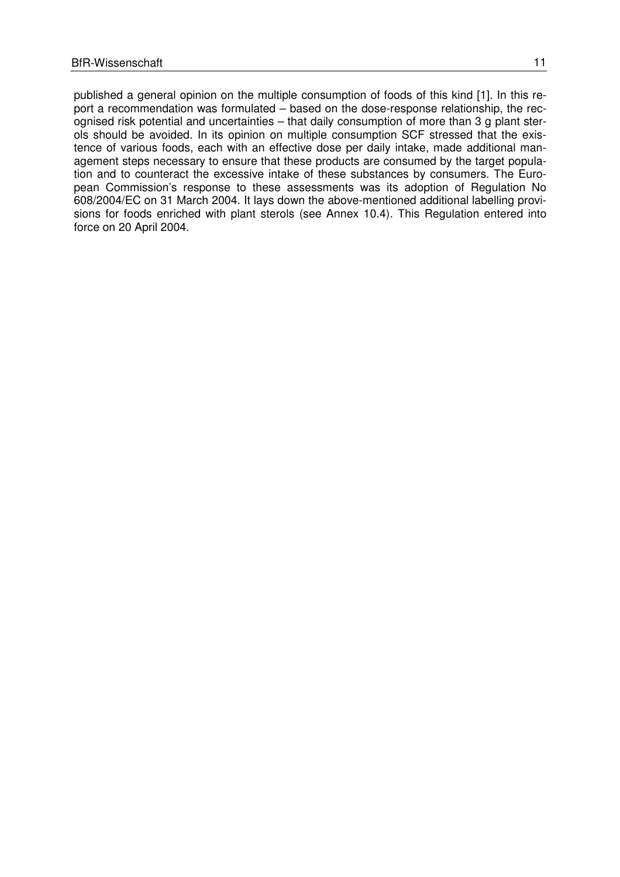published a general opinion on the multiple consumption of foods of this kind [1]. In this report a recommendation was formulated – based on the dose-response relationship, the recognised risk potential and uncertainties – that daily consumption of more than 3 g plant sterols should be avoided. In its opinion on multiple consumption SCF stressed that the existence of various foods, each with an effective dose per daily intake, made additional management steps necessary to ensure that these products are consumed by the target population and to counteract the excessive intake of these substances by consumers. The European Commission's response to these assessments was its adoption of Regulation No 608/2004/EC on 31 March 2004. It lays down the above-mentioned additional labelling provisions for foods enriched with plant sterols (see Annex 10.4). This Regulation entered into force on 20 April 2004.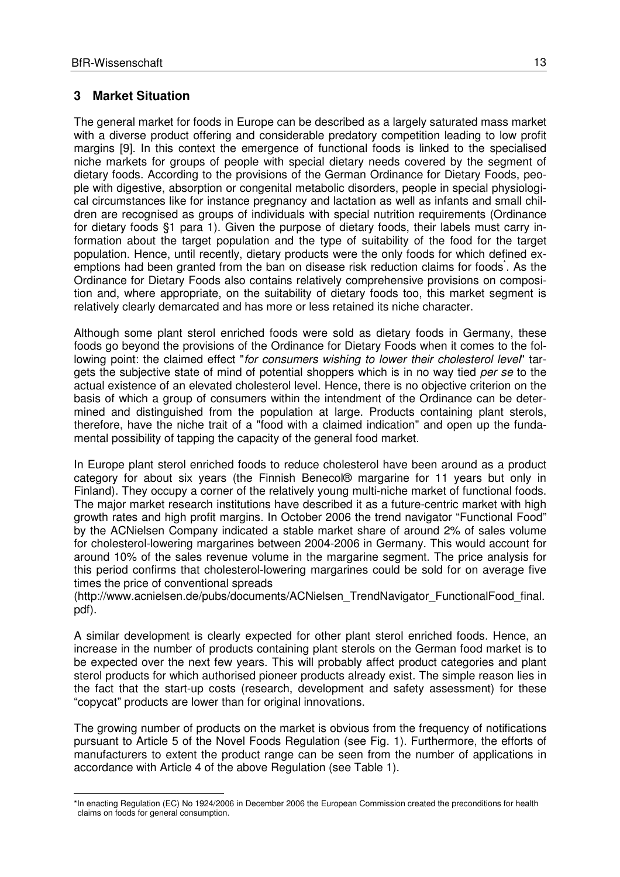# **3 Market Situation**

The general market for foods in Europe can be described as a largely saturated mass market with a diverse product offering and considerable predatory competition leading to low profit margins [9]. In this context the emergence of functional foods is linked to the specialised niche markets for groups of people with special dietary needs covered by the segment of dietary foods. According to the provisions of the German Ordinance for Dietary Foods, people with digestive, absorption or congenital metabolic disorders, people in special physiological circumstances like for instance pregnancy and lactation as well as infants and small children are recognised as groups of individuals with special nutrition requirements (Ordinance for dietary foods §1 para 1). Given the purpose of dietary foods, their labels must carry information about the target population and the type of suitability of the food for the target population. Hence, until recently, dietary products were the only foods for which defined exemptions had been granted from the ban on disease risk reduction claims for foods<sup>\*</sup>. As the Ordinance for Dietary Foods also contains relatively comprehensive provisions on composition and, where appropriate, on the suitability of dietary foods too, this market segment is relatively clearly demarcated and has more or less retained its niche character.

Although some plant sterol enriched foods were sold as dietary foods in Germany, these foods go beyond the provisions of the Ordinance for Dietary Foods when it comes to the following point: the claimed effect "for consumers wishing to lower their cholesterol level" targets the subjective state of mind of potential shoppers which is in no way tied per se to the actual existence of an elevated cholesterol level. Hence, there is no objective criterion on the basis of which a group of consumers within the intendment of the Ordinance can be determined and distinguished from the population at large. Products containing plant sterols, therefore, have the niche trait of a "food with a claimed indication" and open up the fundamental possibility of tapping the capacity of the general food market.

In Europe plant sterol enriched foods to reduce cholesterol have been around as a product category for about six years (the Finnish Benecol® margarine for 11 years but only in Finland). They occupy a corner of the relatively young multi-niche market of functional foods. The major market research institutions have described it as a future-centric market with high growth rates and high profit margins. In October 2006 the trend navigator "Functional Food" by the ACNielsen Company indicated a stable market share of around 2% of sales volume for cholesterol-lowering margarines between 2004-2006 in Germany. This would account for around 10% of the sales revenue volume in the margarine segment. The price analysis for this period confirms that cholesterol-lowering margarines could be sold for on average five times the price of conventional spreads

(http://www.acnielsen.de/pubs/documents/ACNielsen\_TrendNavigator\_FunctionalFood\_final. pdf).

A similar development is clearly expected for other plant sterol enriched foods. Hence, an increase in the number of products containing plant sterols on the German food market is to be expected over the next few years. This will probably affect product categories and plant sterol products for which authorised pioneer products already exist. The simple reason lies in the fact that the start-up costs (research, development and safety assessment) for these "copycat" products are lower than for original innovations.

The growing number of products on the market is obvious from the frequency of notifications pursuant to Article 5 of the Novel Foods Regulation (see Fig. 1). Furthermore, the efforts of manufacturers to extent the product range can be seen from the number of applications in accordance with Article 4 of the above Regulation (see Table 1).

 \*In enacting Regulation (EC) No 1924/2006 in December 2006 the European Commission created the preconditions for health claims on foods for general consumption.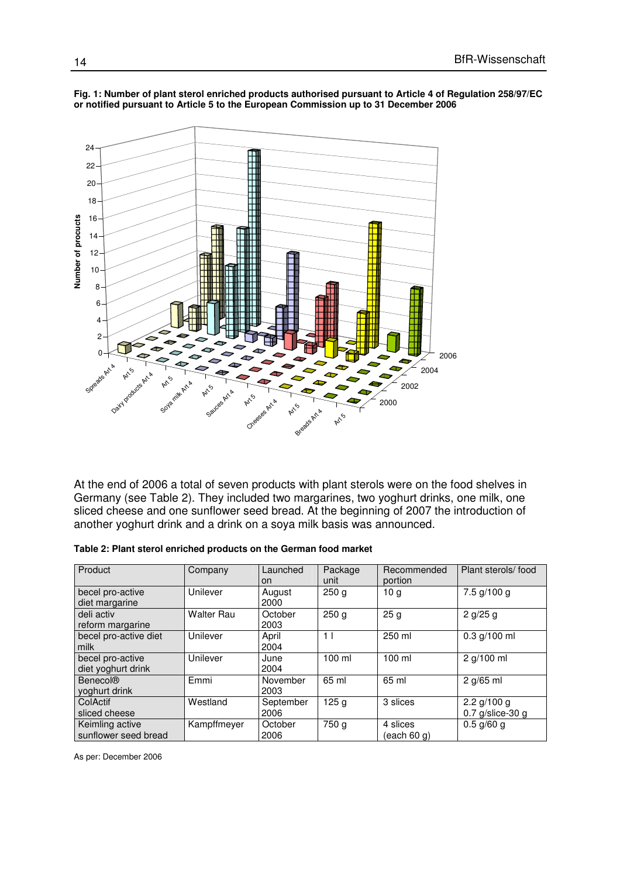

#### **Fig. 1: Number of plant sterol enriched products authorised pursuant to Article 4 of Regulation 258/97/EC or notified pursuant to Article 5 to the European Commission up to 31 December 2006**

At the end of 2006 a total of seven products with plant sterols were on the food shelves in Germany (see Table 2). They included two margarines, two yoghurt drinks, one milk, one sliced cheese and one sunflower seed bread. At the beginning of 2007 the introduction of another yoghurt drink and a drink on a soya milk basis was announced.

| Product                                 | Company           | Launched<br>on    | Package<br>unit  | Recommended<br>portion  | Plant sterols/food                  |
|-----------------------------------------|-------------------|-------------------|------------------|-------------------------|-------------------------------------|
| becel pro-active<br>diet margarine      | Unilever          | August<br>2000    | 250 <sub>q</sub> | 10 <sub>q</sub>         | 7.5 a/100 a                         |
| deli activ<br>reform margarine          | <b>Walter Rau</b> | October<br>2003   | 250 <sub>g</sub> | 25 <sub>g</sub>         | 2 g/25 g                            |
| becel pro-active diet<br>milk           | Unilever          | April<br>2004     | 1 <sub>1</sub>   | 250 ml                  | $0.3$ g/100 ml                      |
| becel pro-active<br>diet yoghurt drink  | Unilever          | June<br>2004      | $100$ ml         | $100$ ml                | 2 g/100 ml                          |
| <b>Benecol®</b><br>voghurt drink        | Emmi              | November<br>2003  | 65 ml            | 65 ml                   | 2 q/65 ml                           |
| ColActif<br>sliced cheese               | Westland          | September<br>2006 | 125 <sub>g</sub> | 3 slices                | 2.2 $g/100 g$<br>$0.7$ g/slice-30 g |
| Keimling active<br>sunflower seed bread | Kampffmeyer       | October<br>2006   | 750 g            | 4 slices<br>(each 60 q) | $0.5$ g/60 g                        |

As per: December 2006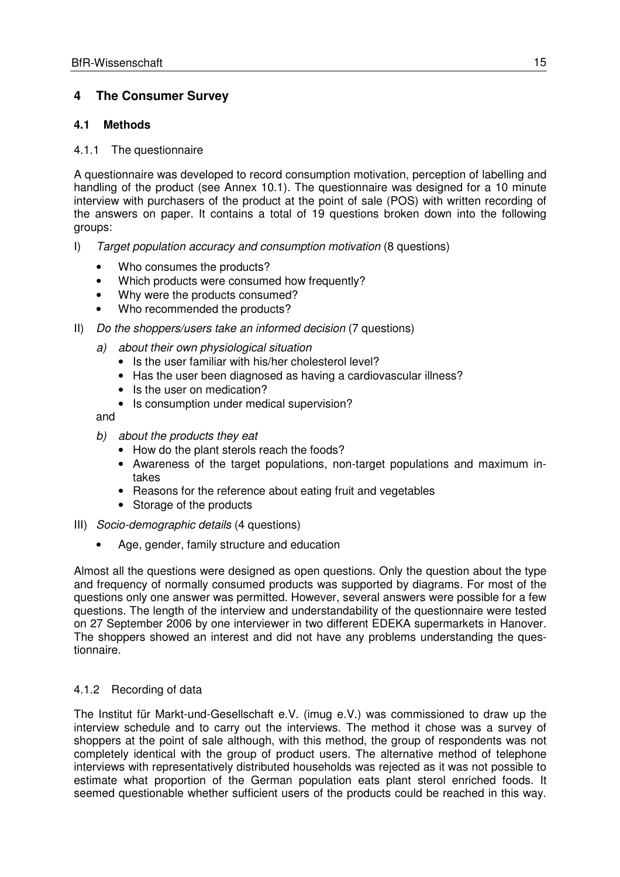# **4 The Consumer Survey**

# **4.1 Methods**

#### 4.1.1 The questionnaire

A questionnaire was developed to record consumption motivation, perception of labelling and handling of the product (see Annex 10.1). The questionnaire was designed for a 10 minute interview with purchasers of the product at the point of sale (POS) with written recording of the answers on paper. It contains a total of 19 questions broken down into the following groups:

- I) Target population accuracy and consumption motivation (8 questions)
	- Who consumes the products?
	- Which products were consumed how frequently?
	- Why were the products consumed?
	- Who recommended the products?
- II) Do the shoppers/users take an informed decision (7 questions)
	- a) about their own physiological situation
		- Is the user familiar with his/her cholesterol level?
		- Has the user been diagnosed as having a cardiovascular illness?
		- Is the user on medication?
		- Is consumption under medical supervision?

and

- b) about the products they eat
	- How do the plant sterols reach the foods?
	- Awareness of the target populations, non-target populations and maximum intakes
	- Reasons for the reference about eating fruit and vegetables
	- Storage of the products
- III) Socio-demographic details (4 questions)
	- Age, gender, family structure and education

Almost all the questions were designed as open questions. Only the question about the type and frequency of normally consumed products was supported by diagrams. For most of the questions only one answer was permitted. However, several answers were possible for a few questions. The length of the interview and understandability of the questionnaire were tested on 27 September 2006 by one interviewer in two different EDEKA supermarkets in Hanover. The shoppers showed an interest and did not have any problems understanding the questionnaire.

#### 4.1.2 Recording of data

The Institut für Markt-und-Gesellschaft e.V. (imug e.V.) was commissioned to draw up the interview schedule and to carry out the interviews. The method it chose was a survey of shoppers at the point of sale although, with this method, the group of respondents was not completely identical with the group of product users. The alternative method of telephone interviews with representatively distributed households was rejected as it was not possible to estimate what proportion of the German population eats plant sterol enriched foods. It seemed questionable whether sufficient users of the products could be reached in this way.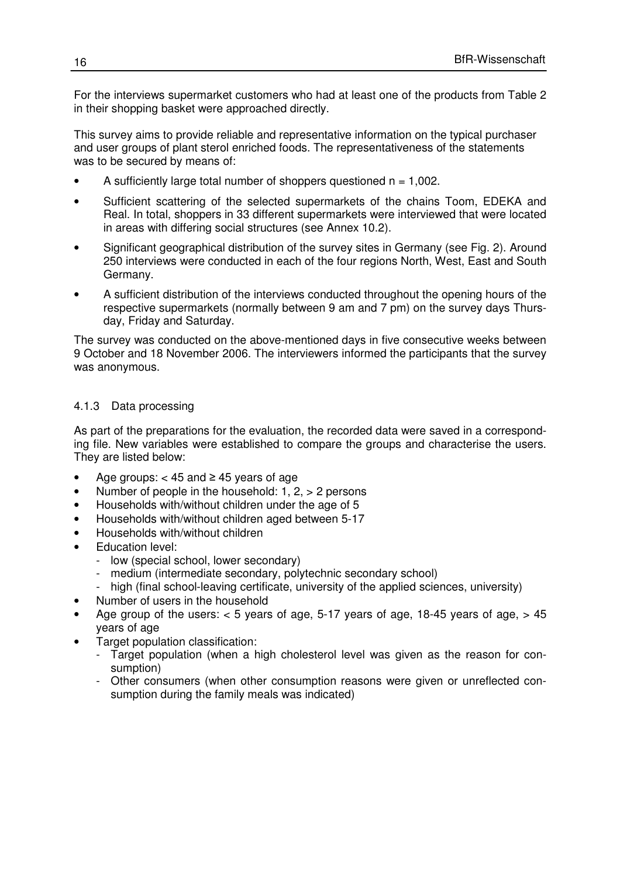For the interviews supermarket customers who had at least one of the products from Table 2 in their shopping basket were approached directly.

This survey aims to provide reliable and representative information on the typical purchaser and user groups of plant sterol enriched foods. The representativeness of the statements was to be secured by means of:

- A sufficiently large total number of shoppers questioned  $n = 1,002$ .
- Sufficient scattering of the selected supermarkets of the chains Toom, EDEKA and Real. In total, shoppers in 33 different supermarkets were interviewed that were located in areas with differing social structures (see Annex 10.2).
- Significant geographical distribution of the survey sites in Germany (see Fig. 2). Around 250 interviews were conducted in each of the four regions North, West, East and South Germany.
- A sufficient distribution of the interviews conducted throughout the opening hours of the respective supermarkets (normally between 9 am and 7 pm) on the survey days Thursday, Friday and Saturday.

The survey was conducted on the above-mentioned days in five consecutive weeks between 9 October and 18 November 2006. The interviewers informed the participants that the survey was anonymous.

### 4.1.3 Data processing

As part of the preparations for the evaluation, the recorded data were saved in a corresponding file. New variables were established to compare the groups and characterise the users. They are listed below:

- Age groups:  $<$  45 and  $\ge$  45 years of age
- Number of people in the household:  $1, 2, > 2$  persons
- Households with/without children under the age of 5
- Households with/without children aged between 5-17
- Households with/without children
- **Education level:** 
	- low (special school, lower secondary)
	- medium (intermediate secondary, polytechnic secondary school)
	- high (final school-leaving certificate, university of the applied sciences, university)
- Number of users in the household
- Age group of the users:  $<$  5 years of age, 5-17 years of age, 18-45 years of age,  $>$  45 years of age
- Target population classification:
	- Target population (when a high cholesterol level was given as the reason for consumption)
	- Other consumers (when other consumption reasons were given or unreflected consumption during the family meals was indicated)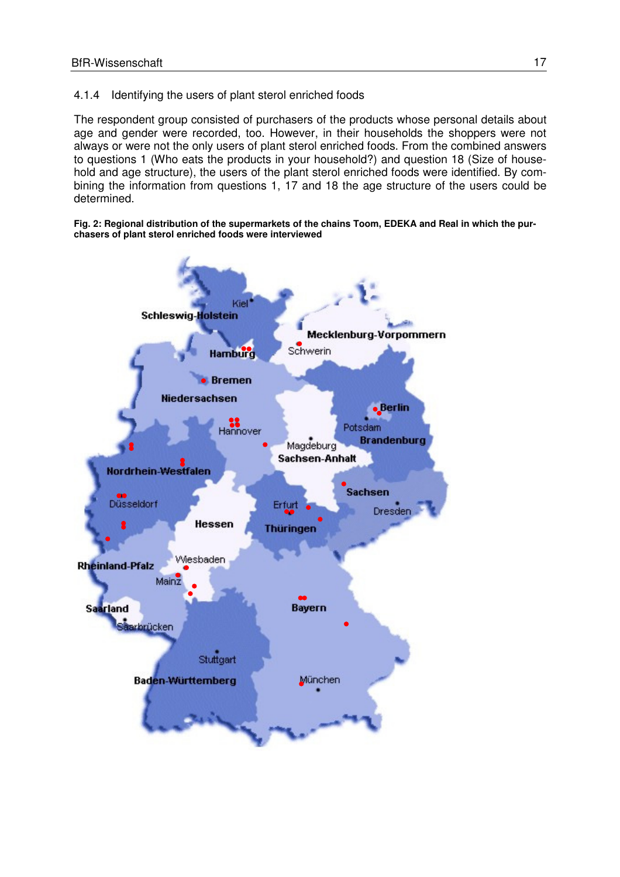### 4.1.4 Identifying the users of plant sterol enriched foods

The respondent group consisted of purchasers of the products whose personal details about age and gender were recorded, too. However, in their households the shoppers were not always or were not the only users of plant sterol enriched foods. From the combined answers to questions 1 (Who eats the products in your household?) and question 18 (Size of household and age structure), the users of the plant sterol enriched foods were identified. By combining the information from questions 1, 17 and 18 the age structure of the users could be determined.

**Fig. 2: Regional distribution of the supermarkets of the chains Toom, EDEKA and Real in which the purchasers of plant sterol enriched foods were interviewed** 

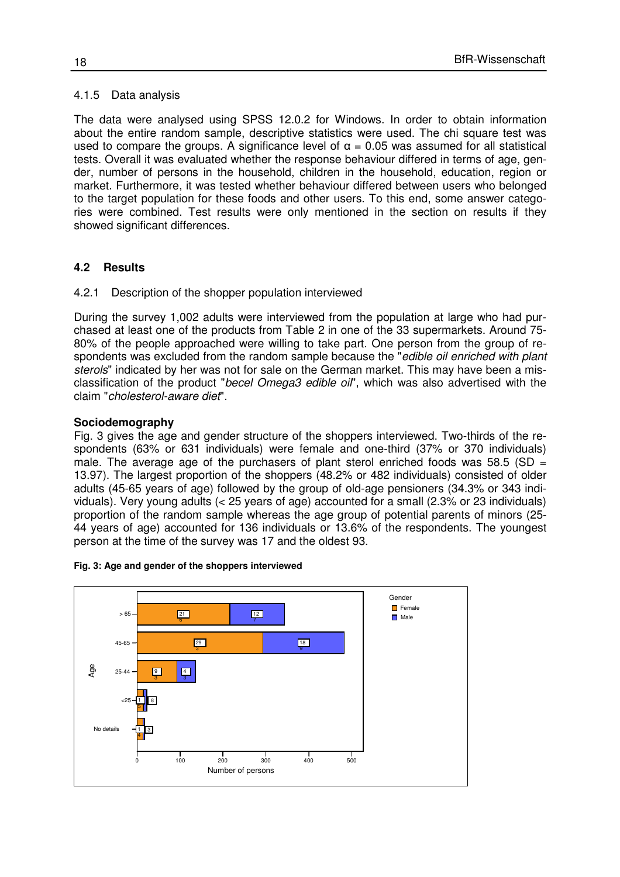#### 4.1.5 Data analysis

The data were analysed using SPSS 12.0.2 for Windows. In order to obtain information about the entire random sample, descriptive statistics were used. The chi square test was used to compare the groups. A significance level of  $\alpha$  = 0.05 was assumed for all statistical tests. Overall it was evaluated whether the response behaviour differed in terms of age, gender, number of persons in the household, children in the household, education, region or market. Furthermore, it was tested whether behaviour differed between users who belonged to the target population for these foods and other users. To this end, some answer categories were combined. Test results were only mentioned in the section on results if they showed significant differences.

#### **4.2 Results**

#### 4.2.1 Description of the shopper population interviewed

During the survey 1,002 adults were interviewed from the population at large who had purchased at least one of the products from Table 2 in one of the 33 supermarkets. Around 75- 80% of the people approached were willing to take part. One person from the group of respondents was excluded from the random sample because the "edible oil enriched with plant sterols" indicated by her was not for sale on the German market. This may have been a misclassification of the product "becel Omega3 edible oil", which was also advertised with the claim "cholesterol-aware diet".

#### **Sociodemography**

Fig. 3 gives the age and gender structure of the shoppers interviewed. Two-thirds of the respondents (63% or 631 individuals) were female and one-third (37% or 370 individuals) male. The average age of the purchasers of plant sterol enriched foods was 58.5 (SD  $=$ 13.97). The largest proportion of the shoppers (48.2% or 482 individuals) consisted of older adults (45-65 years of age) followed by the group of old-age pensioners (34.3% or 343 individuals). Very young adults (< 25 years of age) accounted for a small (2.3% or 23 individuals) proportion of the random sample whereas the age group of potential parents of minors (25- 44 years of age) accounted for 136 individuals or 13.6% of the respondents. The youngest person at the time of the survey was 17 and the oldest 93.



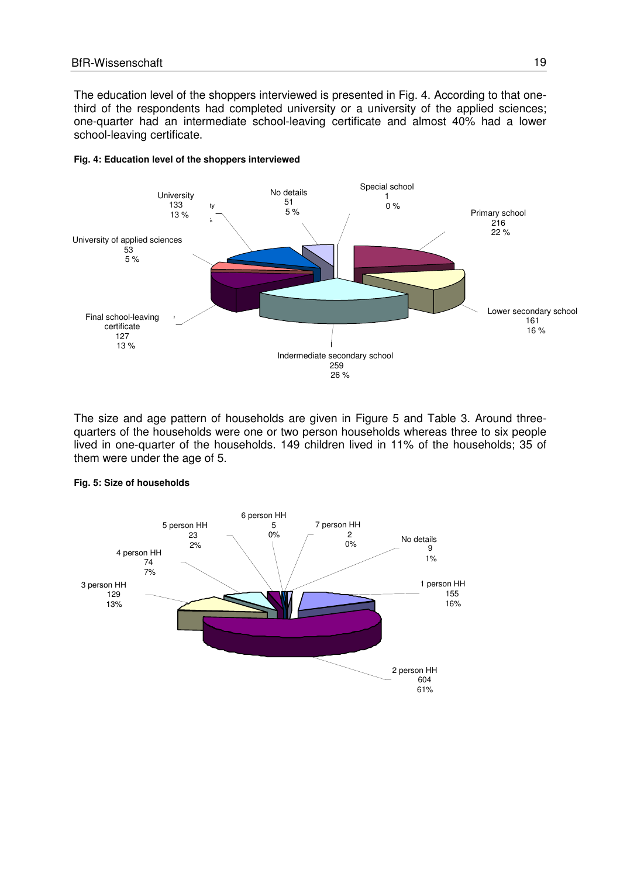The education level of the shoppers interviewed is presented in Fig. 4. According to that onethird of the respondents had completed university or a university of the applied sciences; one-quarter had an intermediate school-leaving certificate and almost 40% had a lower school-leaving certificate.



#### **Fig. 4: Education level of the shoppers interviewed**

The size and age pattern of households are given in Figure 5 and Table 3. Around threequarters of the households were one or two person households whereas three to six people lived in one-quarter of the households. 149 children lived in 11% of the households; 35 of them were under the age of 5.



#### **Fig. 5: Size of households**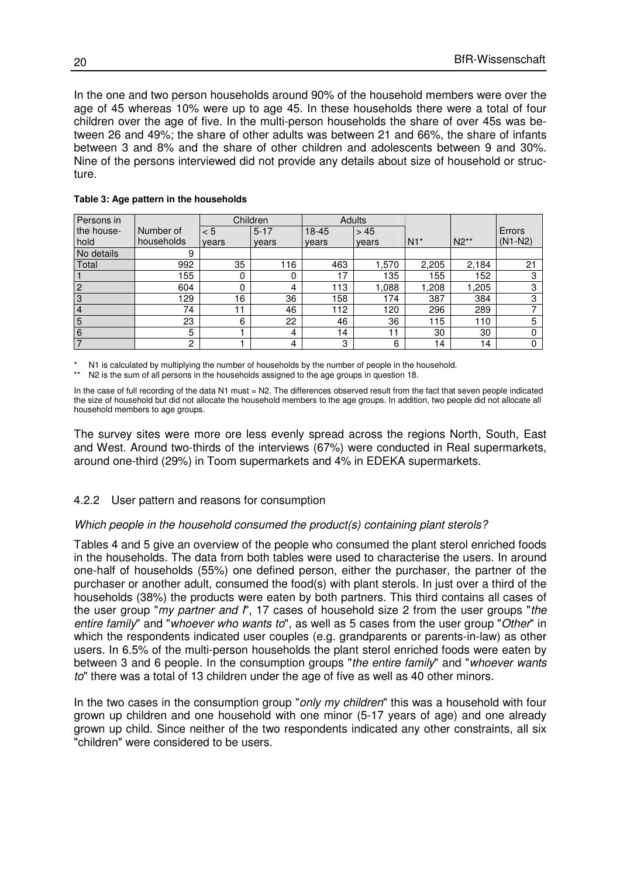In the one and two person households around 90% of the household members were over the age of 45 whereas 10% were up to age 45. In these households there were a total of four children over the age of five. In the multi-person households the share of over 45s was between 26 and 49%; the share of other adults was between 21 and 66%, the share of infants between 3 and 8% and the share of other children and adolescents between 9 and 30%. Nine of the persons interviewed did not provide any details about size of household or structure.

| Persons in      |            |       | Children       | Adults |        |       |        |           |
|-----------------|------------|-------|----------------|--------|--------|-------|--------|-----------|
| the house-      | Number of  | < 5   | $5 - 17$       | 18-45  | > 45   |       |        | Errors    |
| hold            | households | years | years          | vears  | years  | $N1*$ | $N2**$ | $(N1-N2)$ |
| No details      | 9          |       |                |        |        |       |        |           |
| Total           | 992        | 35    | 116            | 463    | 570. ا | 2,205 | 2,184  | 21        |
|                 | 155        | 0     | 0              | 17     | 135    | 155   | 52     | ົ         |
| $\overline{2}$  | 604        | 0     | 4              | 13     | 088, ا | ,208  | 1,205  | 3         |
| 3               | 129        | 16    | 36             | 158    | 174    | 387   | 384    | 3         |
| $\overline{4}$  | 74         | 11    | 46             | 12     | 120    | 296   | 289    |           |
| $\overline{5}$  | 23         | 6     | 22             | 46     | 36     | 115   | 110    | 5         |
| $6\phantom{1}6$ | 5          |       | $\overline{4}$ | 14     | 11     | 30    | 30     |           |
| $\overline{7}$  | 2          |       | 4              | 3      | 6      | 14    | 14     |           |

#### **Table 3: Age pattern in the households**

N1 is calculated by multiplying the number of households by the number of people in the household.

N2 is the sum of all persons in the households assigned to the age groups in question 18.

In the case of full recording of the data N1 must = N2. The differences observed result from the fact that seven people indicated the size of household but did not allocate the household members to the age groups. In addition, two people did not allocate all household members to age groups.

The survey sites were more ore less evenly spread across the regions North, South, East and West. Around two-thirds of the interviews (67%) were conducted in Real supermarkets, around one-third (29%) in Toom supermarkets and 4% in EDEKA supermarkets.

#### 4.2.2 User pattern and reasons for consumption

#### Which people in the household consumed the product(s) containing plant sterols?

Tables 4 and 5 give an overview of the people who consumed the plant sterol enriched foods in the households. The data from both tables were used to characterise the users. In around one-half of households (55%) one defined person, either the purchaser, the partner of the purchaser or another adult, consumed the food(s) with plant sterols. In just over a third of the households (38%) the products were eaten by both partners. This third contains all cases of the user group "my partner and  $\Gamma$ . 17 cases of household size 2 from the user groups "the entire family" and "whoever who wants to", as well as 5 cases from the user group "Other" in which the respondents indicated user couples (e.g. grandparents or parents-in-law) as other users. In 6.5% of the multi-person households the plant sterol enriched foods were eaten by between 3 and 6 people. In the consumption groups "the entire family" and "whoever wants to" there was a total of 13 children under the age of five as well as 40 other minors.

In the two cases in the consumption group "only my children" this was a household with four grown up children and one household with one minor (5-17 years of age) and one already grown up child. Since neither of the two respondents indicated any other constraints, all six "children" were considered to be users.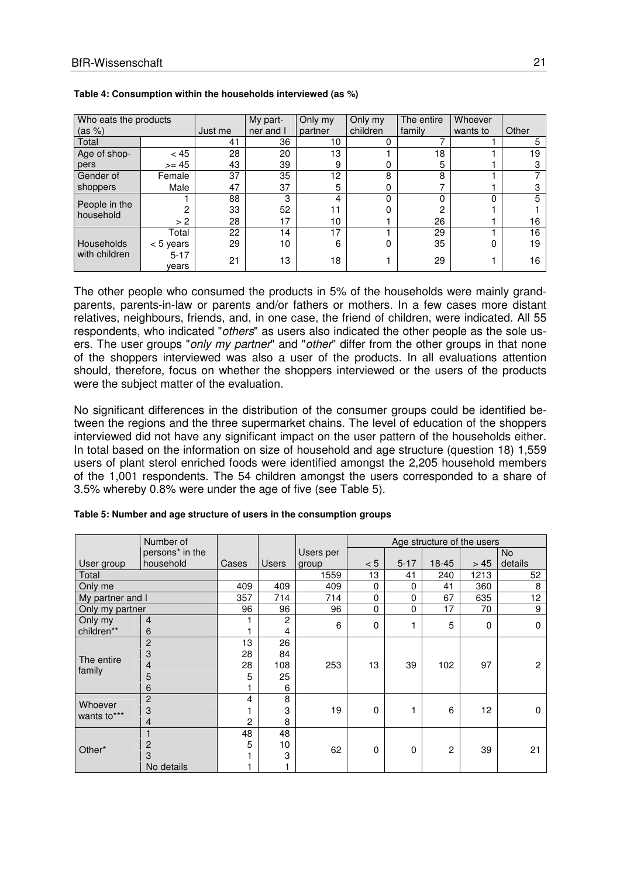| Who eats the products      |                   |         | My part-  | Only my | Only my  | The entire | Whoever  |       |
|----------------------------|-------------------|---------|-----------|---------|----------|------------|----------|-------|
| (as %)                     |                   | Just me | ner and I | partner | children | family     | wants to | Other |
| Total                      |                   | 41      | 36        | 10      | 0        | ⇁          |          | 5     |
| Age of shop-               | < 45              | 28      | 20        | 13      |          | 18         |          | 19    |
| pers                       | $>= 45$           | 43      | 39        | 9       | 0        | 5          |          | З     |
| Gender of                  | Female            | 37      | 35        | 12      | 8        | 8          |          |       |
| shoppers                   | Male              | 47      | 37        | 5       | 0        | ⇁          |          | n     |
|                            |                   | 88      | 3         | 4       | 0        | 0          | 0        | 5     |
| People in the<br>household |                   | 33      | 52        | 11      | ი        | 2          |          |       |
|                            | > 2               | 28      | 17        | 10      |          | 26         |          | 16    |
|                            | Total             | 22      | 14        | 17      |          | 29         |          | 16    |
| <b>Households</b>          | $< 5$ years       | 29      | 10        | 6       | 0        | 35         | 0        | 19    |
| with children              | $5 - 17$<br>vears | 21      | 13        | 18      |          | 29         |          | 16    |

#### **Table 4: Consumption within the households interviewed (as %)**

The other people who consumed the products in 5% of the households were mainly grandparents, parents-in-law or parents and/or fathers or mothers. In a few cases more distant relatives, neighbours, friends, and, in one case, the friend of children, were indicated. All 55 respondents, who indicated "others" as users also indicated the other people as the sole users. The user groups "only my partner" and "other" differ from the other groups in that none of the shoppers interviewed was also a user of the products. In all evaluations attention should, therefore, focus on whether the shoppers interviewed or the users of the products were the subject matter of the evaluation.

No significant differences in the distribution of the consumer groups could be identified between the regions and the three supermarket chains. The level of education of the shoppers interviewed did not have any significant impact on the user pattern of the households either. In total based on the information on size of household and age structure (question 18) 1,559 users of plant sterol enriched foods were identified amongst the 2,205 household members of the 1,001 respondents. The 54 children amongst the users corresponded to a share of 3.5% whereby 0.8% were under the age of five (see Table 5).

|                  | Number of                   |                |                |           |          |          | Age structure of the users |          |                |  |
|------------------|-----------------------------|----------------|----------------|-----------|----------|----------|----------------------------|----------|----------------|--|
|                  | persons <sup>*</sup> in the |                |                | Users per |          |          |                            |          | No.            |  |
| User group       | household                   | Cases          | <b>Users</b>   | group     | < 5      | $5 - 17$ | $18 - 45$                  | > 45     | details        |  |
| Total            |                             |                |                | 1559      | 13       | 41       | 240                        | 1213     | 52             |  |
| Only me          |                             | 409            | 409            | 409       | $\Omega$ | 0        | 41                         | 360      | 8              |  |
| My partner and I |                             | 357            | 714            | 714       | $\Omega$ | $\Omega$ | 67                         | 635      | 12             |  |
| Only my partner  |                             | 96             | 96             | 96        | 0        | 0        | 17                         | 70       | 9              |  |
| Only my          | $\overline{4}$              |                | $\overline{c}$ | 6         | $\Omega$ |          | 5                          | $\Omega$ | $\Omega$       |  |
| children**       | 6                           |                | 4              |           |          |          |                            |          |                |  |
|                  | $\overline{2}$              | 13             | 26             |           |          |          |                            |          |                |  |
| The entire       | 3                           | 28             | 84             |           |          |          |                            |          |                |  |
| family           | 4                           | 28             | 108            | 253       | 13       | 39       | 102                        | 97       | $\overline{c}$ |  |
|                  | 5                           | 5              | 25             |           |          |          |                            |          |                |  |
|                  | 6                           |                | 6              |           |          |          |                            |          |                |  |
| Whoever          | $\overline{2}$              | 4              | 8              |           |          |          |                            |          |                |  |
| wants to***      | 3                           |                | 3              | 19        | $\Omega$ |          | 6                          | 12       | $\Omega$       |  |
|                  | $\overline{4}$              | $\overline{c}$ | 8              |           |          |          |                            |          |                |  |
|                  |                             | 48             | 48             |           |          |          |                            |          |                |  |
|                  | $\overline{2}$              | 5              | 10             | 62        | 0        | 0        | $\overline{2}$             | 39       | 21             |  |
| Other*           | 3                           |                | 3              |           |          |          |                            |          |                |  |
|                  | No details                  |                |                |           |          |          |                            |          |                |  |

#### **Table 5: Number and age structure of users in the consumption groups**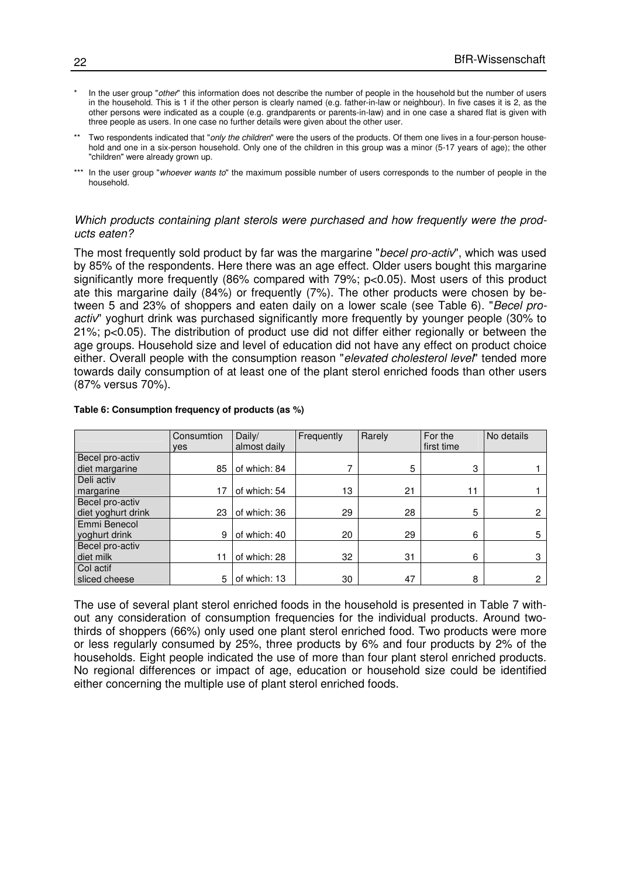- In the user group "other" this information does not describe the number of people in the household but the number of users in the household. This is 1 if the other person is clearly named (e.g. father-in-law or neighbour). In five cases it is 2, as the other persons were indicated as a couple (e.g. grandparents or parents-in-law) and in one case a shared flat is given with three people as users. In one case no further details were given about the other user.
- \*\* Two respondents indicated that "only the children" were the users of the products. Of them one lives in a four-person household and one in a six-person household. Only one of the children in this group was a minor (5-17 years of age); the other "children" were already grown up.
- \*\*\* In the user group "whoever wants to" the maximum possible number of users corresponds to the number of people in the household.

#### Which products containing plant sterols were purchased and how frequently were the products eaten?

The most frequently sold product by far was the margarine "becel pro-activ", which was used by 85% of the respondents. Here there was an age effect. Older users bought this margarine significantly more frequently (86% compared with 79%; p<0.05). Most users of this product ate this margarine daily (84%) or frequently (7%). The other products were chosen by between 5 and 23% of shoppers and eaten daily on a lower scale (see Table 6). "Becel proactiv" yoghurt drink was purchased significantly more frequently by younger people (30% to 21%; p<0.05). The distribution of product use did not differ either regionally or between the age groups. Household size and level of education did not have any effect on product choice either. Overall people with the consumption reason "elevated cholesterol level" tended more towards daily consumption of at least one of the plant sterol enriched foods than other users (87% versus 70%).

|                    | Consumtion | Daily/       | Frequently | Rarely | For the    | No details     |
|--------------------|------------|--------------|------------|--------|------------|----------------|
|                    | ves        | almost daily |            |        | first time |                |
| Becel pro-activ    |            |              |            |        |            |                |
| diet margarine     | 85         | of which: 84 |            | 5      | 3          |                |
| Deli activ         |            |              |            |        |            |                |
| margarine          | 17         | of which: 54 | 13         | 21     | 11         |                |
| Becel pro-activ    |            |              |            |        |            |                |
| diet yoghurt drink | 23         | of which: 36 | 29         | 28     | 5          | $\overline{2}$ |
| Emmi Benecol       |            |              |            |        |            |                |
| yoghurt drink      | 9          | of which: 40 | 20         | 29     | 6          | 5              |
| Becel pro-activ    |            |              |            |        |            |                |
| diet milk          | 11         | of which: 28 | 32         | 31     | 6          | 3              |
| Col actif          |            |              |            |        |            |                |
| sliced cheese      | 5          | of which: 13 | 30         | 47     | 8          | $\mathbf{2}$   |

#### **Table 6: Consumption frequency of products (as %)**

The use of several plant sterol enriched foods in the household is presented in Table 7 without any consideration of consumption frequencies for the individual products. Around twothirds of shoppers (66%) only used one plant sterol enriched food. Two products were more or less regularly consumed by 25%, three products by 6% and four products by 2% of the households. Eight people indicated the use of more than four plant sterol enriched products. No regional differences or impact of age, education or household size could be identified either concerning the multiple use of plant sterol enriched foods.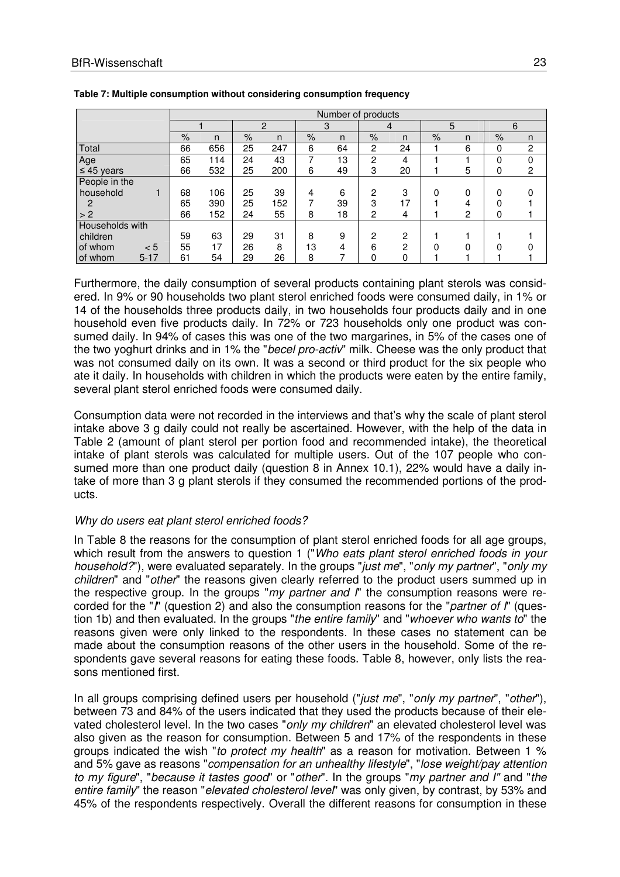|                     |      |     |      |     |      | Number of products |               |    |      |   |      |                |
|---------------------|------|-----|------|-----|------|--------------------|---------------|----|------|---|------|----------------|
|                     |      |     |      | 2   |      | 3                  |               | 4  |      | 5 | 6    |                |
|                     | $\%$ | n   | $\%$ | n   | $\%$ | n                  | $\frac{9}{6}$ | n. | $\%$ | n | $\%$ | n              |
| Total               | 66   | 656 | 25   | 247 | 6    | 64                 | 2             | 24 |      | 6 | 0    | $\overline{2}$ |
| Age                 | 65   | 114 | 24   | 43  | 7    | 13                 | 2             | 4  |      |   | 0    | $\Omega$       |
| $\leq 45$ years     | 66   | 532 | 25   | 200 | 6    | 49                 | 3             | 20 |      | 5 | 0    | $\overline{2}$ |
| People in the       |      |     |      |     |      |                    |               |    |      |   |      |                |
| household           | 68   | 106 | 25   | 39  | 4    | 6                  | 2             | 3  | 0    | 0 | 0    |                |
| 2                   | 65   | 390 | 25   | 152 | 7    | 39                 | 3             | 17 |      | 4 |      |                |
| > 2                 | 66   | 152 | 24   | 55  | 8    | 18                 | 2             | 4  |      | 2 | 0    |                |
| Households with     |      |     |      |     |      |                    |               |    |      |   |      |                |
| children            | 59   | 63  | 29   | 31  | 8    | 9                  | 2             | 2  |      |   |      |                |
| of whom<br>< 5      | 55   | 17  | 26   | 8   | 13   | 4                  | 6             | っ  |      | ი |      |                |
| $5 - 17$<br>of whom | 61   | 54  | 29   | 26  | 8    |                    |               | 0  |      |   |      |                |

**Table 7: Multiple consumption without considering consumption frequency** 

Furthermore, the daily consumption of several products containing plant sterols was considered. In 9% or 90 households two plant sterol enriched foods were consumed daily, in 1% or 14 of the households three products daily, in two households four products daily and in one household even five products daily. In 72% or 723 households only one product was consumed daily. In 94% of cases this was one of the two margarines, in 5% of the cases one of the two yoghurt drinks and in 1% the "becel pro-activ" milk. Cheese was the only product that was not consumed daily on its own. It was a second or third product for the six people who ate it daily. In households with children in which the products were eaten by the entire family, several plant sterol enriched foods were consumed daily.

Consumption data were not recorded in the interviews and that's why the scale of plant sterol intake above 3 g daily could not really be ascertained. However, with the help of the data in Table 2 (amount of plant sterol per portion food and recommended intake), the theoretical intake of plant sterols was calculated for multiple users. Out of the 107 people who consumed more than one product daily (question 8 in Annex 10.1), 22% would have a daily intake of more than 3 g plant sterols if they consumed the recommended portions of the products.

#### Why do users eat plant sterol enriched foods?

In Table 8 the reasons for the consumption of plant sterol enriched foods for all age groups, which result from the answers to question 1 ("Who eats plant sterol enriched foods in your household?"), were evaluated separately. In the groups "just me", "only my partner", "only my children" and "other" the reasons given clearly referred to the product users summed up in the respective group. In the groups "my partner and  $\Gamma$ " the consumption reasons were recorded for the "I" (question 2) and also the consumption reasons for the "*partner of I*" (question 1b) and then evaluated. In the groups "the entire family" and "whoever who wants to" the reasons given were only linked to the respondents. In these cases no statement can be made about the consumption reasons of the other users in the household. Some of the respondents gave several reasons for eating these foods. Table 8, however, only lists the reasons mentioned first.

In all groups comprising defined users per household ("*just me*", "*only my partner*", "*other*"), between 73 and 84% of the users indicated that they used the products because of their elevated cholesterol level. In the two cases "*only my children*" an elevated cholesterol level was also given as the reason for consumption. Between 5 and 17% of the respondents in these groups indicated the wish "to protect my health" as a reason for motivation. Between 1 % and 5% gave as reasons "compensation for an unhealthy lifestyle", "lose weight/pay attention to my figure", "because it tastes good" or "other". In the groups "my partner and I" and "the entire family" the reason "elevated cholesterol level" was only given, by contrast, by 53% and 45% of the respondents respectively. Overall the different reasons for consumption in these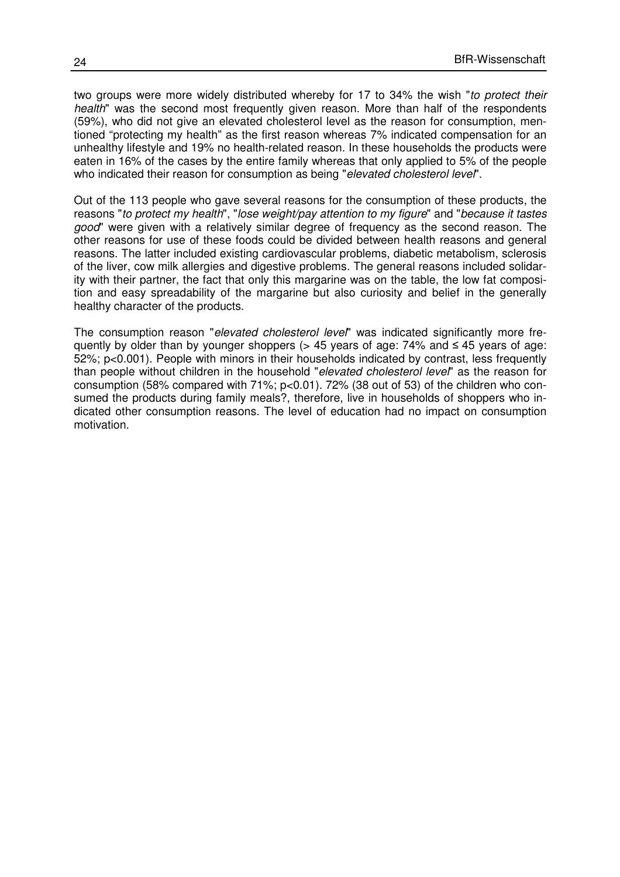two groups were more widely distributed whereby for 17 to 34% the wish "to protect their health" was the second most frequently given reason. More than half of the respondents (59%), who did not give an elevated cholesterol level as the reason for consumption, mentioned "protecting my health" as the first reason whereas 7% indicated compensation for an unhealthy lifestyle and 19% no health-related reason. In these households the products were eaten in 16% of the cases by the entire family whereas that only applied to 5% of the people who indicated their reason for consumption as being "elevated cholesterol level".

Out of the 113 people who gave several reasons for the consumption of these products, the reasons "to protect my health", "lose weight/pay attention to my figure" and "because it tastes good" were given with a relatively similar degree of frequency as the second reason. The other reasons for use of these foods could be divided between health reasons and general reasons. The latter included existing cardiovascular problems, diabetic metabolism, sclerosis of the liver, cow milk allergies and digestive problems. The general reasons included solidarity with their partner, the fact that only this margarine was on the table, the low fat composition and easy spreadability of the margarine but also curiosity and belief in the generally healthy character of the products.

The consumption reason "elevated cholesterol level" was indicated significantly more frequently by older than by younger shoppers ( $> 45$  years of age: 74% and  $\leq 45$  years of age: 52%; p<0.001). People with minors in their households indicated by contrast, less frequently than people without children in the household "elevated cholesterol level" as the reason for consumption (58% compared with 71%; p<0.01). 72% (38 out of 53) of the children who consumed the products during family meals?, therefore, live in households of shoppers who indicated other consumption reasons. The level of education had no impact on consumption motivation.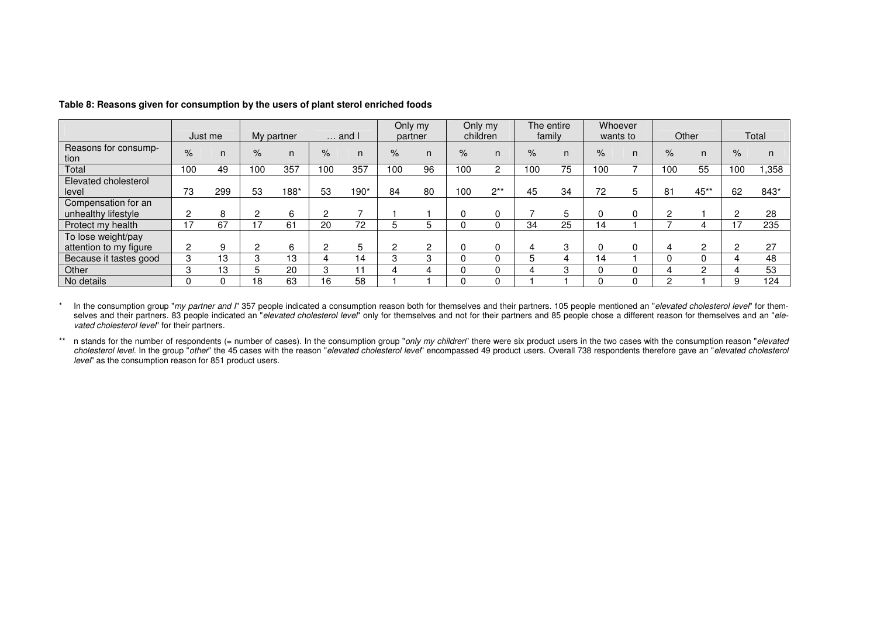|                        |      |         |      |            |      |                           | Only my |    |      | Only my  |        | The entire |      | Whoever  |      |        |      |       |
|------------------------|------|---------|------|------------|------|---------------------------|---------|----|------|----------|--------|------------|------|----------|------|--------|------|-------|
|                        |      | Just me |      | My partner |      | $\ldots$ and $\mathsf{l}$ | partner |    |      | children | family |            |      | wants to |      | Other  |      | Total |
| Reasons for consump-   | $\%$ | n.      | $\%$ | n.         | $\%$ |                           | $\%$    | n. | $\%$ | n        | $\%$   | n          | $\%$ | n.       | $\%$ | n      | $\%$ |       |
| tion                   |      |         |      |            |      |                           |         |    |      |          |        |            |      |          |      |        |      |       |
| Total                  | 100  | 49      | 100  | 357        | 100  | 357                       | 100     | 96 | 100  | 2        | 100    | 75         | 100  |          | 100  | 55     | 100  | ,358  |
| Elevated cholesterol   |      |         |      |            |      |                           |         |    |      |          |        |            |      |          |      |        |      |       |
| level                  | 73   | 299     | 53   | 188*       | 53   | 190*                      | 84      | 80 | 100  | $2**$    | 45     | 34         | 72   |          | 81   | $45**$ | 62   | 843*  |
| Compensation for an    |      |         |      |            |      |                           |         |    |      |          |        |            |      |          |      |        |      |       |
| unhealthy lifestyle    | 2    | 8       | 2    | 6          | c    |                           |         |    |      |          |        | 5          |      |          | 2    |        |      | 28    |
| Protect my health      | 17   | 67      | 17   | 61         | 20   | 72                        |         |    |      |          | 34     | 25         | 14   |          |      | 4      |      | 235   |
| To lose weight/pay     |      |         |      |            |      |                           |         |    |      |          |        |            |      |          |      |        |      |       |
| attention to my figure | 2    | 9       | っ    | 6          |      |                           |         | 2  |      |          | 4      | 3          |      |          | 4    | 2      |      | 27    |
| Because it tastes good | 3    | 13      | З    | 13         |      | 14                        |         | 3  |      |          | 5      | 4          | 14   |          |      | 0      |      | 48    |
| Other                  | 3    | 13      |      | 20         |      |                           |         |    |      |          | 4      | 3          |      |          |      | っ      |      | 53    |
| No details             | 0    |         | 18   | 63         | 16   | 58                        |         |    |      |          |        |            |      |          | റ    |        |      | 124   |

**Table 8: Reasons given for consumption by the users of plant sterol enriched foods** 

\* In the consumption group "my partner and I" 357 people indicated a consumption reason both for themselves and their partners. 105 people mentioned an "elevated cholesterol level" for themselves and their partners. 83 people indicated an "*elevated cholesterol level*" only for themselves and not for their partners and 85 people chose a different reason for themselves and an "elevated cholesterol level" for their partners.

n stands for the number of respondents (= number of cases). In the consumption group "only my children" there were six product users in the two cases with the consumption reason "elevated cholesterol level" encompassed 49 level" as the consumption reason for 851 product users.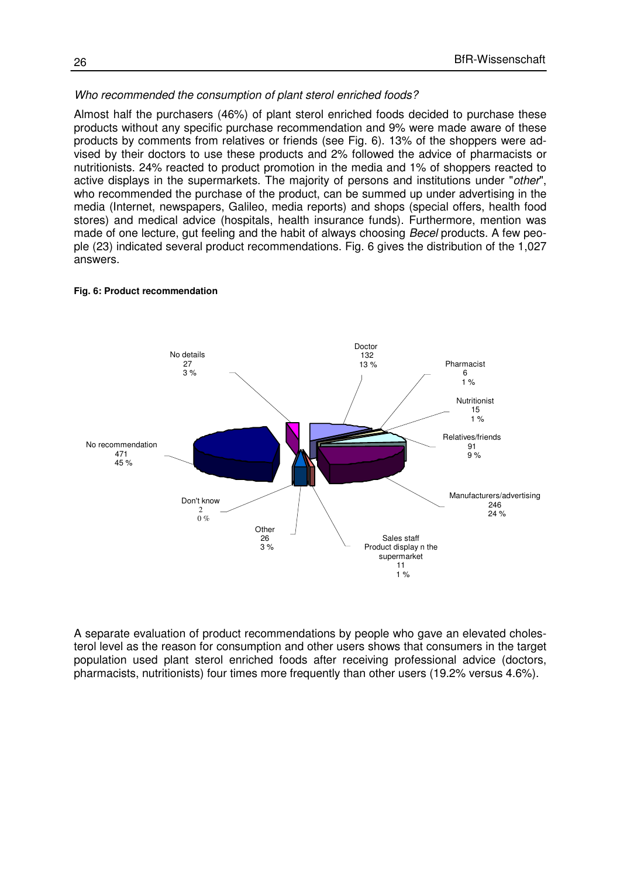#### Who recommended the consumption of plant sterol enriched foods?

Almost half the purchasers (46%) of plant sterol enriched foods decided to purchase these products without any specific purchase recommendation and 9% were made aware of these products by comments from relatives or friends (see Fig. 6). 13% of the shoppers were advised by their doctors to use these products and 2% followed the advice of pharmacists or nutritionists. 24% reacted to product promotion in the media and 1% of shoppers reacted to active displays in the supermarkets. The majority of persons and institutions under "other", who recommended the purchase of the product, can be summed up under advertising in the media (Internet, newspapers, Galileo, media reports) and shops (special offers, health food stores) and medical advice (hospitals, health insurance funds). Furthermore, mention was made of one lecture, gut feeling and the habit of always choosing *Becel* products. A few people (23) indicated several product recommendations. Fig. 6 gives the distribution of the 1,027 answers.

#### No recommendation 471 45 % **Other** 26 3 % Don't know  $\mathcal{D}$  0 % Sales staff Product display n the supermarket 11  $1 %$ Manufacturers/advertising 246  $24%$ Pharmacist 6 1 % Relatives/friends 91 9 % Nutritionist 15  $1 %$ Doctor 132 13 % No details 27 3 %

#### **Fig. 6: Product recommendation**

A separate evaluation of product recommendations by people who gave an elevated cholesterol level as the reason for consumption and other users shows that consumers in the target population used plant sterol enriched foods after receiving professional advice (doctors, pharmacists, nutritionists) four times more frequently than other users (19.2% versus 4.6%).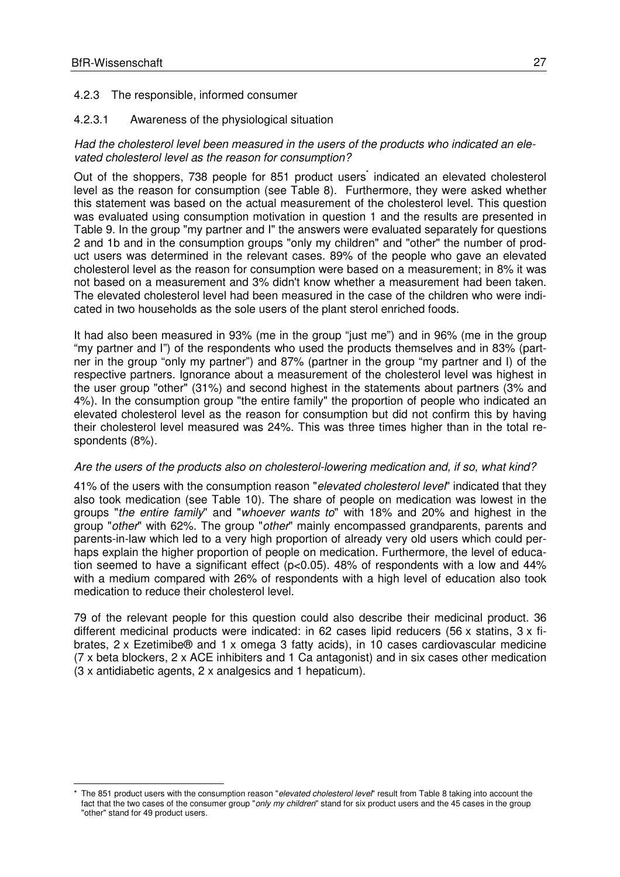$\overline{a}$ 

### 4.2.3 The responsible, informed consumer

### 4.2.3.1 Awareness of the physiological situation

#### Had the cholesterol level been measured in the users of the products who indicated an elevated cholesterol level as the reason for consumption?

Out of the shoppers, 738 people for 851 product users indicated an elevated cholesterol level as the reason for consumption (see Table 8). Furthermore, they were asked whether this statement was based on the actual measurement of the cholesterol level. This question was evaluated using consumption motivation in question 1 and the results are presented in Table 9. In the group "my partner and I" the answers were evaluated separately for questions 2 and 1b and in the consumption groups "only my children" and "other" the number of product users was determined in the relevant cases. 89% of the people who gave an elevated cholesterol level as the reason for consumption were based on a measurement; in 8% it was not based on a measurement and 3% didn't know whether a measurement had been taken. The elevated cholesterol level had been measured in the case of the children who were indicated in two households as the sole users of the plant sterol enriched foods.

It had also been measured in 93% (me in the group "just me") and in 96% (me in the group "my partner and I") of the respondents who used the products themselves and in 83% (partner in the group "only my partner") and 87% (partner in the group "my partner and I) of the respective partners. Ignorance about a measurement of the cholesterol level was highest in the user group "other" (31%) and second highest in the statements about partners (3% and 4%). In the consumption group "the entire family" the proportion of people who indicated an elevated cholesterol level as the reason for consumption but did not confirm this by having their cholesterol level measured was 24%. This was three times higher than in the total respondents (8%).

#### Are the users of the products also on cholesterol-lowering medication and, if so, what kind?

41% of the users with the consumption reason "*elevated cholesterol level*" indicated that they also took medication (see Table 10). The share of people on medication was lowest in the groups "the entire family" and "whoever wants to" with 18% and 20% and highest in the group "other" with 62%. The group "other" mainly encompassed grandparents, parents and parents-in-law which led to a very high proportion of already very old users which could perhaps explain the higher proportion of people on medication. Furthermore, the level of education seemed to have a significant effect (p<0.05). 48% of respondents with a low and 44% with a medium compared with 26% of respondents with a high level of education also took medication to reduce their cholesterol level.

79 of the relevant people for this question could also describe their medicinal product. 36 different medicinal products were indicated: in 62 cases lipid reducers (56 x statins, 3 x fibrates, 2 x Ezetimibe® and 1 x omega 3 fatty acids), in 10 cases cardiovascular medicine (7 x beta blockers, 2 x ACE inhibiters and 1 Ca antagonist) and in six cases other medication (3 x antidiabetic agents, 2 x analgesics and 1 hepaticum).

The 851 product users with the consumption reason "elevated cholesterol level" result from Table 8 taking into account the fact that the two cases of the consumer group "only my children" stand for six product users and the 45 cases in the group "other" stand for 49 product users.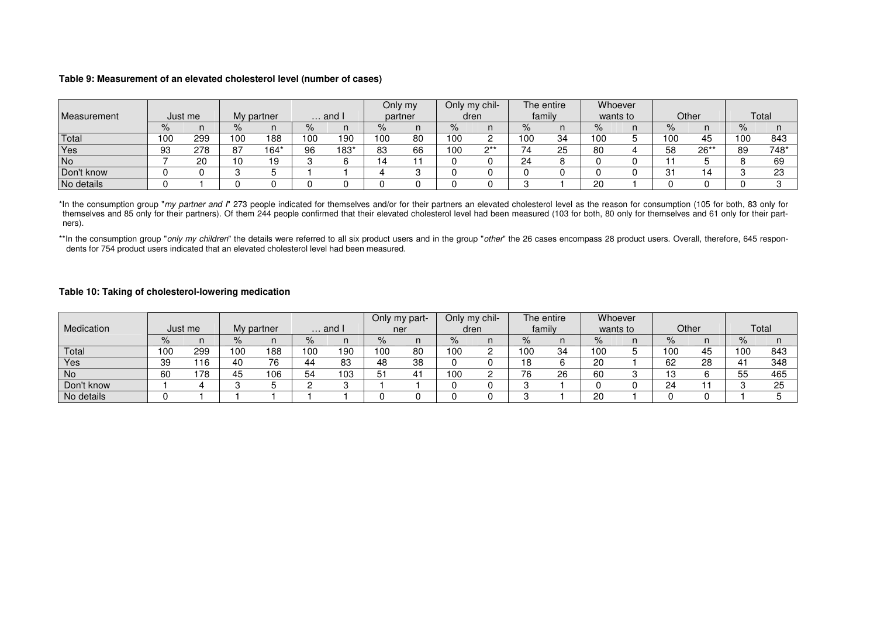#### **Table 9: Measurement of an elevated cholesterol level (number of cases)**

| Measurement | Just me |     |      | My partner | $\ldots$ and I |      | Only my<br>partner |    | Only my chil-<br>dren |       | The entire<br>family |          | Whoever<br>wants to |  | Other           |      | Total |      |
|-------------|---------|-----|------|------------|----------------|------|--------------------|----|-----------------------|-------|----------------------|----------|---------------------|--|-----------------|------|-------|------|
|             |         |     |      |            |                |      |                    |    |                       |       |                      |          |                     |  |                 |      |       |      |
|             |         |     | $\%$ |            | $\%$           |      | $\%$               | n  | ℅                     |       | $\%$                 |          |                     |  | $\%$            |      | $\%$  |      |
| Total       | 100     | 299 | 100  | 188        | 00             | 190  | 100                | 80 | 100                   |       | 100                  | 34       | 100                 |  | 100             | 45   | 100   | 843  |
| Yes         | 93      | 278 | 87   | 164*       | 96             | 183* | 83                 | 66 | 100                   | $x^*$ |                      | っに<br>رے | 80                  |  | 58              | 26** | 89    | 748* |
| No          |         | 20  | 10   | 19         |                |      |                    |    |                       |       | 24                   |          |                     |  |                 |      |       | 69   |
| Don't know  |         |     |      |            |                |      |                    |    |                       |       |                      |          |                     |  | $^{\circ}$<br>ັ | ▵    |       | 23   |
| No details  |         |     |      |            |                |      |                    |    |                       |       |                      |          | 20                  |  |                 |      |       |      |

\*In the consumption group "my partner and I" 273 people indicated for themselves and/or for their partners an elevated cholesterol level as the reason for consumption (105 for both, 83 only for themselves and 85 only for their partners). Of them 244 people confirmed that their elevated cholesterol level had been measured (103 for both, 80 only for themselves and 61 only for their partners).

\*\*In the consumption group "only my children" the details were referred to all six product users and in the group "other" the 26 cases encompass 28 product users. Overall, therefore, 645 respondents for 754 product users indicated that an elevated cholesterol level had been measured.

#### **Table 10: Taking of cholesterol-lowering medication**

| Medication | Just me |     |      | My partner | $\ldots$ and I |     | Only my part-<br>ner |            | Only my chil-<br>dren |  | The entire<br>family |    | Whoever<br>wants to |  | Other |    | Total    |     |
|------------|---------|-----|------|------------|----------------|-----|----------------------|------------|-----------------------|--|----------------------|----|---------------------|--|-------|----|----------|-----|
|            | $\%$    |     | %    |            |                |     | $\%$                 |            | ℅                     |  | %                    |    |                     |  | $\%$  |    | $\%$     |     |
|            |         | . . |      |            |                |     |                      |            |                       |  |                      |    |                     |  |       | n  |          |     |
| Total      | 100     | 299 | l 00 | 188        | 100            | 190 | 100                  | 80         | 100                   |  | 100                  | 34 | 100                 |  | 100   | 45 | 100      | 843 |
| Yes        | 39      | 116 | 40   | 76         | 44             | 83  | 48                   | 38         |                       |  | 8                    |    | 20                  |  | 62    | 28 |          | 348 |
| <b>No</b>  | 60      | 78  | 45   | 106        | 54             | 103 | -51                  | . .<br>-4. | 100                   |  | 76                   | 26 | 60                  |  | IЗ    |    | 55<br>ບບ | 465 |
| Don't know |         |     |      |            |                |     |                      |            |                       |  |                      |    |                     |  | 24    |    |          | 25  |
| No details |         |     |      |            |                |     |                      |            |                       |  |                      |    | 20                  |  |       |    |          |     |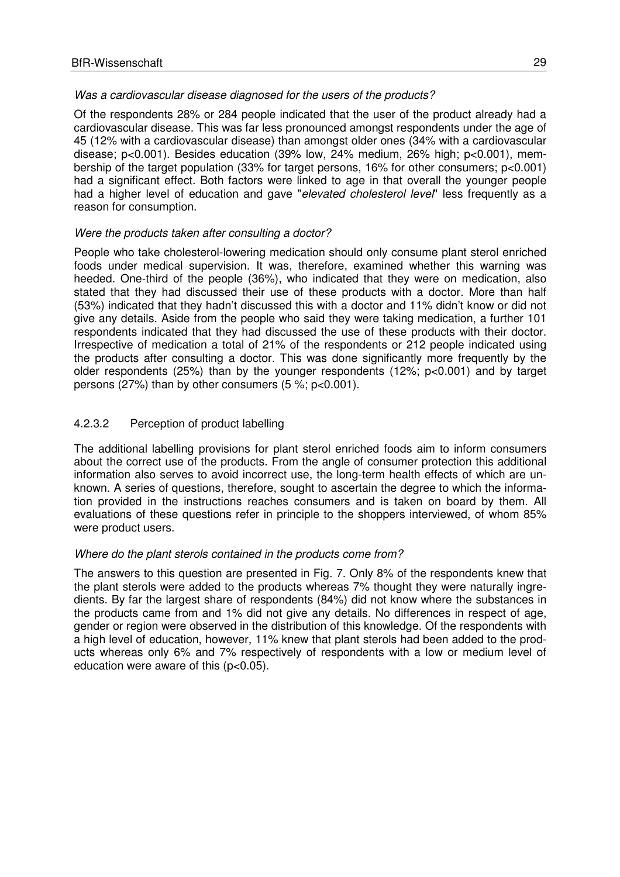#### Was a cardiovascular disease diagnosed for the users of the products?

Of the respondents 28% or 284 people indicated that the user of the product already had a cardiovascular disease. This was far less pronounced amongst respondents under the age of 45 (12% with a cardiovascular disease) than amongst older ones (34% with a cardiovascular disease; p<0.001). Besides education (39% low, 24% medium, 26% high; p<0.001), membership of the target population (33% for target persons, 16% for other consumers; p<0.001) had a significant effect. Both factors were linked to age in that overall the younger people had a higher level of education and gave "elevated cholesterol level" less frequently as a reason for consumption.

#### Were the products taken after consulting a doctor?

People who take cholesterol-lowering medication should only consume plant sterol enriched foods under medical supervision. It was, therefore, examined whether this warning was heeded. One-third of the people (36%), who indicated that they were on medication, also stated that they had discussed their use of these products with a doctor. More than half (53%) indicated that they hadn't discussed this with a doctor and 11% didn't know or did not give any details. Aside from the people who said they were taking medication, a further 101 respondents indicated that they had discussed the use of these products with their doctor. Irrespective of medication a total of 21% of the respondents or 212 people indicated using the products after consulting a doctor. This was done significantly more frequently by the older respondents (25%) than by the younger respondents (12%; p<0.001) and by target persons (27%) than by other consumers (5 %; p<0.001).

### 4.2.3.2 Perception of product labelling

The additional labelling provisions for plant sterol enriched foods aim to inform consumers about the correct use of the products. From the angle of consumer protection this additional information also serves to avoid incorrect use, the long-term health effects of which are unknown. A series of questions, therefore, sought to ascertain the degree to which the information provided in the instructions reaches consumers and is taken on board by them. All evaluations of these questions refer in principle to the shoppers interviewed, of whom 85% were product users.

#### Where do the plant sterols contained in the products come from?

The answers to this question are presented in Fig. 7. Only 8% of the respondents knew that the plant sterols were added to the products whereas 7% thought they were naturally ingredients. By far the largest share of respondents (84%) did not know where the substances in the products came from and 1% did not give any details. No differences in respect of age, gender or region were observed in the distribution of this knowledge. Of the respondents with a high level of education, however, 11% knew that plant sterols had been added to the products whereas only 6% and 7% respectively of respondents with a low or medium level of education were aware of this  $(p<0.05)$ .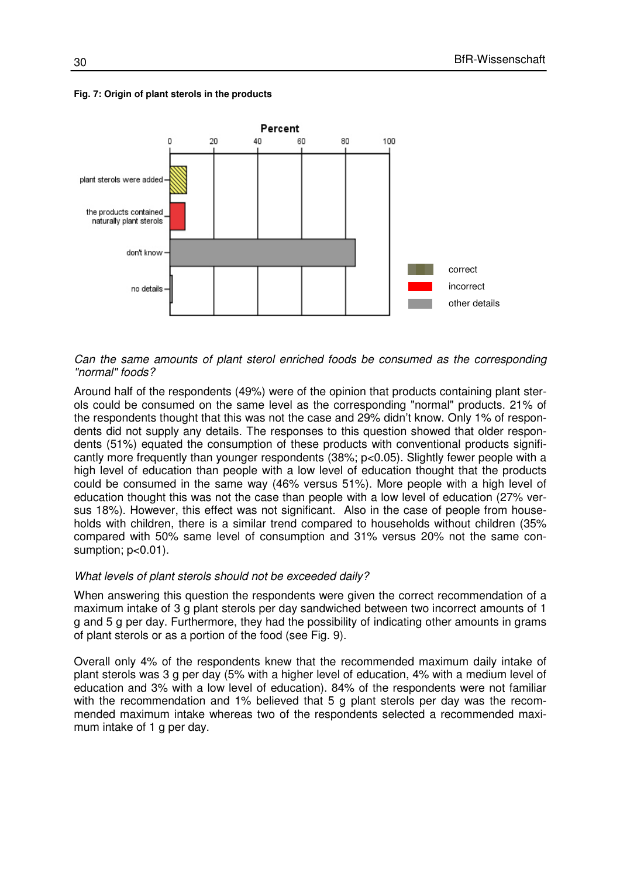

#### **Fig. 7: Origin of plant sterols in the products**

#### Can the same amounts of plant sterol enriched foods be consumed as the corresponding "normal" foods?

Around half of the respondents (49%) were of the opinion that products containing plant sterols could be consumed on the same level as the corresponding "normal" products. 21% of the respondents thought that this was not the case and 29% didn't know. Only 1% of respondents did not supply any details. The responses to this question showed that older respondents (51%) equated the consumption of these products with conventional products significantly more frequently than younger respondents (38%; p<0.05). Slightly fewer people with a high level of education than people with a low level of education thought that the products could be consumed in the same way (46% versus 51%). More people with a high level of education thought this was not the case than people with a low level of education (27% versus 18%). However, this effect was not significant. Also in the case of people from households with children, there is a similar trend compared to households without children (35% compared with 50% same level of consumption and 31% versus 20% not the same consumption;  $p<0.01$ ).

#### What levels of plant sterols should not be exceeded daily?

When answering this question the respondents were given the correct recommendation of a maximum intake of 3 g plant sterols per day sandwiched between two incorrect amounts of 1 g and 5 g per day. Furthermore, they had the possibility of indicating other amounts in grams of plant sterols or as a portion of the food (see Fig. 9).

Overall only 4% of the respondents knew that the recommended maximum daily intake of plant sterols was 3 g per day (5% with a higher level of education, 4% with a medium level of education and 3% with a low level of education). 84% of the respondents were not familiar with the recommendation and 1% believed that 5 g plant sterols per day was the recommended maximum intake whereas two of the respondents selected a recommended maximum intake of 1 g per day.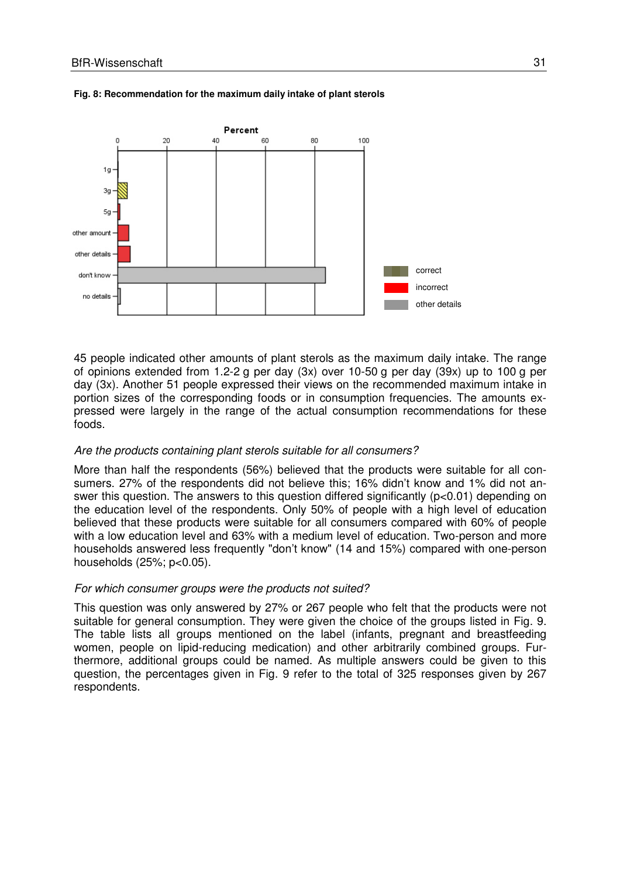

#### **Fig. 8: Recommendation for the maximum daily intake of plant sterols**

45 people indicated other amounts of plant sterols as the maximum daily intake. The range of opinions extended from 1.2-2 g per day (3x) over 10-50 g per day (39x) up to 100 g per day (3x). Another 51 people expressed their views on the recommended maximum intake in portion sizes of the corresponding foods or in consumption frequencies. The amounts expressed were largely in the range of the actual consumption recommendations for these foods.

#### Are the products containing plant sterols suitable for all consumers?

More than half the respondents (56%) believed that the products were suitable for all consumers. 27% of the respondents did not believe this; 16% didn't know and 1% did not answer this question. The answers to this question differed significantly (p<0.01) depending on the education level of the respondents. Only 50% of people with a high level of education believed that these products were suitable for all consumers compared with 60% of people with a low education level and 63% with a medium level of education. Two-person and more households answered less frequently "don't know" (14 and 15%) compared with one-person households (25%; p<0.05).

#### For which consumer groups were the products not suited?

This question was only answered by 27% or 267 people who felt that the products were not suitable for general consumption. They were given the choice of the groups listed in Fig. 9. The table lists all groups mentioned on the label (infants, pregnant and breastfeeding women, people on lipid-reducing medication) and other arbitrarily combined groups. Furthermore, additional groups could be named. As multiple answers could be given to this question, the percentages given in Fig. 9 refer to the total of 325 responses given by 267 respondents.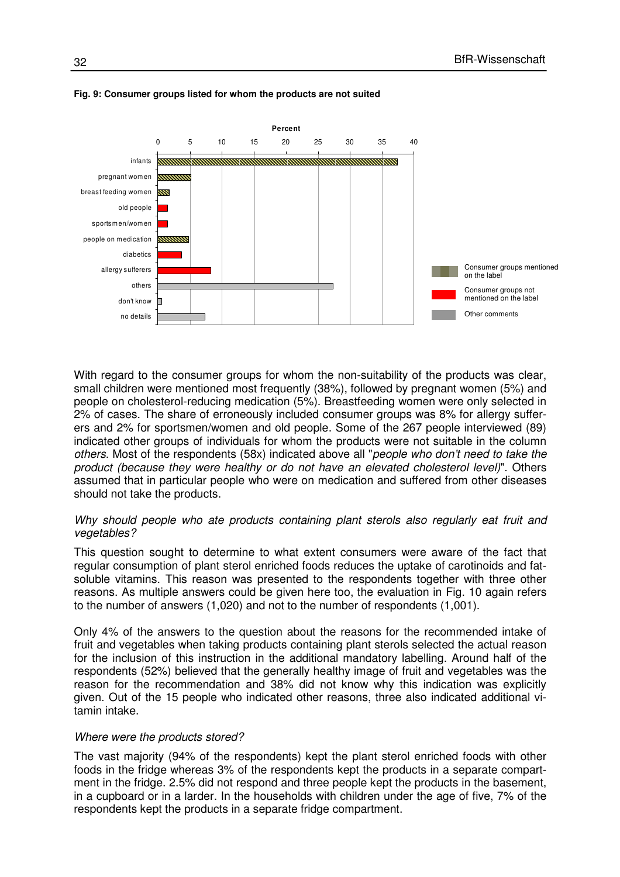

#### **Fig. 9: Consumer groups listed for whom the products are not suited**

With regard to the consumer groups for whom the non-suitability of the products was clear, small children were mentioned most frequently (38%), followed by pregnant women (5%) and people on cholesterol-reducing medication (5%). Breastfeeding women were only selected in 2% of cases. The share of erroneously included consumer groups was 8% for allergy sufferers and 2% for sportsmen/women and old people. Some of the 267 people interviewed (89) indicated other groups of individuals for whom the products were not suitable in the column others. Most of the respondents (58x) indicated above all "people who don't need to take the product (because they were healthy or do not have an elevated cholesterol level)". Others assumed that in particular people who were on medication and suffered from other diseases should not take the products.

#### Why should people who ate products containing plant sterols also regularly eat fruit and vegetables?

This question sought to determine to what extent consumers were aware of the fact that regular consumption of plant sterol enriched foods reduces the uptake of carotinoids and fatsoluble vitamins. This reason was presented to the respondents together with three other reasons. As multiple answers could be given here too, the evaluation in Fig. 10 again refers to the number of answers (1,020) and not to the number of respondents (1,001).

Only 4% of the answers to the question about the reasons for the recommended intake of fruit and vegetables when taking products containing plant sterols selected the actual reason for the inclusion of this instruction in the additional mandatory labelling. Around half of the respondents (52%) believed that the generally healthy image of fruit and vegetables was the reason for the recommendation and 38% did not know why this indication was explicitly given. Out of the 15 people who indicated other reasons, three also indicated additional vitamin intake.

#### Where were the products stored?

The vast majority (94% of the respondents) kept the plant sterol enriched foods with other foods in the fridge whereas 3% of the respondents kept the products in a separate compartment in the fridge. 2.5% did not respond and three people kept the products in the basement, in a cupboard or in a larder. In the households with children under the age of five, 7% of the respondents kept the products in a separate fridge compartment.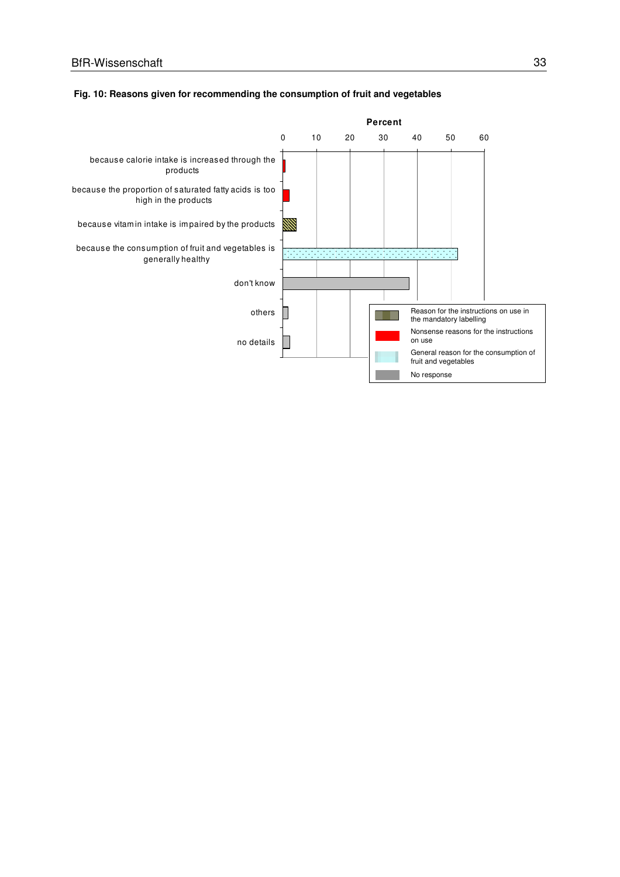

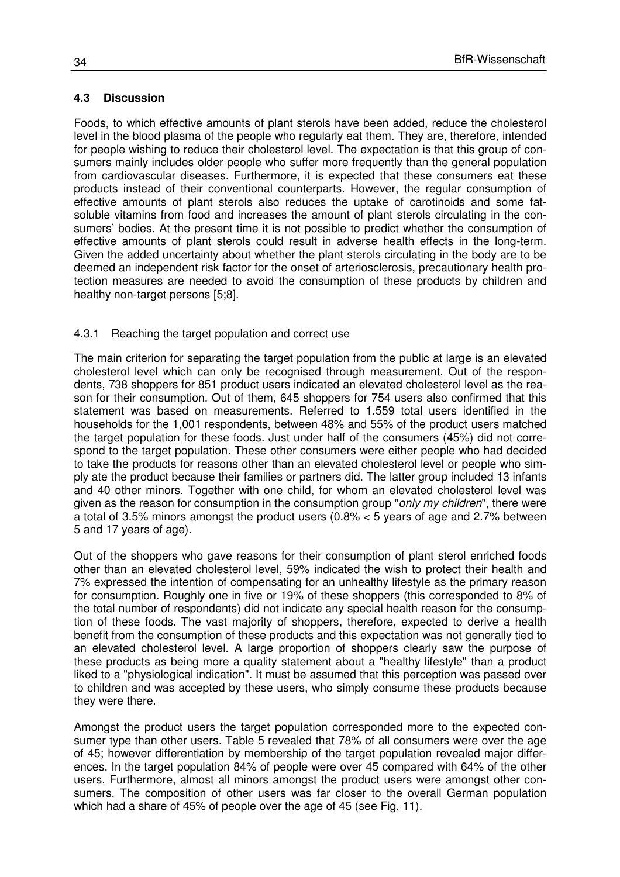#### **4.3 Discussion**

Foods, to which effective amounts of plant sterols have been added, reduce the cholesterol level in the blood plasma of the people who regularly eat them. They are, therefore, intended for people wishing to reduce their cholesterol level. The expectation is that this group of consumers mainly includes older people who suffer more frequently than the general population from cardiovascular diseases. Furthermore, it is expected that these consumers eat these products instead of their conventional counterparts. However, the regular consumption of effective amounts of plant sterols also reduces the uptake of carotinoids and some fatsoluble vitamins from food and increases the amount of plant sterols circulating in the consumers' bodies. At the present time it is not possible to predict whether the consumption of effective amounts of plant sterols could result in adverse health effects in the long-term. Given the added uncertainty about whether the plant sterols circulating in the body are to be deemed an independent risk factor for the onset of arteriosclerosis, precautionary health protection measures are needed to avoid the consumption of these products by children and healthy non-target persons [5;8].

#### 4.3.1 Reaching the target population and correct use

The main criterion for separating the target population from the public at large is an elevated cholesterol level which can only be recognised through measurement. Out of the respondents, 738 shoppers for 851 product users indicated an elevated cholesterol level as the reason for their consumption. Out of them, 645 shoppers for 754 users also confirmed that this statement was based on measurements. Referred to 1,559 total users identified in the households for the 1,001 respondents, between 48% and 55% of the product users matched the target population for these foods. Just under half of the consumers (45%) did not correspond to the target population. These other consumers were either people who had decided to take the products for reasons other than an elevated cholesterol level or people who simply ate the product because their families or partners did. The latter group included 13 infants and 40 other minors. Together with one child, for whom an elevated cholesterol level was given as the reason for consumption in the consumption group "only my children", there were a total of 3.5% minors amongst the product users (0.8% < 5 years of age and 2.7% between 5 and 17 years of age).

Out of the shoppers who gave reasons for their consumption of plant sterol enriched foods other than an elevated cholesterol level, 59% indicated the wish to protect their health and 7% expressed the intention of compensating for an unhealthy lifestyle as the primary reason for consumption. Roughly one in five or 19% of these shoppers (this corresponded to 8% of the total number of respondents) did not indicate any special health reason for the consumption of these foods. The vast majority of shoppers, therefore, expected to derive a health benefit from the consumption of these products and this expectation was not generally tied to an elevated cholesterol level. A large proportion of shoppers clearly saw the purpose of these products as being more a quality statement about a "healthy lifestyle" than a product liked to a "physiological indication". It must be assumed that this perception was passed over to children and was accepted by these users, who simply consume these products because they were there.

Amongst the product users the target population corresponded more to the expected consumer type than other users. Table 5 revealed that 78% of all consumers were over the age of 45; however differentiation by membership of the target population revealed major differences. In the target population 84% of people were over 45 compared with 64% of the other users. Furthermore, almost all minors amongst the product users were amongst other consumers. The composition of other users was far closer to the overall German population which had a share of 45% of people over the age of 45 (see Fig. 11).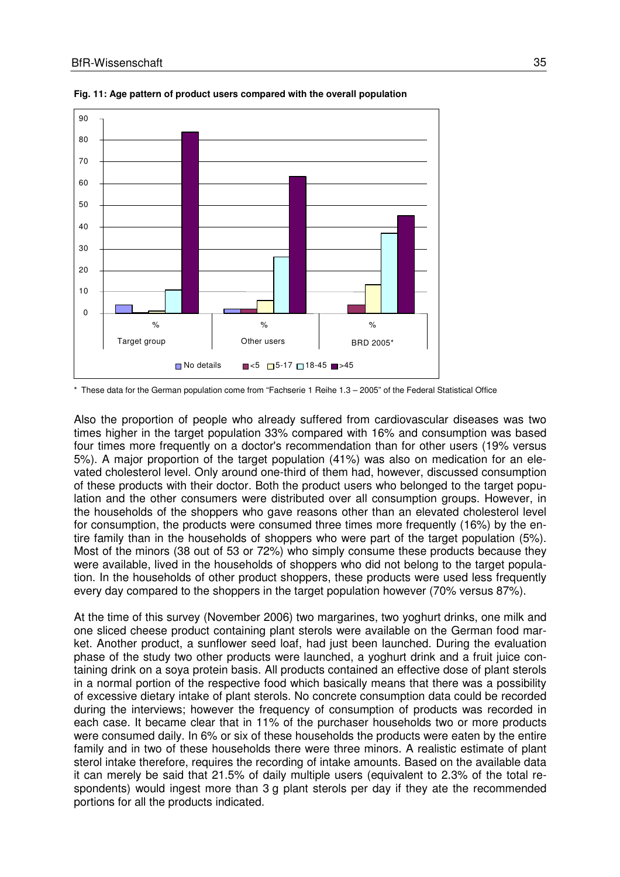

**Fig. 11: Age pattern of product users compared with the overall population** 

\* These data for the German population come from "Fachserie 1 Reihe 1.3 – 2005" of the Federal Statistical Office

Also the proportion of people who already suffered from cardiovascular diseases was two times higher in the target population 33% compared with 16% and consumption was based four times more frequently on a doctor's recommendation than for other users (19% versus 5%). A major proportion of the target population (41%) was also on medication for an elevated cholesterol level. Only around one-third of them had, however, discussed consumption of these products with their doctor. Both the product users who belonged to the target population and the other consumers were distributed over all consumption groups. However, in the households of the shoppers who gave reasons other than an elevated cholesterol level for consumption, the products were consumed three times more frequently (16%) by the entire family than in the households of shoppers who were part of the target population (5%). Most of the minors (38 out of 53 or 72%) who simply consume these products because they were available, lived in the households of shoppers who did not belong to the target population. In the households of other product shoppers, these products were used less frequently every day compared to the shoppers in the target population however (70% versus 87%).

At the time of this survey (November 2006) two margarines, two yoghurt drinks, one milk and one sliced cheese product containing plant sterols were available on the German food market. Another product, a sunflower seed loaf, had just been launched. During the evaluation phase of the study two other products were launched, a yoghurt drink and a fruit juice containing drink on a soya protein basis. All products contained an effective dose of plant sterols in a normal portion of the respective food which basically means that there was a possibility of excessive dietary intake of plant sterols. No concrete consumption data could be recorded during the interviews; however the frequency of consumption of products was recorded in each case. It became clear that in 11% of the purchaser households two or more products were consumed daily. In 6% or six of these households the products were eaten by the entire family and in two of these households there were three minors. A realistic estimate of plant sterol intake therefore, requires the recording of intake amounts. Based on the available data it can merely be said that 21.5% of daily multiple users (equivalent to 2.3% of the total respondents) would ingest more than 3 g plant sterols per day if they ate the recommended portions for all the products indicated.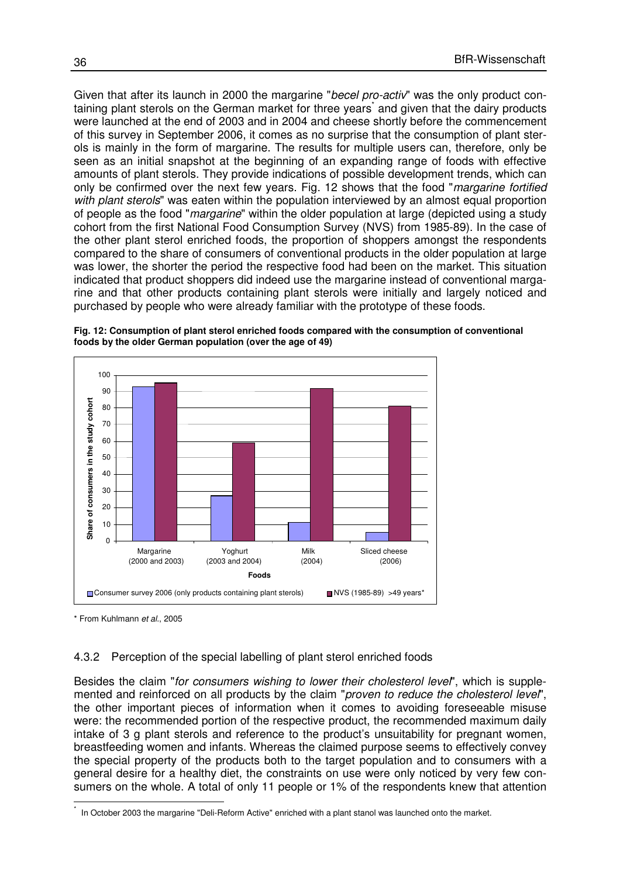Given that after its launch in 2000 the margarine "becel pro-activ" was the only product containing plant sterols on the German market for three years and given that the dairy products were launched at the end of 2003 and in 2004 and cheese shortly before the commencement of this survey in September 2006, it comes as no surprise that the consumption of plant sterols is mainly in the form of margarine. The results for multiple users can, therefore, only be seen as an initial snapshot at the beginning of an expanding range of foods with effective amounts of plant sterols. They provide indications of possible development trends, which can only be confirmed over the next few years. Fig. 12 shows that the food "margarine fortified with plant sterols" was eaten within the population interviewed by an almost equal proportion of people as the food "margarine" within the older population at large (depicted using a study cohort from the first National Food Consumption Survey (NVS) from 1985-89). In the case of the other plant sterol enriched foods, the proportion of shoppers amongst the respondents compared to the share of consumers of conventional products in the older population at large was lower, the shorter the period the respective food had been on the market. This situation indicated that product shoppers did indeed use the margarine instead of conventional margarine and that other products containing plant sterols were initially and largely noticed and purchased by people who were already familiar with the prototype of these foods.

**Fig. 12: Consumption of plant sterol enriched foods compared with the consumption of conventional foods by the older German population (over the age of 49)** 



<sup>\*</sup> From Kuhlmann et al., 2005

 $\overline{1}$ 

#### 4.3.2 Perception of the special labelling of plant sterol enriched foods

Besides the claim "for consumers wishing to lower their cholesterol level", which is supplemented and reinforced on all products by the claim "proven to reduce the cholesterol level", the other important pieces of information when it comes to avoiding foreseeable misuse were: the recommended portion of the respective product, the recommended maximum daily intake of 3 g plant sterols and reference to the product's unsuitability for pregnant women, breastfeeding women and infants. Whereas the claimed purpose seems to effectively convey the special property of the products both to the target population and to consumers with a general desire for a healthy diet, the constraints on use were only noticed by very few consumers on the whole. A total of only 11 people or 1% of the respondents knew that attention

<sup>\*</sup> In October 2003 the margarine "Deli-Reform Active" enriched with a plant stanol was launched onto the market.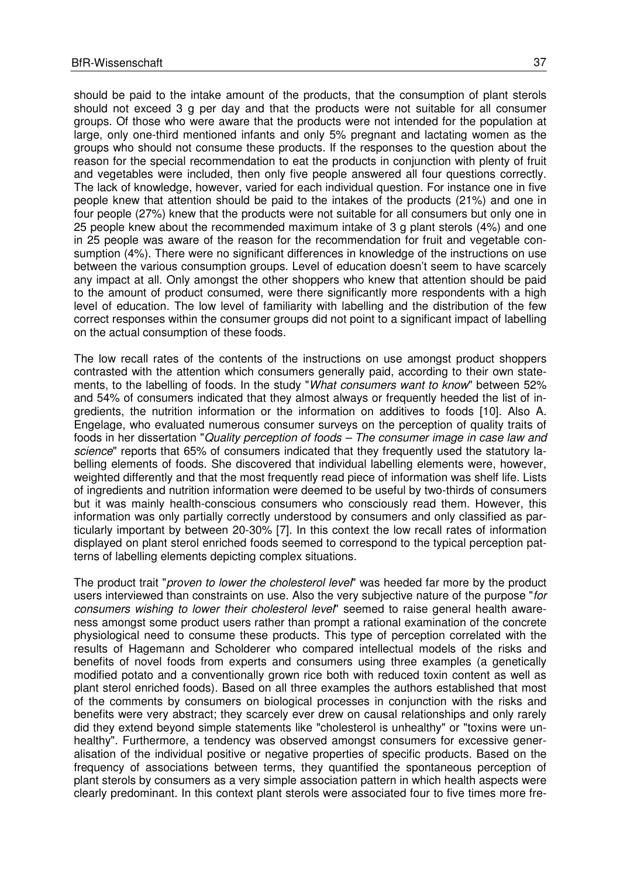should be paid to the intake amount of the products, that the consumption of plant sterols should not exceed 3 g per day and that the products were not suitable for all consumer groups. Of those who were aware that the products were not intended for the population at large, only one-third mentioned infants and only 5% pregnant and lactating women as the groups who should not consume these products. If the responses to the question about the reason for the special recommendation to eat the products in conjunction with plenty of fruit and vegetables were included, then only five people answered all four questions correctly. The lack of knowledge, however, varied for each individual question. For instance one in five people knew that attention should be paid to the intakes of the products (21%) and one in four people (27%) knew that the products were not suitable for all consumers but only one in 25 people knew about the recommended maximum intake of 3 g plant sterols (4%) and one in 25 people was aware of the reason for the recommendation for fruit and vegetable consumption (4%). There were no significant differences in knowledge of the instructions on use between the various consumption groups. Level of education doesn't seem to have scarcely any impact at all. Only amongst the other shoppers who knew that attention should be paid to the amount of product consumed, were there significantly more respondents with a high level of education. The low level of familiarity with labelling and the distribution of the few correct responses within the consumer groups did not point to a significant impact of labelling on the actual consumption of these foods.

The low recall rates of the contents of the instructions on use amongst product shoppers contrasted with the attention which consumers generally paid, according to their own statements, to the labelling of foods. In the study "What consumers want to know" between 52% and 54% of consumers indicated that they almost always or frequently heeded the list of ingredients, the nutrition information or the information on additives to foods [10]. Also A. Engelage, who evaluated numerous consumer surveys on the perception of quality traits of foods in her dissertation "Quality perception of foods – The consumer image in case law and science" reports that 65% of consumers indicated that they frequently used the statutory labelling elements of foods. She discovered that individual labelling elements were, however, weighted differently and that the most frequently read piece of information was shelf life. Lists of ingredients and nutrition information were deemed to be useful by two-thirds of consumers but it was mainly health-conscious consumers who consciously read them. However, this information was only partially correctly understood by consumers and only classified as particularly important by between 20-30% [7]. In this context the low recall rates of information displayed on plant sterol enriched foods seemed to correspond to the typical perception patterns of labelling elements depicting complex situations.

The product trait "*proven to lower the cholesterol level*" was heeded far more by the product users interviewed than constraints on use. Also the very subjective nature of the purpose "for consumers wishing to lower their cholesterol level" seemed to raise general health awareness amongst some product users rather than prompt a rational examination of the concrete physiological need to consume these products. This type of perception correlated with the results of Hagemann and Scholderer who compared intellectual models of the risks and benefits of novel foods from experts and consumers using three examples (a genetically modified potato and a conventionally grown rice both with reduced toxin content as well as plant sterol enriched foods). Based on all three examples the authors established that most of the comments by consumers on biological processes in conjunction with the risks and benefits were very abstract; they scarcely ever drew on causal relationships and only rarely did they extend beyond simple statements like "cholesterol is unhealthy" or "toxins were unhealthy". Furthermore, a tendency was observed amongst consumers for excessive generalisation of the individual positive or negative properties of specific products. Based on the frequency of associations between terms, they quantified the spontaneous perception of plant sterols by consumers as a very simple association pattern in which health aspects were clearly predominant. In this context plant sterols were associated four to five times more fre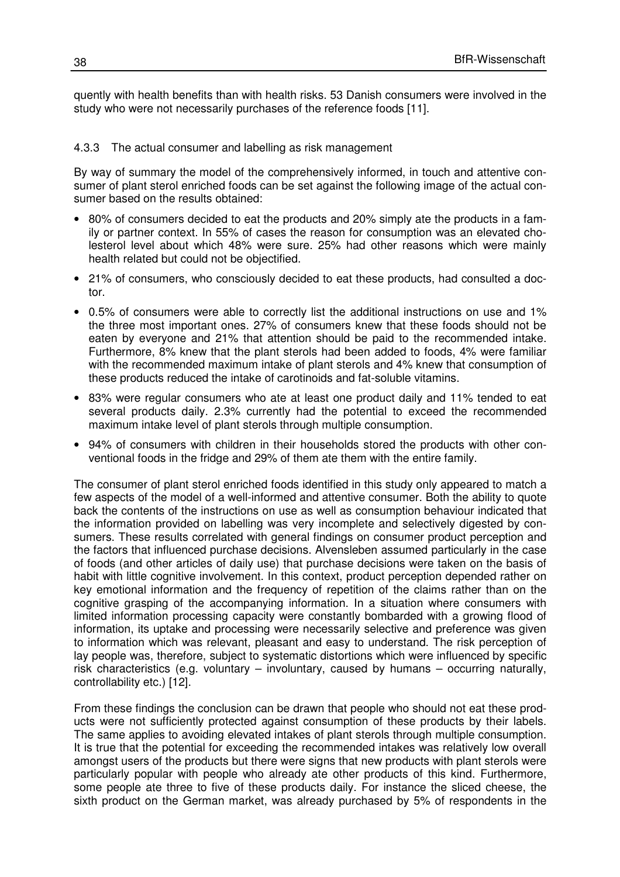quently with health benefits than with health risks. 53 Danish consumers were involved in the study who were not necessarily purchases of the reference foods [11].

#### 4.3.3 The actual consumer and labelling as risk management

By way of summary the model of the comprehensively informed, in touch and attentive consumer of plant sterol enriched foods can be set against the following image of the actual consumer based on the results obtained:

- 80% of consumers decided to eat the products and 20% simply ate the products in a family or partner context. In 55% of cases the reason for consumption was an elevated cholesterol level about which 48% were sure. 25% had other reasons which were mainly health related but could not be objectified.
- 21% of consumers, who consciously decided to eat these products, had consulted a doctor.
- 0.5% of consumers were able to correctly list the additional instructions on use and 1% the three most important ones. 27% of consumers knew that these foods should not be eaten by everyone and 21% that attention should be paid to the recommended intake. Furthermore, 8% knew that the plant sterols had been added to foods, 4% were familiar with the recommended maximum intake of plant sterols and 4% knew that consumption of these products reduced the intake of carotinoids and fat-soluble vitamins.
- 83% were regular consumers who ate at least one product daily and 11% tended to eat several products daily. 2.3% currently had the potential to exceed the recommended maximum intake level of plant sterols through multiple consumption.
- 94% of consumers with children in their households stored the products with other conventional foods in the fridge and 29% of them ate them with the entire family.

The consumer of plant sterol enriched foods identified in this study only appeared to match a few aspects of the model of a well-informed and attentive consumer. Both the ability to quote back the contents of the instructions on use as well as consumption behaviour indicated that the information provided on labelling was very incomplete and selectively digested by consumers. These results correlated with general findings on consumer product perception and the factors that influenced purchase decisions. Alvensleben assumed particularly in the case of foods (and other articles of daily use) that purchase decisions were taken on the basis of habit with little cognitive involvement. In this context, product perception depended rather on key emotional information and the frequency of repetition of the claims rather than on the cognitive grasping of the accompanying information. In a situation where consumers with limited information processing capacity were constantly bombarded with a growing flood of information, its uptake and processing were necessarily selective and preference was given to information which was relevant, pleasant and easy to understand. The risk perception of lay people was, therefore, subject to systematic distortions which were influenced by specific risk characteristics (e.g. voluntary – involuntary, caused by humans – occurring naturally, controllability etc.) [12].

From these findings the conclusion can be drawn that people who should not eat these products were not sufficiently protected against consumption of these products by their labels. The same applies to avoiding elevated intakes of plant sterols through multiple consumption. It is true that the potential for exceeding the recommended intakes was relatively low overall amongst users of the products but there were signs that new products with plant sterols were particularly popular with people who already ate other products of this kind. Furthermore, some people ate three to five of these products daily. For instance the sliced cheese, the sixth product on the German market, was already purchased by 5% of respondents in the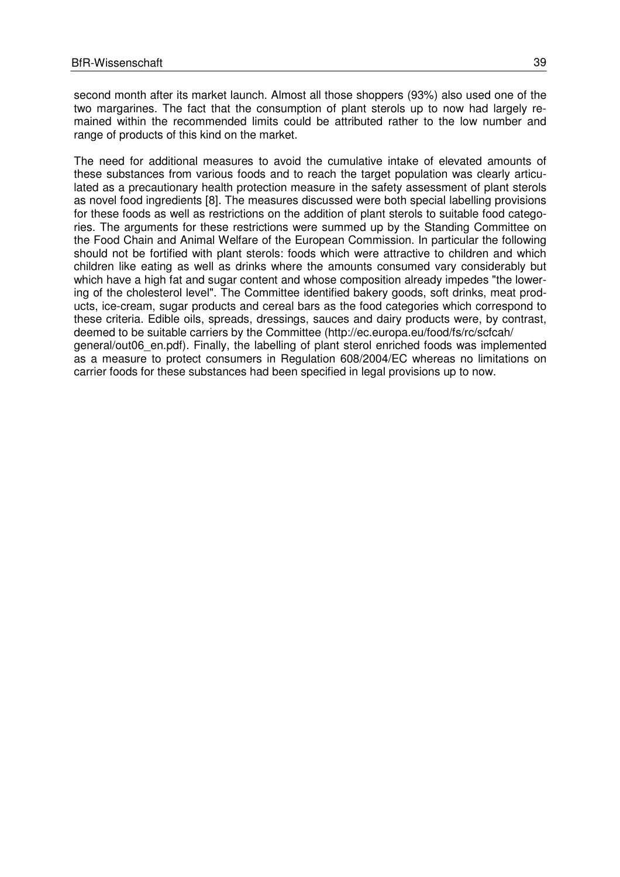second month after its market launch. Almost all those shoppers (93%) also used one of the two margarines. The fact that the consumption of plant sterols up to now had largely remained within the recommended limits could be attributed rather to the low number and range of products of this kind on the market.

The need for additional measures to avoid the cumulative intake of elevated amounts of these substances from various foods and to reach the target population was clearly articulated as a precautionary health protection measure in the safety assessment of plant sterols as novel food ingredients [8]. The measures discussed were both special labelling provisions for these foods as well as restrictions on the addition of plant sterols to suitable food categories. The arguments for these restrictions were summed up by the Standing Committee on the Food Chain and Animal Welfare of the European Commission. In particular the following should not be fortified with plant sterols: foods which were attractive to children and which children like eating as well as drinks where the amounts consumed vary considerably but which have a high fat and sugar content and whose composition already impedes "the lowering of the cholesterol level". The Committee identified bakery goods, soft drinks, meat products, ice-cream, sugar products and cereal bars as the food categories which correspond to these criteria. Edible oils, spreads, dressings, sauces and dairy products were, by contrast, deemed to be suitable carriers by the Committee (http://ec.europa.eu/food/fs/rc/scfcah/ general/out06\_en.pdf). Finally, the labelling of plant sterol enriched foods was implemented as a measure to protect consumers in Regulation 608/2004/EC whereas no limitations on carrier foods for these substances had been specified in legal provisions up to now.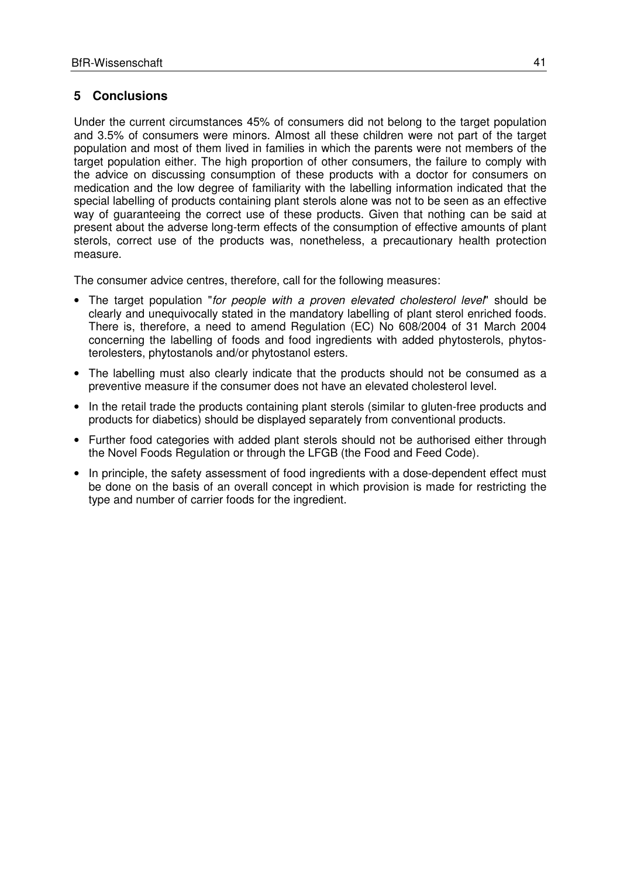### **5 Conclusions**

Under the current circumstances 45% of consumers did not belong to the target population and 3.5% of consumers were minors. Almost all these children were not part of the target population and most of them lived in families in which the parents were not members of the target population either. The high proportion of other consumers, the failure to comply with the advice on discussing consumption of these products with a doctor for consumers on medication and the low degree of familiarity with the labelling information indicated that the special labelling of products containing plant sterols alone was not to be seen as an effective way of guaranteeing the correct use of these products. Given that nothing can be said at present about the adverse long-term effects of the consumption of effective amounts of plant sterols, correct use of the products was, nonetheless, a precautionary health protection measure.

The consumer advice centres, therefore, call for the following measures:

- The target population "for people with a proven elevated cholesterol level" should be clearly and unequivocally stated in the mandatory labelling of plant sterol enriched foods. There is, therefore, a need to amend Regulation (EC) No 608/2004 of 31 March 2004 concerning the labelling of foods and food ingredients with added phytosterols, phytosterolesters, phytostanols and/or phytostanol esters.
- The labelling must also clearly indicate that the products should not be consumed as a preventive measure if the consumer does not have an elevated cholesterol level.
- In the retail trade the products containing plant sterols (similar to gluten-free products and products for diabetics) should be displayed separately from conventional products.
- Further food categories with added plant sterols should not be authorised either through the Novel Foods Regulation or through the LFGB (the Food and Feed Code).
- In principle, the safety assessment of food ingredients with a dose-dependent effect must be done on the basis of an overall concept in which provision is made for restricting the type and number of carrier foods for the ingredient.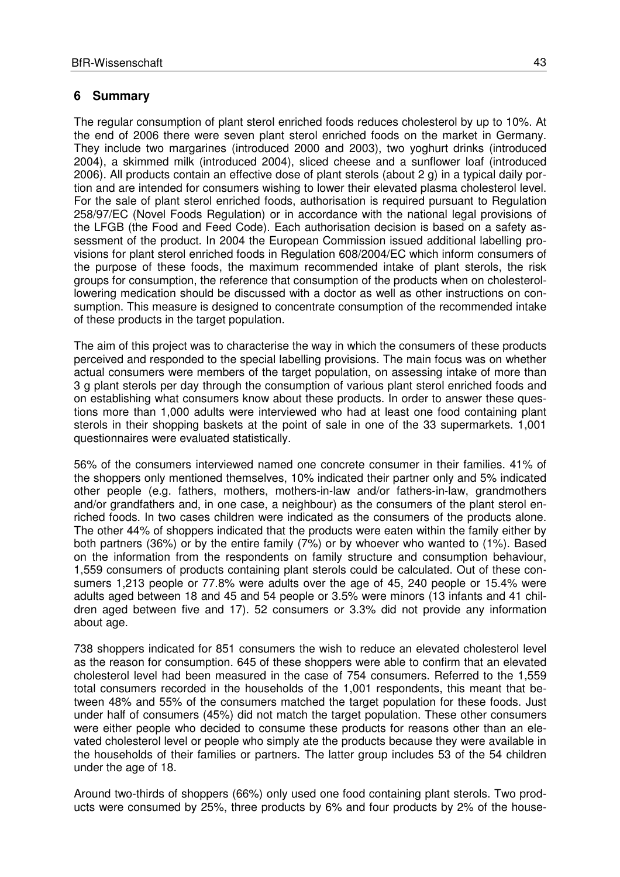#### **6 Summary**

The regular consumption of plant sterol enriched foods reduces cholesterol by up to 10%. At the end of 2006 there were seven plant sterol enriched foods on the market in Germany. They include two margarines (introduced 2000 and 2003), two yoghurt drinks (introduced 2004), a skimmed milk (introduced 2004), sliced cheese and a sunflower loaf (introduced 2006). All products contain an effective dose of plant sterols (about 2 g) in a typical daily portion and are intended for consumers wishing to lower their elevated plasma cholesterol level. For the sale of plant sterol enriched foods, authorisation is required pursuant to Regulation 258/97/EC (Novel Foods Regulation) or in accordance with the national legal provisions of the LFGB (the Food and Feed Code). Each authorisation decision is based on a safety assessment of the product. In 2004 the European Commission issued additional labelling provisions for plant sterol enriched foods in Regulation 608/2004/EC which inform consumers of the purpose of these foods, the maximum recommended intake of plant sterols, the risk groups for consumption, the reference that consumption of the products when on cholesterollowering medication should be discussed with a doctor as well as other instructions on consumption. This measure is designed to concentrate consumption of the recommended intake of these products in the target population.

The aim of this project was to characterise the way in which the consumers of these products perceived and responded to the special labelling provisions. The main focus was on whether actual consumers were members of the target population, on assessing intake of more than 3 g plant sterols per day through the consumption of various plant sterol enriched foods and on establishing what consumers know about these products. In order to answer these questions more than 1,000 adults were interviewed who had at least one food containing plant sterols in their shopping baskets at the point of sale in one of the 33 supermarkets. 1,001 questionnaires were evaluated statistically.

56% of the consumers interviewed named one concrete consumer in their families. 41% of the shoppers only mentioned themselves, 10% indicated their partner only and 5% indicated other people (e.g. fathers, mothers, mothers-in-law and/or fathers-in-law, grandmothers and/or grandfathers and, in one case, a neighbour) as the consumers of the plant sterol enriched foods. In two cases children were indicated as the consumers of the products alone. The other 44% of shoppers indicated that the products were eaten within the family either by both partners (36%) or by the entire family (7%) or by whoever who wanted to (1%). Based on the information from the respondents on family structure and consumption behaviour, 1,559 consumers of products containing plant sterols could be calculated. Out of these consumers 1,213 people or 77.8% were adults over the age of 45, 240 people or 15.4% were adults aged between 18 and 45 and 54 people or 3.5% were minors (13 infants and 41 children aged between five and 17). 52 consumers or 3.3% did not provide any information about age.

738 shoppers indicated for 851 consumers the wish to reduce an elevated cholesterol level as the reason for consumption. 645 of these shoppers were able to confirm that an elevated cholesterol level had been measured in the case of 754 consumers. Referred to the 1,559 total consumers recorded in the households of the 1,001 respondents, this meant that between 48% and 55% of the consumers matched the target population for these foods. Just under half of consumers (45%) did not match the target population. These other consumers were either people who decided to consume these products for reasons other than an elevated cholesterol level or people who simply ate the products because they were available in the households of their families or partners. The latter group includes 53 of the 54 children under the age of 18.

Around two-thirds of shoppers (66%) only used one food containing plant sterols. Two products were consumed by 25%, three products by 6% and four products by 2% of the house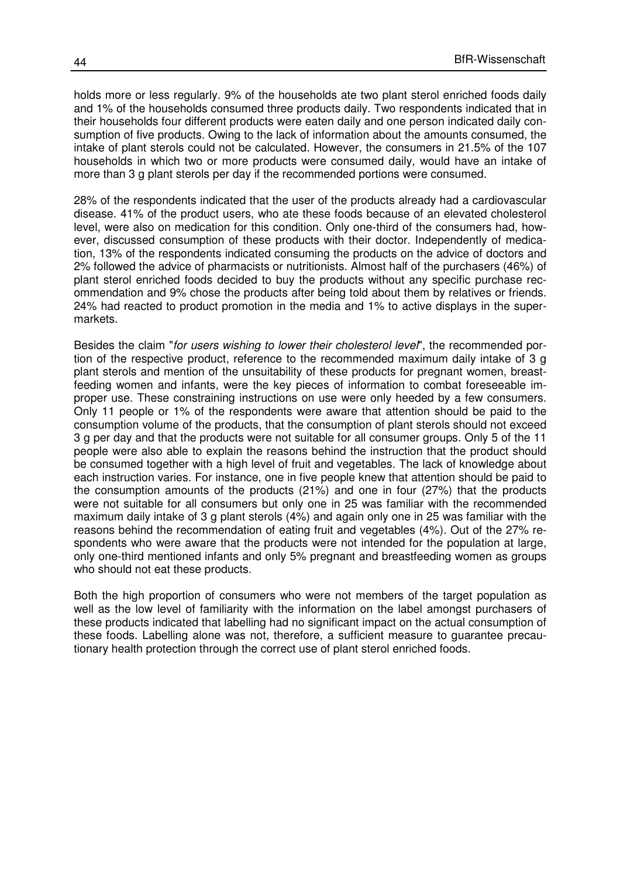holds more or less regularly. 9% of the households ate two plant sterol enriched foods daily and 1% of the households consumed three products daily. Two respondents indicated that in their households four different products were eaten daily and one person indicated daily consumption of five products. Owing to the lack of information about the amounts consumed, the intake of plant sterols could not be calculated. However, the consumers in 21.5% of the 107 households in which two or more products were consumed daily, would have an intake of more than 3 g plant sterols per day if the recommended portions were consumed.

28% of the respondents indicated that the user of the products already had a cardiovascular disease. 41% of the product users, who ate these foods because of an elevated cholesterol level, were also on medication for this condition. Only one-third of the consumers had, however, discussed consumption of these products with their doctor. Independently of medication, 13% of the respondents indicated consuming the products on the advice of doctors and 2% followed the advice of pharmacists or nutritionists. Almost half of the purchasers (46%) of plant sterol enriched foods decided to buy the products without any specific purchase recommendation and 9% chose the products after being told about them by relatives or friends. 24% had reacted to product promotion in the media and 1% to active displays in the supermarkets.

Besides the claim "for users wishing to lower their cholesterol level", the recommended portion of the respective product, reference to the recommended maximum daily intake of 3 g plant sterols and mention of the unsuitability of these products for pregnant women, breastfeeding women and infants, were the key pieces of information to combat foreseeable improper use. These constraining instructions on use were only heeded by a few consumers. Only 11 people or 1% of the respondents were aware that attention should be paid to the consumption volume of the products, that the consumption of plant sterols should not exceed 3 g per day and that the products were not suitable for all consumer groups. Only 5 of the 11 people were also able to explain the reasons behind the instruction that the product should be consumed together with a high level of fruit and vegetables. The lack of knowledge about each instruction varies. For instance, one in five people knew that attention should be paid to the consumption amounts of the products (21%) and one in four (27%) that the products were not suitable for all consumers but only one in 25 was familiar with the recommended maximum daily intake of 3 g plant sterols (4%) and again only one in 25 was familiar with the reasons behind the recommendation of eating fruit and vegetables (4%). Out of the 27% respondents who were aware that the products were not intended for the population at large, only one-third mentioned infants and only 5% pregnant and breastfeeding women as groups who should not eat these products.

Both the high proportion of consumers who were not members of the target population as well as the low level of familiarity with the information on the label amongst purchasers of these products indicated that labelling had no significant impact on the actual consumption of these foods. Labelling alone was not, therefore, a sufficient measure to guarantee precautionary health protection through the correct use of plant sterol enriched foods.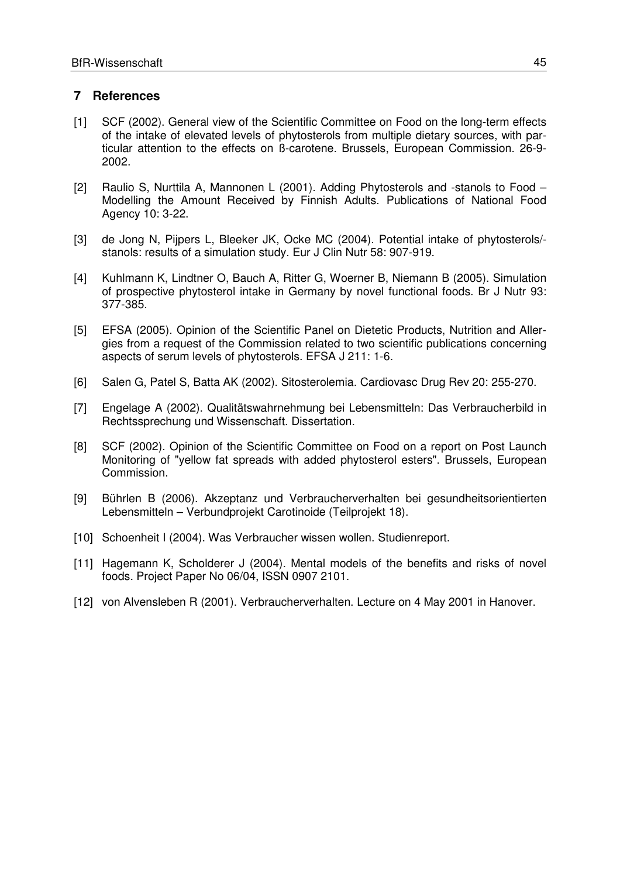#### **7 References**

- [1] SCF (2002). General view of the Scientific Committee on Food on the long-term effects of the intake of elevated levels of phytosterols from multiple dietary sources, with particular attention to the effects on ß-carotene. Brussels, European Commission. 26-9- 2002.
- [2] Raulio S, Nurttila A, Mannonen L (2001). Adding Phytosterols and -stanols to Food Modelling the Amount Received by Finnish Adults. Publications of National Food Agency 10: 3-22.
- [3] de Jong N, Pijpers L, Bleeker JK, Ocke MC (2004). Potential intake of phytosterols/ stanols: results of a simulation study. Eur J Clin Nutr 58: 907-919.
- [4] Kuhlmann K, Lindtner O, Bauch A, Ritter G, Woerner B, Niemann B (2005). Simulation of prospective phytosterol intake in Germany by novel functional foods. Br J Nutr 93: 377-385.
- [5] EFSA (2005). Opinion of the Scientific Panel on Dietetic Products, Nutrition and Allergies from a request of the Commission related to two scientific publications concerning aspects of serum levels of phytosterols. EFSA J 211: 1-6.
- [6] Salen G, Patel S, Batta AK (2002). Sitosterolemia. Cardiovasc Drug Rev 20: 255-270.
- [7] Engelage A (2002). Qualitätswahrnehmung bei Lebensmitteln: Das Verbraucherbild in Rechtssprechung und Wissenschaft. Dissertation.
- [8] SCF (2002). Opinion of the Scientific Committee on Food on a report on Post Launch Monitoring of "yellow fat spreads with added phytosterol esters". Brussels, European Commission.
- [9] Bührlen B (2006). Akzeptanz und Verbraucherverhalten bei gesundheitsorientierten Lebensmitteln – Verbundprojekt Carotinoide (Teilprojekt 18).
- [10] Schoenheit I (2004). Was Verbraucher wissen wollen. Studienreport.
- [11] Hagemann K, Scholderer J (2004). Mental models of the benefits and risks of novel foods. Project Paper No 06/04, ISSN 0907 2101.
- [12] von Alvensleben R (2001). Verbraucherverhalten. Lecture on 4 May 2001 in Hanover.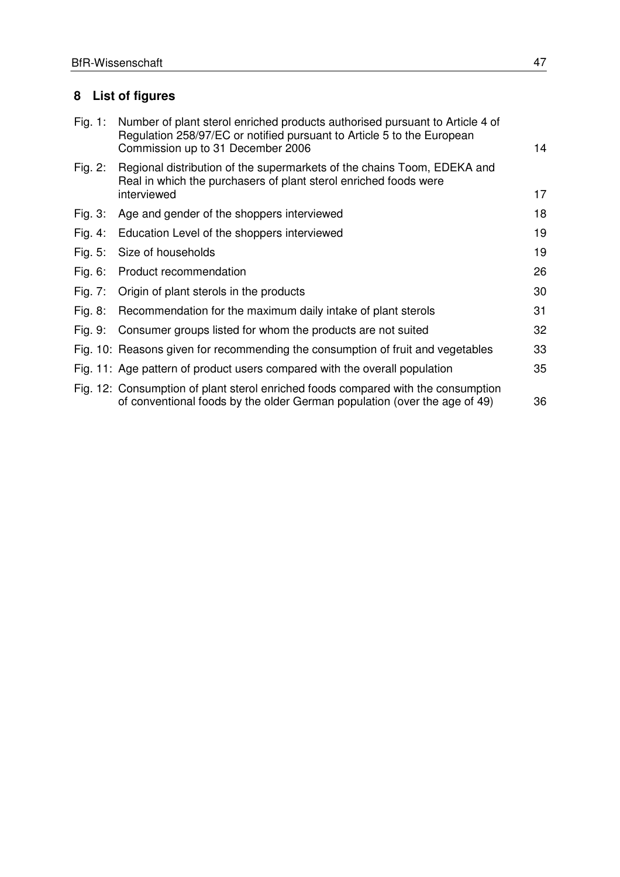# **8 List of figures**

| Fig. 1:    | Number of plant sterol enriched products authorised pursuant to Article 4 of<br>Regulation 258/97/EC or notified pursuant to Article 5 to the European<br>Commission up to 31 December 2006 | 14 |
|------------|---------------------------------------------------------------------------------------------------------------------------------------------------------------------------------------------|----|
| Fig. $2:$  | Regional distribution of the supermarkets of the chains Toom, EDEKA and<br>Real in which the purchasers of plant sterol enriched foods were<br>interviewed                                  | 17 |
| Fig. $3:$  | Age and gender of the shoppers interviewed                                                                                                                                                  | 18 |
| Fig. 4:    | Education Level of the shoppers interviewed                                                                                                                                                 | 19 |
| Fig. $5:$  | Size of households                                                                                                                                                                          | 19 |
| Fig. $6:$  | Product recommendation                                                                                                                                                                      | 26 |
| Fig. $7:$  | Origin of plant sterols in the products                                                                                                                                                     | 30 |
| Fig. $8$ : | Recommendation for the maximum daily intake of plant sterols                                                                                                                                | 31 |
| Fig. 9:    | Consumer groups listed for whom the products are not suited                                                                                                                                 | 32 |
|            | Fig. 10: Reasons given for recommending the consumption of fruit and vegetables                                                                                                             | 33 |
|            | Fig. 11: Age pattern of product users compared with the overall population                                                                                                                  | 35 |
|            | Fig. 12: Consumption of plant sterol enriched foods compared with the consumption<br>of conventional foods by the older German population (over the age of 49)                              | 36 |
|            |                                                                                                                                                                                             |    |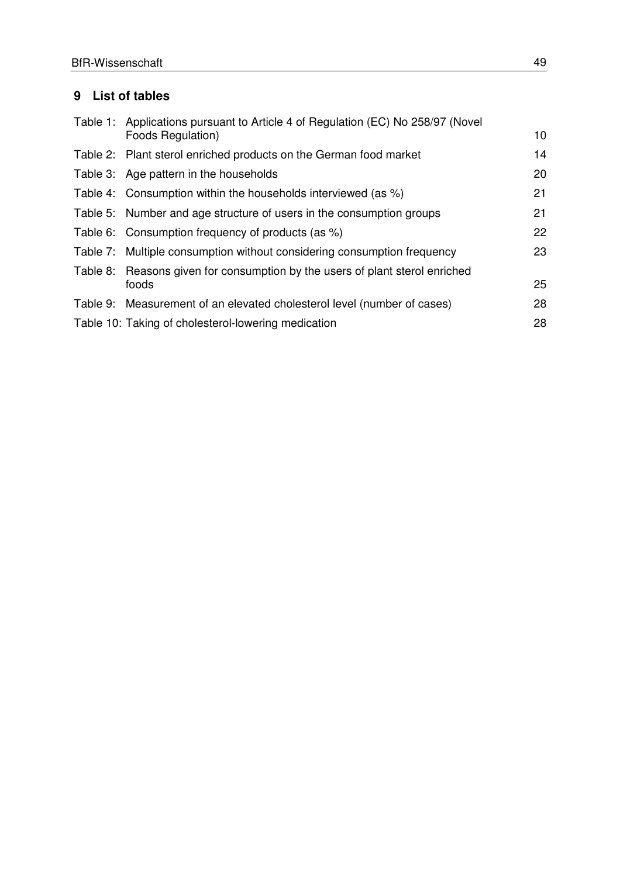# **9 List of tables**

| Table 1: Applications pursuant to Article 4 of Regulation (EC) No 258/97 (Novel |    |
|---------------------------------------------------------------------------------|----|
| Foods Regulation)                                                               | 10 |
| Table 2: Plant sterol enriched products on the German food market               | 14 |
| Table 3: Age pattern in the households                                          | 20 |
| Table 4: Consumption within the households interviewed (as %)                   | 21 |
| Table 5: Number and age structure of users in the consumption groups            | 21 |
| Table 6: Consumption frequency of products (as %)                               | 22 |
| Table 7: Multiple consumption without considering consumption frequency         | 23 |
| Table 8: Reasons given for consumption by the users of plant sterol enriched    |    |
| foods                                                                           | 25 |
| Table 9: Measurement of an elevated cholesterol level (number of cases)         | 28 |
| Table 10: Taking of cholesterol-lowering medication                             | 28 |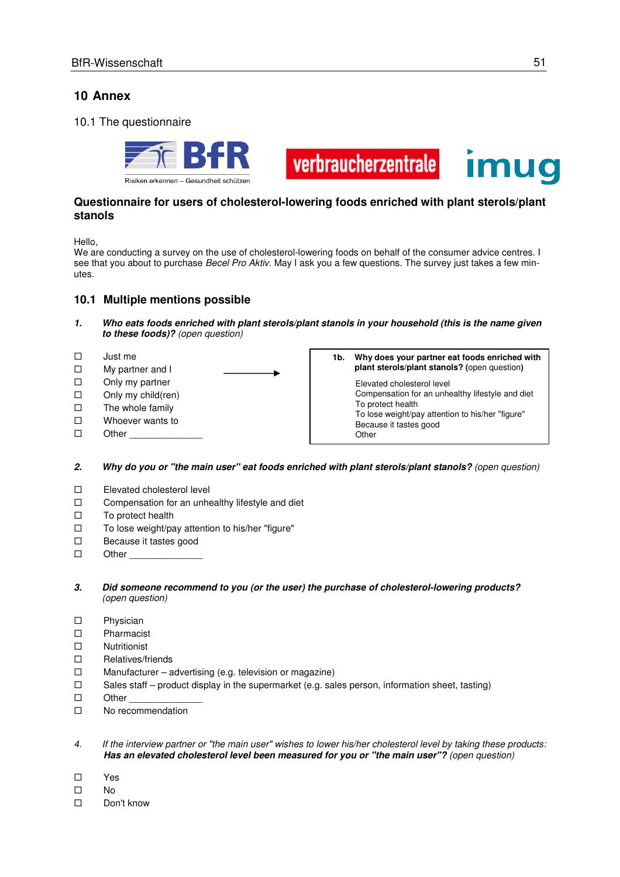# **10 Annex**

#### 10.1 The questionnaire





**Other** 

#### **Questionnaire for users of cholesterol-lowering foods enriched with plant sterols/plant stanols**

Hello,

We are conducting a survey on the use of cholesterol-lowering foods on behalf of the consumer advice centres. I see that you about to purchase Becel Pro Aktiv. May I ask you a few questions. The survey just takes a few minutes.

#### **10.1 Multiple mentions possible**

- **1. Who eats foods enriched with plant sterols/plant stanols in your household (this is the name given to these foods)?** (open question)
- $\square$  Just me
- □ My partner and I
- $\square$  Only my partner
- $\Box$  Only my child(ren)
- $\square$  The whole family
- □ Whoever wants to
- $\square$  Other

**1b. Why does your partner eat foods enriched with plant sterols/plant stanols? (**open question**)**  Elevated cholesterol level Compensation for an unhealthy lifestyle and diet To protect health To lose weight/pay attention to his/her "figure" Because it tastes good

#### **2. Why do you or "the main user" eat foods enriched with plant sterols/plant stanols?** (open question)

- □ Elevated cholesterol level
- $\Box$  Compensation for an unhealthy lifestyle and diet
- $\square$  To protect health
- $\square$  To lose weight/pay attention to his/her "figure"
- □ Because it tastes good
- $\square$  Other
- **3. Did someone recommend to you (or the user) the purchase of cholesterol-lowering products?** (open question)
- Physician
- Pharmacist
- Nutritionist
- Relatives/friends
- $\square$  Manufacturer advertising (e.g. television or magazine)
- $\square$  Sales staff product display in the supermarket (e.g. sales person, information sheet, tasting)
- $\square$  Other
- □ No recommendation
- 4. If the interview partner or "the main user" wishes to lower his/her cholesterol level by taking these products: **Has an elevated cholesterol level been measured for you or "the main user"?** (open question)
- Yes
- $\Box$  No
- □ Don't know

**Imua**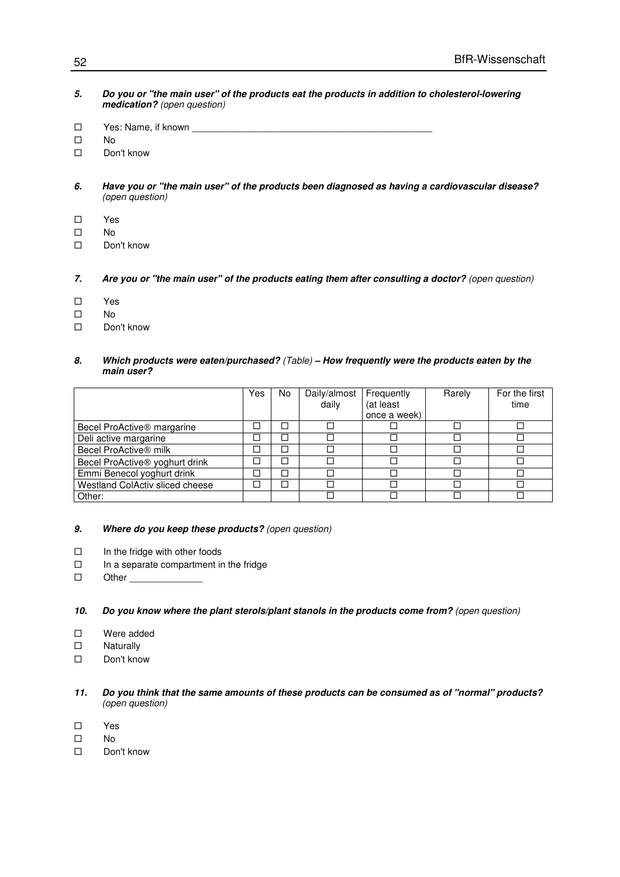- **5. Do you or "the main user" of the products eat the products in addition to cholesterol-lowering medication?** (open question)
- $\square$  Yes: Name, if known
- $\square$  No
- □ Don't know
- **6. Have you or "the main user" of the products been diagnosed as having a cardiovascular disease?** (open question)
- Yes
- $\square$  No
- □ Don't know
- **7. Are you or "the main user" of the products eating them after consulting a doctor?** (open question)
- Yes
- $\square$  No
- □ Don't know

#### **8. Which products were eaten/purchased?** (Table) **– How frequently were the products eaten by the main user?**

|                                        | Yes | No | Daily/almost | Frequently   | Rarely | For the first |
|----------------------------------------|-----|----|--------------|--------------|--------|---------------|
|                                        |     |    | daily        | (at least    |        | time          |
|                                        |     |    |              | once a week) |        |               |
| Becel ProActive <sup>®</sup> margarine |     |    |              |              |        |               |
| Deli active margarine                  |     |    |              |              |        |               |
| Becel ProActive® milk                  | □   |    |              |              |        |               |
| Becel ProActive® yoghurt drink         |     |    |              |              |        |               |
| Emmi Benecol yoghurt drink             | L.  |    |              |              |        |               |
| Westland ColActiv sliced cheese        |     |    |              |              |        |               |
| Other:                                 |     |    |              |              |        |               |

#### **9. Where do you keep these products?** (open question)

- $\Box$  In the fridge with other foods
- $\Box$  In a separate compartment in the fridge
- $\square$  Other

#### **10. Do you know where the plant sterols/plant stanols in the products come from?** (open question)

- □ Were added
- □ Naturally
- □ Don't know
- **11. Do you think that the same amounts of these products can be consumed as of "normal" products?** (open question)
- Yes
- $\square$  No
- □ Don't know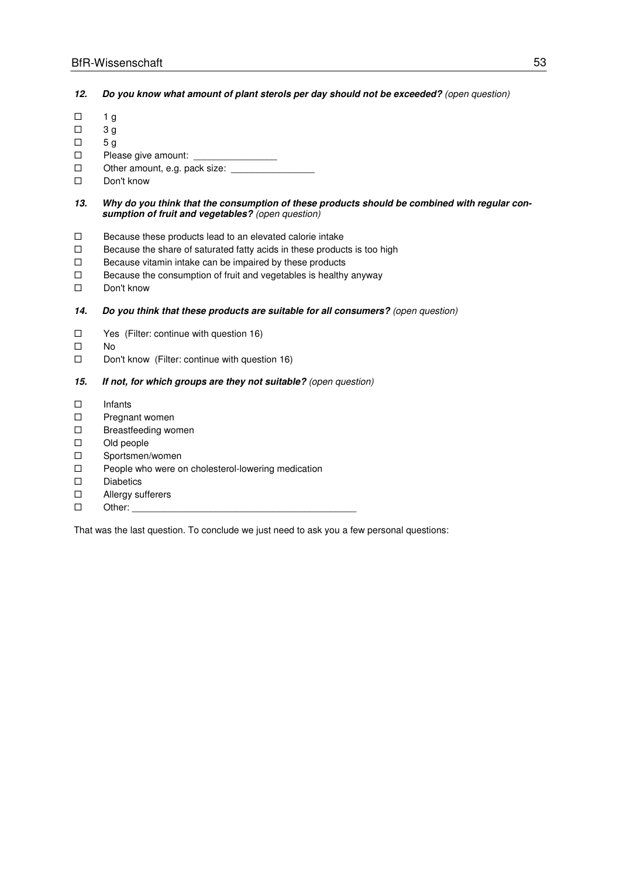**12. Do you know what amount of plant sterols per day should not be exceeded?** (open question)

- $\Box$  1 g
- $\Box$  3 g
- $\Box$  5 g
- $\square$  Please give amount:
- $\square$  Other amount, e.g. pack size:
- □ Don't know
- **13. Why do you think that the consumption of these products should be combined with regular consumption of fruit and vegetables?** (open question)
- $\square$  Because these products lead to an elevated calorie intake
- $\square$  Because the share of saturated fatty acids in these products is too high
- $\square$  Because vitamin intake can be impaired by these products
- $\square$  Because the consumption of fruit and vegetables is healthy anyway
- □ Don't know

#### **14. Do you think that these products are suitable for all consumers?** (open question)

- $\Box$  Yes (Filter: continue with question 16)
- $\square$  No
- $\square$  Don't know (Filter: continue with question 16)

#### **15. If not, for which groups are they not suitable?** (open question)

- Infants
- $\square$  Pregnant women
- □ Breastfeeding women
- □ Old people
- □ Sportsmen/women
- $\Box$  People who were on cholesterol-lowering medication
- Diabetics
- □ Allergy sufferers
- $\square$  Other:

That was the last question. To conclude we just need to ask you a few personal questions: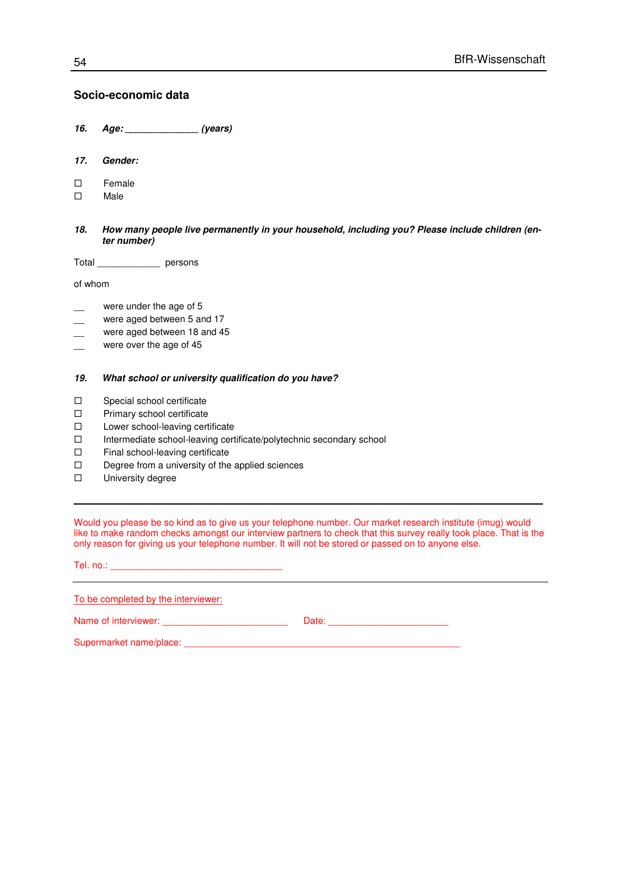#### **Socio-economic data**

- **16. Age: \_\_\_\_\_\_\_\_\_\_\_\_\_\_ (years)**
- **17. Gender:**
- □ Female
- Male
- **18. How many people live permanently in your household, including you? Please include children (enter number)**

Total \_\_\_\_\_\_\_\_\_\_\_\_ persons

of whom

- were under the age of 5
- were aged between 5 and 17
- were aged between 18 and 45
- were over the age of 45

#### **19. What school or university qualification do you have?**

- □ Special school certificate
- □ Primary school certificate
- □ Lower school-leaving certificate
- $\square$  Intermediate school-leaving certificate/polytechnic secondary school
- $\Box$  Final school-leaving certificate
- $\Box$  Degree from a university of the applied sciences
- **D** University degree

Would you please be so kind as to give us your telephone number. Our market research institute (imug) would like to make random checks amongst our interview partners to check that this survey really took place. That is the only reason for giving us your telephone number. It will not be stored or passed on to anyone else.

| To be completed by the interviewer:                                                                                                                                                                                            |  |
|--------------------------------------------------------------------------------------------------------------------------------------------------------------------------------------------------------------------------------|--|
|                                                                                                                                                                                                                                |  |
| Supermarket name/place: example of the state of the state of the state of the state of the state of the state of the state of the state of the state of the state of the state of the state of the state of the state of the s |  |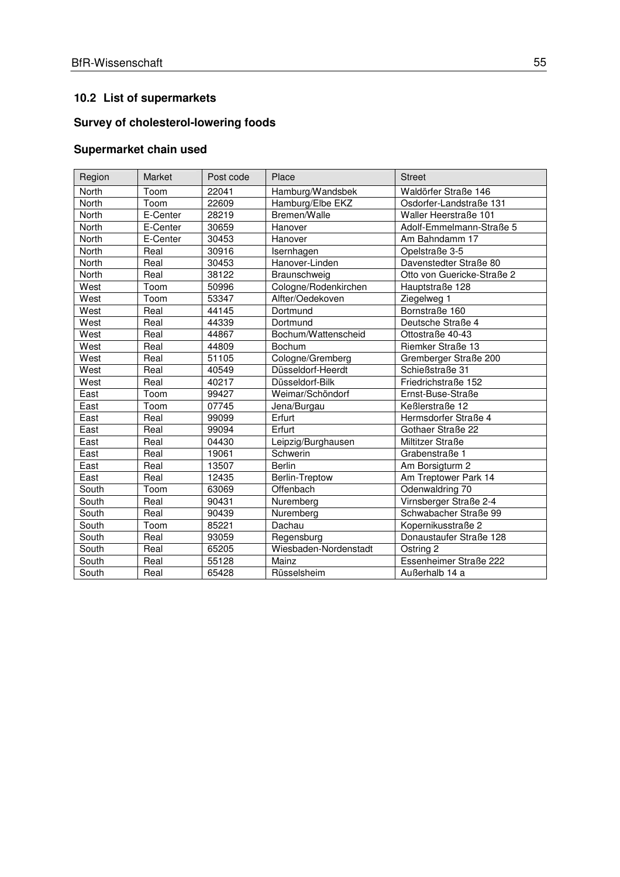# **10.2 List of supermarkets**

# **Survey of cholesterol-lowering foods**

# **Supermarket chain used**

| Region | Market   | Post code | Place                 | <b>Street</b>              |
|--------|----------|-----------|-----------------------|----------------------------|
| North  | Toom     | 22041     | Hamburg/Wandsbek      | Waldörfer Straße 146       |
| North  | Toom     | 22609     | Hamburg/Elbe EKZ      | Osdorfer-Landstraße 131    |
| North  | E-Center | 28219     | Bremen/Walle          | Waller Heerstraße 101      |
| North  | E-Center | 30659     | Hanover               | Adolf-Emmelmann-Straße 5   |
| North  | E-Center | 30453     | Hanover               | Am Bahndamm 17             |
| North  | Real     | 30916     | Isernhagen            | Opelstraße 3-5             |
| North  | Real     | 30453     | Hanover-Linden        | Davenstedter Straße 80     |
| North  | Real     | 38122     | Braunschweig          | Otto von Guericke-Straße 2 |
| West   | Toom     | 50996     | Cologne/Rodenkirchen  | Hauptstraße 128            |
| West   | Toom     | 53347     | Alfter/Oedekoven      | Ziegelweg 1                |
| West   | Real     | 44145     | Dortmund              | Bornstraße 160             |
| West   | Real     | 44339     | Dortmund              | Deutsche Straße 4          |
| West   | Real     | 44867     | Bochum/Wattenscheid   | Ottostraße 40-43           |
| West   | Real     | 44809     | Bochum                | Riemker Straße 13          |
| West   | Real     | 51105     | Cologne/Gremberg      | Gremberger Straße 200      |
| West   | Real     | 40549     | Düsseldorf-Heerdt     | Schießstraße 31            |
| West   | Real     | 40217     | Düsseldorf-Bilk       | Friedrichstraße 152        |
| East   | Toom     | 99427     | Weimar/Schöndorf      | Ernst-Buse-Straße          |
| East   | Toom     | 07745     | Jena/Burgau           | Keßlerstraße 12            |
| East   | Real     | 99099     | Erfurt                | Hermsdorfer Straße 4       |
| East   | Real     | 99094     | Erfurt                | Gothaer Straße 22          |
| East   | Real     | 04430     | Leipzig/Burghausen    | Miltitzer Straße           |
| East   | Real     | 19061     | Schwerin              | Grabenstraße 1             |
| East   | Real     | 13507     | <b>Berlin</b>         | Am Borsigturm 2            |
| East   | Real     | 12435     | Berlin-Treptow        | Am Treptower Park 14       |
| South  | Toom     | 63069     | Offenbach             | Odenwaldring 70            |
| South  | Real     | 90431     | Nuremberg             | Virnsberger Straße 2-4     |
| South  | Real     | 90439     | Nuremberg             | Schwabacher Straße 99      |
| South  | Toom     | 85221     | Dachau                | Kopernikusstraße 2         |
| South  | Real     | 93059     | Regensburg            | Donaustaufer Straße 128    |
| South  | Real     | 65205     | Wiesbaden-Nordenstadt | Ostring 2                  |
| South  | Real     | 55128     | Mainz                 | Essenheimer Straße 222     |
| South  | Real     | 65428     | Rüsselsheim           | Außerhalb 14 a             |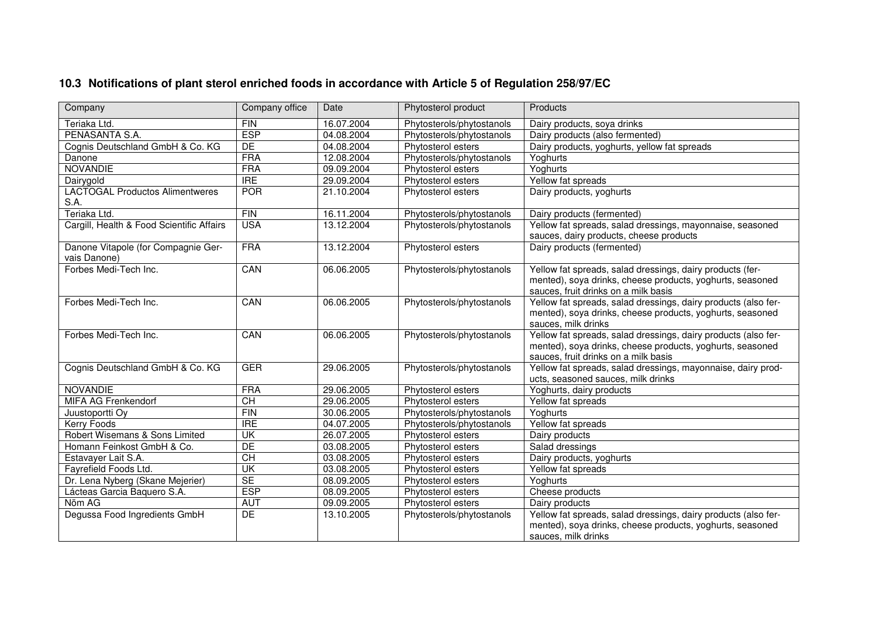| Company                                             | Company office            | Date       | Phytosterol product       | Products                                                                                                                                                            |
|-----------------------------------------------------|---------------------------|------------|---------------------------|---------------------------------------------------------------------------------------------------------------------------------------------------------------------|
| Teriaka Ltd.                                        | <b>FIN</b>                | 16.07.2004 | Phytosterols/phytostanols | Dairy products, soya drinks                                                                                                                                         |
| PENASANTA S.A.                                      | <b>ESP</b>                | 04.08.2004 | Phytosterols/phytostanols | Dairy products (also fermented)                                                                                                                                     |
| Cognis Deutschland GmbH & Co. KG                    | DE                        | 04.08.2004 | Phytosterol esters        | Dairy products, yoghurts, yellow fat spreads                                                                                                                        |
| Danone                                              | <b>FRA</b>                | 12.08.2004 | Phytosterols/phytostanols | Yoghurts                                                                                                                                                            |
| <b>NOVANDIE</b>                                     | <b>FRA</b>                | 09.09.2004 | Phytosterol esters        | Yoghurts                                                                                                                                                            |
| Dairygold                                           | <b>IRE</b>                | 29.09.2004 | Phytosterol esters        | Yellow fat spreads                                                                                                                                                  |
| <b>LACTOGAL Productos Alimentweres</b><br>S.A.      | <b>POR</b>                | 21.10.2004 | Phytosterol esters        | Dairy products, yoghurts                                                                                                                                            |
| Teriaka Ltd.                                        | FIN                       | 16.11.2004 | Phytosterols/phytostanols | Dairy products (fermented)                                                                                                                                          |
| Cargill, Health & Food Scientific Affairs           | <b>USA</b>                | 13.12.2004 | Phytosterols/phytostanols | Yellow fat spreads, salad dressings, mayonnaise, seasoned<br>sauces, dairy products, cheese products                                                                |
| Danone Vitapole (for Compagnie Ger-<br>vais Danone) | <b>FRA</b>                | 13.12.2004 | Phytosterol esters        | Dairy products (fermented)                                                                                                                                          |
| Forbes Medi-Tech Inc.                               | CAN                       | 06.06.2005 | Phytosterols/phytostanols | Yellow fat spreads, salad dressings, dairy products (fer-<br>mented), soya drinks, cheese products, yoghurts, seasoned<br>sauces, fruit drinks on a milk basis      |
| Forbes Medi-Tech Inc.                               | CAN                       | 06.06.2005 | Phytosterols/phytostanols | Yellow fat spreads, salad dressings, dairy products (also fer-<br>mented), soya drinks, cheese products, yoghurts, seasoned<br>sauces, milk drinks                  |
| Forbes Medi-Tech Inc.                               | CAN                       | 06.06.2005 | Phytosterols/phytostanols | Yellow fat spreads, salad dressings, dairy products (also fer-<br>mented), soya drinks, cheese products, yoghurts, seasoned<br>sauces, fruit drinks on a milk basis |
| Cognis Deutschland GmbH & Co. KG                    | <b>GER</b>                | 29.06.2005 | Phytosterols/phytostanols | Yellow fat spreads, salad dressings, mayonnaise, dairy prod-<br>ucts, seasoned sauces, milk drinks                                                                  |
| <b>NOVANDIE</b>                                     | <b>FRA</b>                | 29.06.2005 | Phytosterol esters        | Yoghurts, dairy products                                                                                                                                            |
| MIFA AG Frenkendorf                                 | $\overline{CH}$           | 29.06.2005 | Phytosterol esters        | Yellow fat spreads                                                                                                                                                  |
| Juustoportti Oy                                     | FIN                       | 30.06.2005 | Phytosterols/phytostanols | Yoghurts                                                                                                                                                            |
| Kerry Foods                                         | <b>IRE</b>                | 04.07.2005 | Phytosterols/phytostanols | Yellow fat spreads                                                                                                                                                  |
| Robert Wisemans & Sons Limited                      | $\overline{\mathsf{U}}$ K | 26.07.2005 | Phytosterol esters        | Dairy products                                                                                                                                                      |
| Homann Feinkost GmbH & Co.                          | DE                        | 03.08.2005 | Phytosterol esters        | Salad dressings                                                                                                                                                     |
| Estavayer Lait S.A.                                 | CH                        | 03.08.2005 | Phytosterol esters        | Dairy products, yoghurts                                                                                                                                            |
| Fayrefield Foods Ltd.                               | UK                        | 03.08.2005 | Phytosterol esters        | Yellow fat spreads                                                                                                                                                  |
| Dr. Lena Nyberg (Skane Mejerier)                    | <b>SE</b>                 | 08.09.2005 | Phytosterol esters        | Yoghurts                                                                                                                                                            |
| Lácteas Garcia Baquero S.A.                         | <b>ESP</b>                | 08.09.2005 | Phytosterol esters        | Cheese products                                                                                                                                                     |
| Nöm AG                                              | <b>AUT</b>                | 09.09.2005 | Phytosterol esters        | Dairy products                                                                                                                                                      |
| Degussa Food Ingredients GmbH                       | DE                        | 13.10.2005 | Phytosterols/phytostanols | Yellow fat spreads, salad dressings, dairy products (also fer-<br>mented), soya drinks, cheese products, yoghurts, seasoned<br>sauces, milk drinks                  |

# **10.3 Notifications of plant sterol enriched foods in accordance with Article 5 of Regulation 258/97/EC**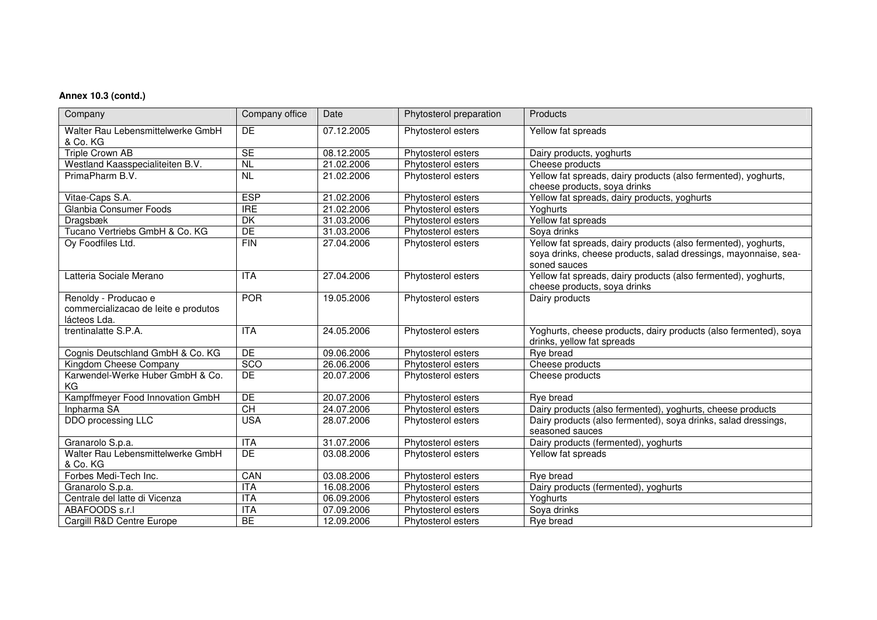#### **Annex 10.3 (contd.)**

| Company                                                                      | Company office           | Date       | Phytosterol preparation | Products                                                                                                                                          |
|------------------------------------------------------------------------------|--------------------------|------------|-------------------------|---------------------------------------------------------------------------------------------------------------------------------------------------|
| Walter Rau Lebensmittelwerke GmbH<br>& Co. KG                                | DE                       | 07.12.2005 | Phytosterol esters      | Yellow fat spreads                                                                                                                                |
| <b>Triple Crown AB</b>                                                       | SE                       | 08.12.2005 | Phytosterol esters      | Dairy products, yoghurts                                                                                                                          |
| Westland Kaasspecialiteiten B.V.                                             | $\overline{NL}$          | 21.02.2006 | Phytosterol esters      | Cheese products                                                                                                                                   |
| PrimaPharm B.V.                                                              | $\overline{NL}$          | 21.02.2006 | Phytosterol esters      | Yellow fat spreads, dairy products (also fermented), yoghurts,<br>cheese products, soya drinks                                                    |
| Vitae-Caps S.A.                                                              | <b>ESP</b>               | 21.02.2006 | Phytosterol esters      | Yellow fat spreads, dairy products, yoghurts                                                                                                      |
| Glanbia Consumer Foods                                                       | <b>IRE</b>               | 21.02.2006 | Phytosterol esters      | Yoghurts                                                                                                                                          |
| Dragsbæk                                                                     | $\overline{\mathsf{DK}}$ | 31.03.2006 | Phytosterol esters      | Yellow fat spreads                                                                                                                                |
| Tucano Vertriebs GmbH & Co. KG                                               | DE                       | 31.03.2006 | Phytosterol esters      | Soya drinks                                                                                                                                       |
| Oy Foodfiles Ltd.                                                            | FIN                      | 27.04.2006 | Phytosterol esters      | Yellow fat spreads, dairy products (also fermented), yoghurts,<br>soya drinks, cheese products, salad dressings, mayonnaise, sea-<br>soned sauces |
| Latteria Sociale Merano                                                      | <b>ITA</b>               | 27.04.2006 | Phytosterol esters      | Yellow fat spreads, dairy products (also fermented), yoghurts,<br>cheese products, soya drinks                                                    |
| Renoldy - Producao e<br>commercializacao de leite e produtos<br>lácteos Lda. | <b>POR</b>               | 19.05.2006 | Phytosterol esters      | Dairy products                                                                                                                                    |
| trentinalatte S.P.A.                                                         | $\overline{ITA}$         | 24.05.2006 | Phytosterol esters      | Yoghurts, cheese products, dairy products (also fermented), soya<br>drinks, yellow fat spreads                                                    |
| Cognis Deutschland GmbH & Co. KG                                             | DE                       | 09.06.2006 | Phytosterol esters      | Rye bread                                                                                                                                         |
| Kingdom Cheese Company                                                       | SCO                      | 26.06.2006 | Phytosterol esters      | Cheese products                                                                                                                                   |
| Karwendel-Werke Huber GmbH & Co.<br>ΚG                                       | <b>DE</b>                | 20.07.2006 | Phytosterol esters      | Cheese products                                                                                                                                   |
| Kampffmeyer Food Innovation GmbH                                             | DE                       | 20.07.2006 | Phytosterol esters      | Rye bread                                                                                                                                         |
| Inpharma SA                                                                  | CH                       | 24.07.2006 | Phytosterol esters      | Dairy products (also fermented), yoghurts, cheese products                                                                                        |
| DDO processing LLC                                                           | <b>USA</b>               | 28.07.2006 | Phytosterol esters      | Dairy products (also fermented), soya drinks, salad dressings,<br>seasoned sauces                                                                 |
| Granarolo S.p.a.                                                             | <b>ITA</b>               | 31.07.2006 | Phytosterol esters      | Dairy products (fermented), yoghurts                                                                                                              |
| Walter Rau Lebensmittelwerke GmbH<br>& Co. KG                                | <b>DE</b>                | 03.08.2006 | Phytosterol esters      | Yellow fat spreads                                                                                                                                |
| Forbes Medi-Tech Inc.                                                        | CAN                      | 03.08.2006 | Phytosterol esters      | Rye bread                                                                                                                                         |
| Granarolo S.p.a.                                                             | <b>ITA</b>               | 16.08.2006 | Phytosterol esters      | Dairy products (fermented), yoghurts                                                                                                              |
| Centrale del latte di Vicenza                                                | ITA                      | 06.09.2006 | Phytosterol esters      | Yoghurts                                                                                                                                          |
| ABAFOODS s.r.l                                                               | ITA                      | 07.09.2006 | Phytosterol esters      | Soya drinks                                                                                                                                       |
| Cargill R&D Centre Europe                                                    | BE                       | 12.09.2006 | Phytosterol esters      | Rye bread                                                                                                                                         |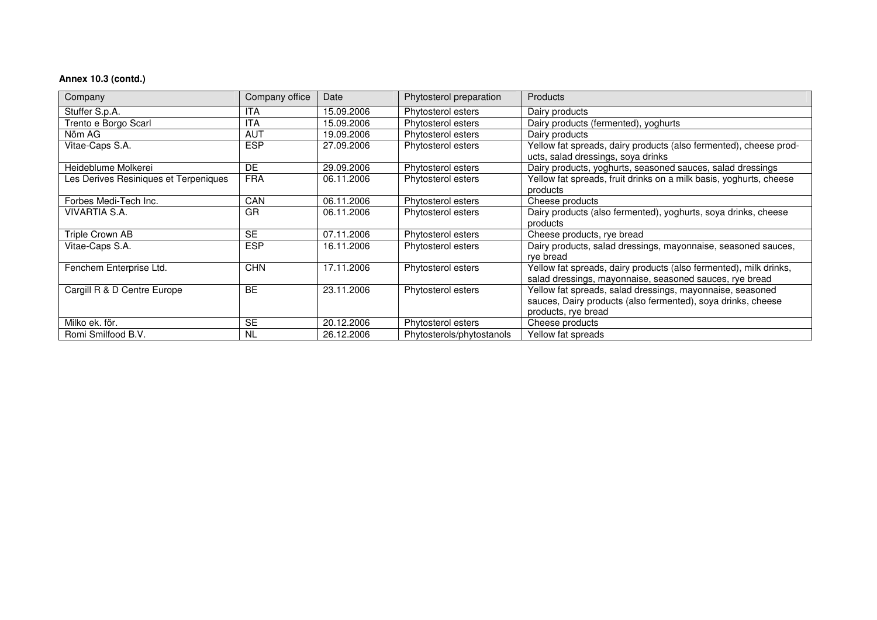### **Annex 10.3 (contd.)**

| Company                               | Company office | Date       | Phytosterol preparation   | <b>Products</b>                                                                                                                                  |
|---------------------------------------|----------------|------------|---------------------------|--------------------------------------------------------------------------------------------------------------------------------------------------|
| Stuffer S.p.A.                        | ITA            | 15.09.2006 | Phytosterol esters        | Dairy products                                                                                                                                   |
| Trento e Borgo Scarl                  | ITA            | 15.09.2006 | Phytosterol esters        | Dairy products (fermented), yoghurts                                                                                                             |
| Nöm AG                                | AUT            | 19.09.2006 | Phytosterol esters        | Dairy products                                                                                                                                   |
| Vitae-Caps S.A.                       | <b>ESP</b>     | 27.09.2006 | Phytosterol esters        | Yellow fat spreads, dairy products (also fermented), cheese prod-<br>ucts, salad dressings, soya drinks                                          |
| Heideblume Molkerei                   | DE             | 29.09.2006 | Phytosterol esters        | Dairy products, yoghurts, seasoned sauces, salad dressings                                                                                       |
| Les Derives Resiniques et Terpeniques | <b>FRA</b>     | 06.11.2006 | Phytosterol esters        | Yellow fat spreads, fruit drinks on a milk basis, yoghurts, cheese                                                                               |
|                                       |                |            |                           | products                                                                                                                                         |
| Forbes Medi-Tech Inc.                 | <b>CAN</b>     | 06.11.2006 | Phytosterol esters        | Cheese products                                                                                                                                  |
| VIVARTIA S.A.                         | GR             | 06.11.2006 | Phytosterol esters        | Dairy products (also fermented), yoghurts, soya drinks, cheese<br>products                                                                       |
| Triple Crown AB                       | <b>SE</b>      | 07.11.2006 | Phytosterol esters        | Cheese products, rye bread                                                                                                                       |
| Vitae-Caps S.A.                       | <b>ESP</b>     | 16.11.2006 | Phytosterol esters        | Dairy products, salad dressings, mayonnaise, seasoned sauces,<br>rye bread                                                                       |
| Fenchem Enterprise Ltd.               | <b>CHN</b>     | 17.11.2006 | Phytosterol esters        | Yellow fat spreads, dairy products (also fermented), milk drinks,<br>salad dressings, mayonnaise, seasoned sauces, rye bread                     |
| Cargill R & D Centre Europe           | <b>BE</b>      | 23.11.2006 | Phytosterol esters        | Yellow fat spreads, salad dressings, mayonnaise, seasoned<br>sauces, Dairy products (also fermented), soya drinks, cheese<br>products, rye bread |
| Milko ek. för.                        | <b>SE</b>      | 20.12.2006 | Phytosterol esters        | Cheese products                                                                                                                                  |
| Romi Smilfood B.V.                    | NL.            | 26.12.2006 | Phytosterols/phytostanols | Yellow fat spreads                                                                                                                               |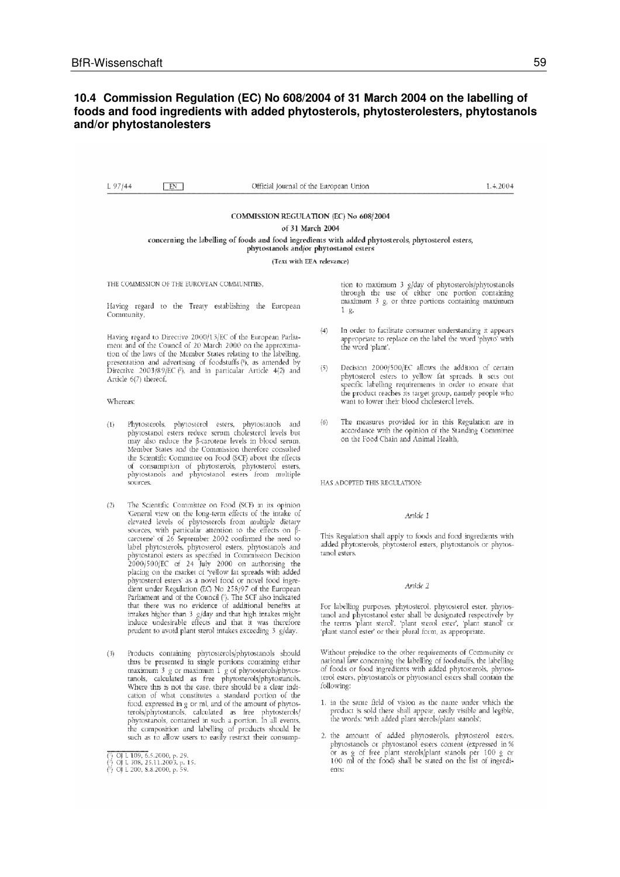#### **10.4 Commission Regulation (EC) No 608/2004 of 31 March 2004 on the labelling of foods and food ingredients with added phytosterols, phytosterolesters, phytostanols and/or phytostanolesters**

 $1.97144$ 1.4.2004  $FN$ Official Journal of the Euronean Union COMMISSION REGULATION (EC) No 608/2004 of 31 March 2004 concerning the labelling of foods and food ingredients with added phytosterols, phytosterol esters, phytostanols and/or phytostanol esters (Text with EEA relevance) tion to maximum 3  $g/day$  of phytosterols/phytostanols through the use of either one portion containing maximum 3  $g$ , or three portions containing maximum THE COMMISSION OF THE EUROPEAN COMMUNITIES Having regard to the Treaty establishing the European  $1\,9$ Community. In order to facilitate consumer understanding it appears  $(4)$ Having regard to Directive 2000/13/EC of the European Parliaappropriate to replace on the label the word 'phyto' with ment and of the Council of 20 March 2000 on the approximathe word 'plant'. tion of the laws of the Member States relating to the labelling, presentation and advertising of foodstuffs (1), as amended by Decision 2000/500/EC allows the addition of certain  $(5)$ Directive 2003/89/EC (?), and in particular Article 4(2) and phytosterol esters to yellow fat spreads. It sets out Article 6(7) thereof. specific labelling requirements in order to ensure that the product reaches its target group, namely people who want to lower their blood cholesterol levels. Whereas: The measures provided for in this Regulation are in  $(6)$  $(1)$ Phytosterols, phytosterol esters, phytostanols and accordance with the opinion of the Standing Committee phytostanol esters reduce serum cholesterol levels but on the Food Chain and Animal Health, may also reduce the ß-carotene levels in blood serum. Member States and the Commission therefore consulted the Scientific Committee on Food (SCF) about the effects of consumption of phytosterols, phytosterol esters,<br>phytostanols and phytostanol esters from multiple .<br>sources. HAS ADOPTED THIS REGULATION:

- The Scientific Committee on Food (SCF) in its opinion  $(2)$ 'General view on the long-term effects of the intake of elevated levels of phytosterols from multiple dietary<br>sources, with particular attention to the effects on  $\beta$ carotene' of 26 September 2002 confirmed the need to label phytosterols, phytosterol esters, phytostanols and phytostanol esters as specified in Commission Decision 2000/500/EC of 24 July 2000 on authorising the placing on the market of 'yellow fat spreads with added phytosterol esters' as a novel food or novel food ingre-<br>dient under Regulation (EC) No 258/97 of the European Parliament and of the Council (?). The SCF also indicated<br>that there was no evidence of additional benefits at intakes higher than 3 g/day and that high intakes might induce undesirable effects and that it was therefore prudent to avoid plant sterol intakes exceeding 3 g/day.
- Products containing phytosterols/phytostanols should  $(3)$ thus be presented in single portions containing either<br>maximum 3 g or maximum 1 g of phytosterols/phytostanois, calculated as free phytosterols/phytostanois. Where this is not the case, there should be a clear indication of what constitutes a standard portion of the food, expressed in g or ml, and of the amount of phytosterols/phytostanols, calculated as free phytosterols/<br>phytostanols, contained in such a portion. In all events, the composition and labelling of products should be such as to allow users to easily restrict their consump-

#### Article 1

This Regulation shall apply to foods and food ingredients with added phytosterols, phytosterol esters, phytostanols or phytostanol esters.

#### Article 2

For labelling purposes, phytosterol, phytosterol ester, phytostanol and phytostanol ester shall be designated respectively by the terms 'plant sterol', 'plant sterol ester', 'plant stanol' or 'plant stanol ester' or their plural form, as appropriate.

Without prejudice to the other requirements of Community or national law concerning the labelling of foodstuffs, the labelling of foods or food ingredients with added phytosterols, phytosterol esters, phytostanols or phytostanol esters shall contain the following:

- 1. in the same field of vision as the name under which the product is sold there shall appear, easily visible and legible, the words: 'with added plant sterols/plant stanols';
- 2. the amount of added phytosterols, phytosterol esters, phytostanols or phytostanol esters content (expressed in % or as g of free plant sterols/plant stanols per 100 g or 100 ml of the food) shall be stated on the list of ingredients:

OJ L 109, 6.5.2000, p. 29.<br>
OJ L 308, 25.11.2003, p. 15.<br>
OJ L 200, 8.8.2000, p. 59.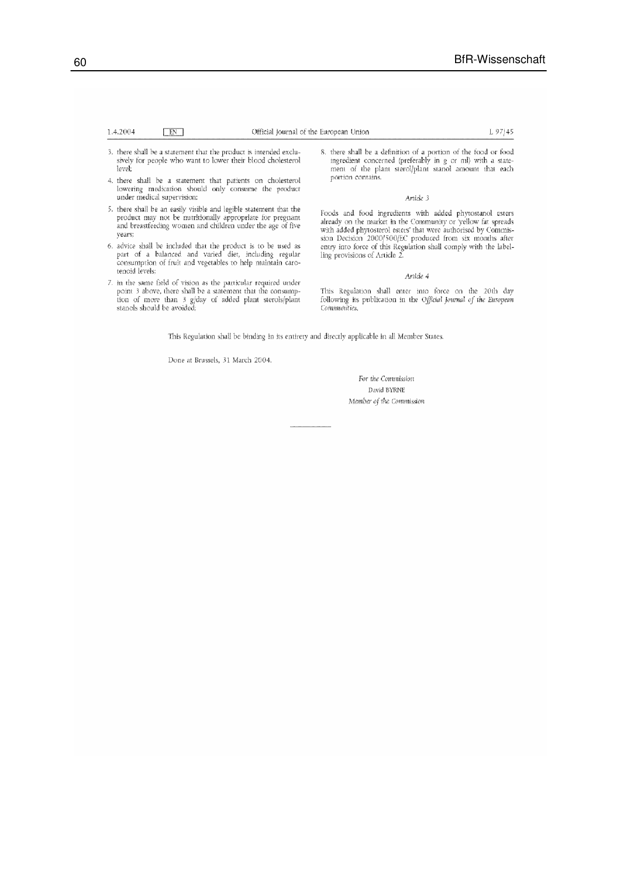#### 1.4.2004  $\quad$  EN  $\quad$ Official Journal of the European Union L 97/45

- 3. there shall be a statement that the product is intended exclusively for people who want to lower their blood cholesterol level
- 4. there shall be a statement that patients on cholesterol lowering medication should only consume the product under medical supervision:
- 5. there shall be an easily visible and legible statement that the product may not be mutritionally appropriate for pregnant and breastfeeding women and children under the age of five years;
- 6. advice shall be included that the product is to be used as<br>part of a balanced and varied diet, including regular consumption of fruit and vegetables to help maintain carotenoid levels;
- 7. in the same field of vision as the particular required under<br>point 3 above, there shall be a statement that the consumption of more than 3 g/day of added plant sterols/plant stanols should be avoided;

8. there shall be a definition of a portion of the food or food ingredient concerned (preferably in g or ml) with a statement of the plant sterol/plant stanol amount that each portion contains.

#### Article 3

Foods and food ingredients with added phytostanol esters Foods and food ingredients with added phytostanol esters<br>already on the market in the Community or 'yellow fat spreads<br>with added phytosterol esters' that were authorised by Commis-<br>sion Decision 2000/500/EC produced from

#### Article 4

This Regulation shall enter into force on the 20th day following its publication in the Official Journal of the European Communities.

This Regulation shall be binding in its entirety and directly applicable in all Member States.

Done at Brussels, 31 March 2004.

For the Commission David BYRNE Member of the Commission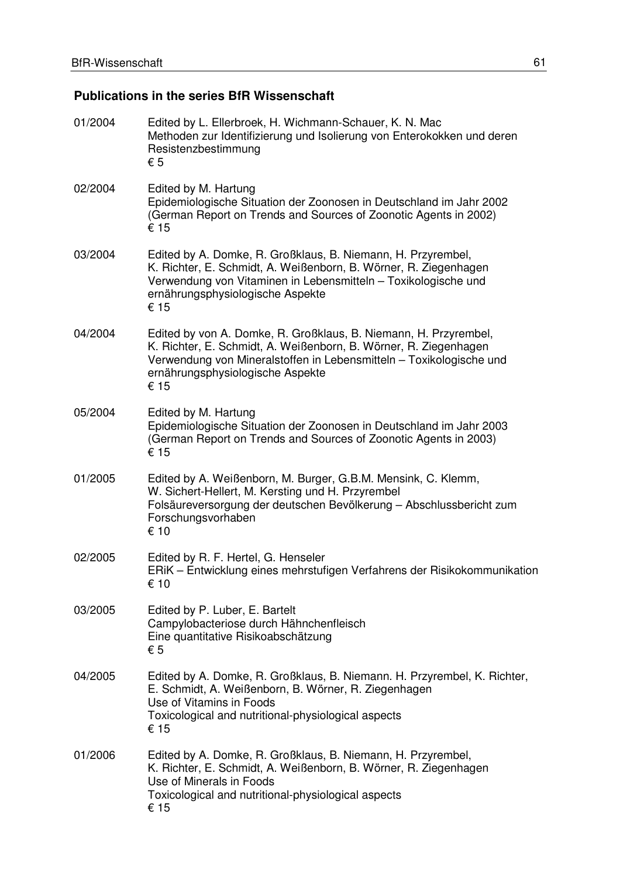# **Publications in the series BfR Wissenschaft**

| 01/2004 | Edited by L. Ellerbroek, H. Wichmann-Schauer, K. N. Mac<br>Methoden zur Identifizierung und Isolierung von Enterokokken und deren<br>Resistenzbestimmung<br>$\epsilon$ 5                                                                                |
|---------|---------------------------------------------------------------------------------------------------------------------------------------------------------------------------------------------------------------------------------------------------------|
| 02/2004 | Edited by M. Hartung<br>Epidemiologische Situation der Zoonosen in Deutschland im Jahr 2002<br>(German Report on Trends and Sources of Zoonotic Agents in 2002)<br>€ 15                                                                                 |
| 03/2004 | Edited by A. Domke, R. Großklaus, B. Niemann, H. Przyrembel,<br>K. Richter, E. Schmidt, A. Weißenborn, B. Wörner, R. Ziegenhagen<br>Verwendung von Vitaminen in Lebensmitteln - Toxikologische und<br>ernährungsphysiologische Aspekte<br>€ 15          |
| 04/2004 | Edited by von A. Domke, R. Großklaus, B. Niemann, H. Przyrembel,<br>K. Richter, E. Schmidt, A. Weißenborn, B. Wörner, R. Ziegenhagen<br>Verwendung von Mineralstoffen in Lebensmitteln - Toxikologische und<br>ernährungsphysiologische Aspekte<br>€ 15 |
| 05/2004 | Edited by M. Hartung<br>Epidemiologische Situation der Zoonosen in Deutschland im Jahr 2003<br>(German Report on Trends and Sources of Zoonotic Agents in 2003)<br>€ 15                                                                                 |
| 01/2005 | Edited by A. Weißenborn, M. Burger, G.B.M. Mensink, C. Klemm,<br>W. Sichert-Hellert, M. Kersting und H. Przyrembel<br>Folsäureversorgung der deutschen Bevölkerung - Abschlussbericht zum<br>Forschungsvorhaben<br>€ 10                                 |
| 02/2005 | Edited by R. F. Hertel, G. Henseler<br>ERIK - Entwicklung eines mehrstufigen Verfahrens der Risikokommunikation<br>€ 10                                                                                                                                 |
| 03/2005 | Edited by P. Luber, E. Bartelt<br>Campylobacteriose durch Hähnchenfleisch<br>Eine quantitative Risikoabschätzung<br>€ 5                                                                                                                                 |
| 04/2005 | Edited by A. Domke, R. Großklaus, B. Niemann. H. Przyrembel, K. Richter,<br>E. Schmidt, A. Weißenborn, B. Wörner, R. Ziegenhagen<br>Use of Vitamins in Foods<br>Toxicological and nutritional-physiological aspects<br>€ 15                             |
| 01/2006 | Edited by A. Domke, R. Großklaus, B. Niemann, H. Przyrembel,<br>K. Richter, E. Schmidt, A. Weißenborn, B. Wörner, R. Ziegenhagen<br>Use of Minerals in Foods<br>Toxicological and nutritional-physiological aspects<br>€ 15                             |